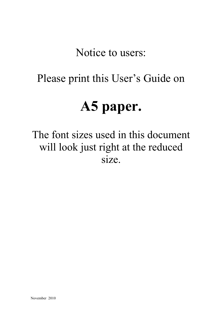Notice to users:

# Please print this User's Guide on

# **A5 paper.**

The font sizes used in this document will look just right at the reduced size.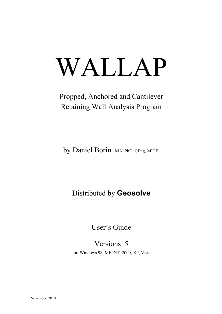# WALLAP

## Propped, Anchored and Cantilever Retaining Wall Analysis Program

by Daniel Borin MA, PhD, CEng, MICE

Distributed by **Geosolve**

User's Guide

Versions 5 for Windows 98, ME, NT, 2000, XP, Vista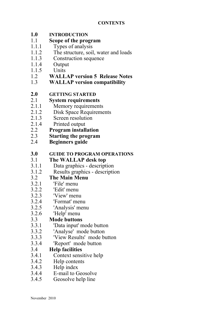#### **1.0 INTRODUCTION**

#### 1.1 **Scope of the program**

- 1.1.1 Types of analysis
- 1.1.2 The structure, soil, water and loads
- 1.1.3 Construction sequence
- 1.1.4 Output
- 1.1.5 Units
- 1.2 **WALLAP version 5 Release Notes**
- 1.3 **WALLAP version compatibility**

#### **2.0 GETTING STARTED**

#### 2.1 **System requirements**

- 2.1.1 Memory requirements
- 2.1.2 Disk Space Requirements
- 2.1.3 Screen resolution
- 2.1.4 Printed output
- 2.2 **Program installation**
- 2.3 **Starting the program**
- 2.4 **Beginners guide**

#### **3.0 GUIDE TO PROGRAM OPERATIONS**

#### 3.1 **The WALLAP desk top**

- 3.1.1 Data graphics description
- 3.1.2 Results graphics description

#### 3.2 **The Main Menu**

- 3.2.1 'File' menu
- 3.2.2 'Edit' menu
- 3.2.3 'View' menu
- 3.2.4 'Format' menu
- 3.2.5 'Analysis' menu
- 3.2.6 'Help' menu

#### 3.3 **Mode buttons**

- 3.3.1 'Data input' mode button
- 3.3.2 'Analyse' mode button
- 3.3.3 'View Results' mode button
- 3.3.4 'Report' mode button

#### 3.4 **Help facilities**

- 3.4.1 Context sensitive help
- 3.4.2 Help contents
- 3.4.3 Help index
- 3.4.4 E-mail to Geosolve
- 3.4.5 Geosolve help line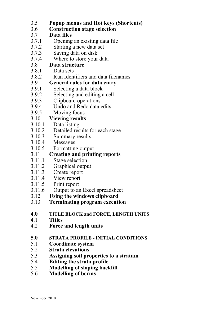- 3.5 **Popup menus and Hot keys (Shortcuts)**
- 3.6 **Construction stage selection**

#### 3.7 **Data files**

- 3.7.1 Opening an existing data file
- 3.7.2 Starting a new data set
- 3.7.3 Saving data on disk
- 3.7.4 Where to store your data

#### 3.8 **Data structure**

- 3.8.1 Data sets
- 3.8.2 Run Identifiers and data filenames

#### 3.9 **General rules for data entry**

- 3.9.1 Selecting a data block
- 3.9.2 Selecting and editing a cell
- 3.9.3 Clipboard operations
- 3.9.4 Undo and Redo data edits
- 3.9.5 Moving focus

#### 3.10 **Viewing results**

- 3.10.1 Data listing
- 3.10.2 Detailed results for each stage
- 3.10.3 Summary results
- 3.10.4 Messages
- 3.10.5 Formatting output

#### 3.11 **Creating and printing reports**

- 3.11.1 Stage selection
- 3.11.2 Graphical output
- 3.11.3 Create report
- 3.11.4 View report
- 3.11.5 Print report<br>3.11.6 Output to an
- Output to an Excel spreadsheet
- 3.12 **Using the windows clipboard**
- 3.13 **Terminating program execution**
- **4.0 TITLE BLOCK and FORCE, LENGTH UNITS**
- 4.1 **Titles**
- 4.2 **Force and length units**
- **5.0 STRATA PROFILE INITIAL CONDITIONS**
- 5.1 **Coordinate system**
- 5.2 **Strata elevations**
- 5.3 **Assigning soil properties to a stratum**
- 5.4 **Editing the strata profile**
- 5.5 **Modelling of sloping backfill**
- 5.6 **Modelling of berms**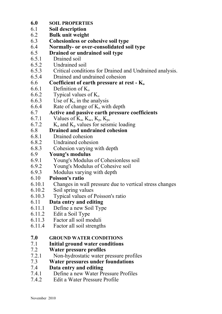- **6.0 SOIL PROPERTIES**
- 6.1 **Soil description**
- 6.2 **Bulk unit weight**
- 6.3 **Cohesionless or cohesive soil type**
- 6.4 **Normally- or over-consolidated soil type**
- 6.5 **Drained or undrained soil type**
- 6.5.1 Drained soil
- 6.5.2 Undrained soil
- 6.5.3 Critical conditions for Drained and Undrained analysis.
- 6.5.4 Drained and undrained cohesion

#### 6.6 **Coefficient of earth pressure at rest - K<sup>o</sup>**

- 6.6.1 Definition of  $K_0$
- 6.6.2 Typical values of  $K_0$ <br>6.6.3 Use of  $K_0$  in the anal
- Use of  $K_0$  in the analysis
- 6.6.4 Rate of change of  $K_0$  with depth

#### 6.7 **Active and passive earth pressure coefficients**

- 6.7.1 Values of  $K_a$ ,  $K_{ac}$ ,  $K_p$ ,  $K_{pc}$
- 6.7.2  $K_a$  and  $K_p$  values for seismic loading

#### 6.8 **Drained and undrained cohesion**

- 6.8.1 Drained cohesion<br>6.8.2 Undrained cohesi
- Undrained cohesion
- 6.8.3 Cohesion varying with depth

#### 6.9 **Young's modulus**

- 6.9.1 Young's Modulus of Cohesionless soil
- 6.9.2 Young's Modulus of Cohesive soil
- 6.9.3 Modulus varying with depth

#### 6.10 **Poisson's ratio**

- 6.10.1 Changes in wall pressure due to vertical stress changes
- 6.10.2 Soil spring values
- 6.10.3 Typical values of Poisson's ratio

#### 6.11 **Data entry and editing**

- 6.11.1 Define a new Soil Type
- 6.11.2 Edit a Soil Type
- 6.11.3 Factor all soil moduli
- 6.11.4 Factor all soil strengths

#### **7.0 GROUND WATER CONDITIONS**

#### 7.1 **Initial ground water conditions**

#### 7.2 **Water pressure profiles**

7.2.1 Non-hydrostatic water pressure profiles

#### 7.3 **Water pressures under foundations**

#### 7.4 **Data entry and editing**

- 7.4.1 Define a new Water Pressure Profiles
- 7.4.2 Edit a Water Pressure Profile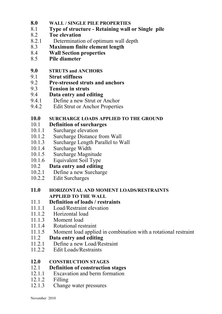- **8.0 WALL / SINGLE PILE PROPERTIES**
- 8.1 **Type of structure Retaining wall or Single pile**
- 8.2 **Toe elevation**
- 8.2.1 Determination of optimum wall depth
- 8.3 **Maximum finite element length**
- 8.4 **Wall Section properties**
- 8.5 **Pile diameter**

#### **9.0 STRUTS and ANCHORS**

- 9.1 **Strut stiffness**
- 9.2 **Pre-stressed struts and anchors**
- 9.3 **Tension in struts**
- 9.4 **Data entry and editing**
- 9.4.1 Define a new Strut or Anchor
- 9.4.2 Edit Strut or Anchor Properties

#### **10.0 SURCHARGE LOADS APPLIED TO THE GROUND**

#### 10.1 **Definition of surcharges**

- 10.1.1 Surcharge elevation
- 
- 10.1.2 Surcharge Distance from Wall<br>10.1.3 Surcharge Length Parallel to W 10.1.3 Surcharge Length Parallel to Wall<br>10.1.4 Surcharge Width
- Surcharge Width
- 10.1.5 Surcharge Magnitude
- 10.1.6 Equivalent Soil Type

#### 10.2 **Data entry and editing**

- 10.2.1 Define a new Surcharge
- 10.2.2 Edit Surcharges

#### **11.0 HORIZONTAL AND MOMENT LOADS/RESTRAINTS APPLIED TO THE WALL**

#### 11.1 **Definition of loads / restraints**

- 11.1.1 Load/Restraint elevation
- 11.1.2 Horizontal load<br>11.1.3 Moment load
- Moment load
- 11.1.4 Rotational restraint
- 11.1.5 Moment load applied in combination with a rotational restraint

#### 11.2 **Data entry and editing**

- 11.2.1 Define a new Load/Restraint
- 11.2.2 Edit Loads/Restraints

#### **12.0 CONSTRUCTION STAGES**

#### 12.1 **Definition of construction stages**

- 12.1.1 Excavation and berm formation
- 12.1.2 Filling
- 12.1.3 Change water pressures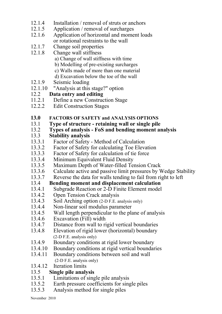- 12.1.4 Installation / removal of struts or anchors
- 12.1.5 Application / removal of surcharges
- 12.1.6 Application of horizontal and moment loads or rotational restraints to the wall
- 12.1.7 Change soil properties
- 12.1.8 Change wall stiffness
	- a) Change of wall stiffness with time
	- b) Modelling of pre-existing surcharges
	- c) Walls made of more than one material
	- d) Excavation below the toe of the wall
- 12.1.9 Seismic loading
- 12.1.10 "Analysis at this stage?" option

#### 12.2 **Data entry and editing**

- 11.2.1 Define a new Construction Stage
- 12.2.2 Edit Construction Stages
- **13.0 FACTORS OF SAFETY and ANALYSIS OPTIONS**
- 13.1 **Type of structure retaining wall or single pile**
- 13.2 **Types of analysis FoS and bending moment analysis**

#### 13.3 **Stability analysis**

- 13.3.1 Factor of Safety Method of Calculation
- 13.3.2 Factor of Safety for calculating Toe Elevation
- 13.3.3 Factor of Safety for calculation of tie force
- 13.3.4 Minimum Equivalent Fluid Density
- 13.3.5 Maximum Depth of Water-filled Tension Crack
- 13.3.6 Calculate active and passive limit pressures by Wedge Stability
- 13.3.7 Reverse the data for walls tending to fail from right to left

#### 13.4 **Bending moment and displacement calculation**

- 13.4.1 Subgrade Reaction or 2-D Finite Element model
- 13.4.2 Open Tension Crack analysis
- 13.4.3 Soil Arching option (2-D F.E. analysis only)
- 13.4.4 Non-linear soil modulus parameter
- 13.4.5 Wall length perpendicular to the plane of analysis
- 13.4.6 Excavation (Fill) width
- 13.4.7 Distance from wall to rigid vertical boundaries
- 13.4.8 Elevation of rigid lower (horizontal) boundary (2-D F.E. analysis only)
- 13.4.9 Boundary conditions at rigid lower boundary
- 13.4.10 Boundary conditions at rigid vertical boundaries
- 13.4.11 Boundary conditions between soil and wall (2-D F.E. analysis only)
- 13.4.12 Iteration limits

#### 13.5 **Single pile analysis**

- 13.5.1 Limitations of single pile analysis
- 13.5.2 Earth pressure coefficients for single piles
- 13.5.3 Analysis method for single piles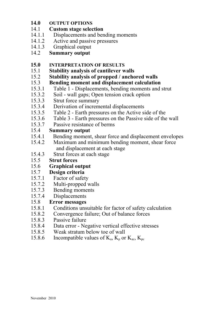#### **14.0 OUTPUT OPTIONS**

#### 14.1 **Custom stage selection**

- 14.1.1 Displacements and bending moments
- 14.1.2 Active and passive pressures
- 14.1.3 Graphical output

#### 14.2 **Summary output**

#### **15.0 INTERPRETATION OF RESULTS**

15.1 **Stability analysis of cantilever walls**

#### 15.2 **Stability analysis of propped / anchored walls**

#### 15.3 **Bending moment and displacement calculation**

- 15.3.1 Table 1 Displacements, bending moments and strut
- 15.3.2 Soil wall gaps; Open tension crack option
- 15.3.3 Strut force summary
- 15.3.4 Derivation of incremental displacements
- 15.3.5 Table 2 Earth pressures on the Active side of the
- 15.3.6 Table 3 Earth pressures on the Passive side of the wall
- 15.3.7 Passive resistance of berms

#### 15.4 **Summary output**

- 15.4.1 Bending moment, shear force and displacement envelopes
- 15.4.2 Maximum and minimum bending moment, shear force and displacement at each stage
- 15.4.3 Strut forces at each stage

#### 15.5 **Strut forces**

15.6 **Graphical output** 

#### 15.7 **Design criteria**

- 15.7.1 Factor of safety
- 15.7.2 Multi-propped walls
- 15.7.3 Bending moments
- 15.7.4 Displacements

#### 15.8 **Error messages**

- 15.8.1 Conditions unsuitable for factor of safety calculation
- 15.8.2 Convergence failure; Out of balance forces
- 15.8.3 Passive failure
- 15.8.4 Data error Negative vertical effective stresses
- 15.8.5 Weak stratum below toe of wall
- 15.8.6 Incompatible values of  $K_a$ ,  $K_p$  or  $K_{ac}$ ,  $K_{pc}$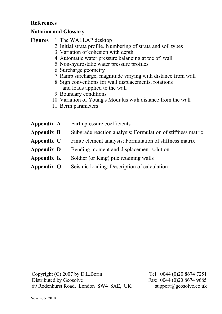#### **References**

#### **Notation and Glossary**

#### **Figures** 1 The WALLAP desktop

- 2 Initial strata profile. Numbering of strata and soil types
- 3 Variation of cohesion with depth
- 4 Automatic water pressure balancing at toe of wall
- 5 Non-hydrostatic water pressure profiles
- 6 Surcharge geometry
- 7 Ramp surcharge; magnitude varying with distance from wall
- 8 Sign conventions for wall displacements, rotations and loads applied to the wall
- 9 Boundary conditions
- 10 Variation of Young's Modulus with distance from the wall
- 11 Berm parameters
- **Appendix A** Earth pressure coefficients
- **Appendix B** Subgrade reaction analysis; Formulation of stiffness matrix
- **Appendix C** Finite element analysis; Formulation of stiffness matrix
- **Appendix D** Bending moment and displacement solution
- **Appendix K** Soldier (or King) pile retaining walls
- **Appendix Q** Seismic loading; Description of calculation

Copyright (C) 2007 by D.L.Borin Tel: 0044 (0)20 8674 7251 Distributed by Geosolve Fax: 0044 (0)20 8674 9685 69 Rodenhurst Road, London SW4 8AE, UK support@geosolve.co.uk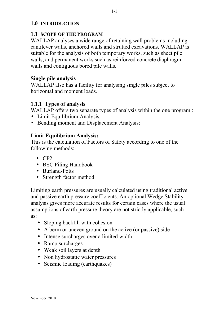#### **1.0 INTRODUCTION**

#### **1.1 SCOPE OF THE PROGRAM**

WALLAP analyses a wide range of retaining wall problems including cantilever walls, anchored walls and strutted excavations. WALLAP is suitable for the analysis of both temporary works, such as sheet pile walls, and permanent works such as reinforced concrete diaphragm walls and contiguous bored pile walls.

#### **Single pile analysis**

WALLAP also has a facility for analysing single piles subject to horizontal and moment loads.

#### **1.1.1 Types of analysis**

WALLAP offers two separate types of analysis within the one program :

- Limit Equilibrium Analysis,
- Bending moment and Displacement Analysis:

#### **Limit Equilibrium Analysis:**

This is the calculation of Factors of Safety according to one of the following methods:

- CP2
- BSC Piling Handbook
- Burland-Potts
- Strength factor method

Limiting earth pressures are usually calculated using traditional active and passive earth pressure coefficients. An optional Wedge Stability analysis gives more accurate results for certain cases where the usual assumptions of earth pressure theory are not strictly applicable, such as:

- Sloping backfill with cohesion
- A berm or uneven ground on the active (or passive) side
- Intense surcharges over a limited width
- Ramp surcharges
- Weak soil layers at depth
- Non hydrostatic water pressures
- Seismic loading (earthquakes)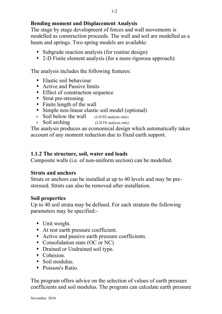#### **Bending moment and Displacement Analysis**

The stage by stage development of forces and wall movements is modelled as construction proceeds. The wall and soil are modelled as a beam and springs. Two spring models are available:

- Subgrade reaction analysis (for routine design)
- 2-D Finite element analysis (for a more rigorous approach)

The analysis includes the following features:

- Elastic soil behaviour
- Active and Passive limits
- Effect of construction sequence
- Strut pre-stressing
- Finite length of the wall
- Simple non-linear elastic soil model (optional)
- Soil below the wall  $(2-D)$  FE analysis only)
- Soil arching (2-D FE analysis only)

The analysis produces an economical design which automatically takes account of any moment reduction due to fixed earth support.

#### **1.1.2 The structure, soil, water and loads**

Composite walls (i.e. of non-uniform section) can be modelled.

#### **Struts and anchors**

Struts or anchors can be installed at up to 40 levels and may be prestressed. Struts can also be removed after installation.

#### **Soil properties**

Up to 40 soil strata may be defined. For each stratum the following parameters may be specified:-

- Unit weight.
- At rest earth pressure coefficient.
- Active and passive earth pressure coefficients.
- Consolidation state (OC or NC)
- Drained or Undrained soil type.
- Cohesion.
- Soil modulus.
- Poisson's Ratio

The program offers advice on the selection of values of earth pressure coefficients and soil modulus. The program can calculate earth pressure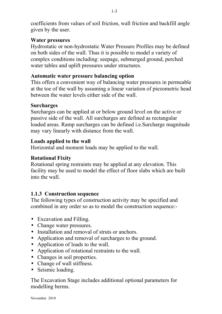coefficients from values of soil friction, wall friction and backfill angle given by the user.

#### **Water pressures**

Hydrostatic or non-hydrostatic Water Pressure Profiles may be defined on both sides of the wall. Thus it is possible to model a variety of complex conditions including: seepage, submerged ground, perched water tables and uplift pressures under structures.

#### **Automatic water pressure balancing option**

This offers a convenient way of balancing water pressures in permeable at the toe of the wall by assuming a linear variation of piezometric head between the water levels either side of the wall.

#### **Surcharges**

Surcharges can be applied at or below ground level on the active or passive side of the wall. All surcharges are defined as rectangular loaded areas. Ramp surcharges can be defined i.e.Surcharge magnitude may vary linearly with distance from the wall.

#### **Loads applied to the wall**

Horizontal and moment loads may be applied to the wall.

#### **Rotational Fixity**

Rotational spring restraints may be applied at any elevation. This facility may be used to model the effect of floor slabs which are built into the wall.

#### **1.1.3 Construction sequence**

The following types of construction activity may be specified and combined in any order so as to model the construction sequence:-

- Excavation and Filling.
- Change water pressures.
- Installation and removal of struts or anchors.
- Application and removal of surcharges to the ground.
- Application of loads to the wall.
- Application of rotational restraints to the wall.
- Changes in soil properties.
- Change of wall stiffness.
- Seismic loading.

The Excavation Stage includes additional optional parameters for modelling berms.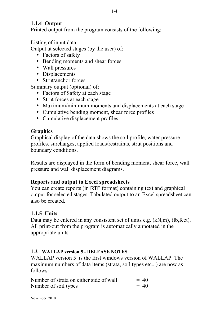#### **1.1.4 Output**

Printed output from the program consists of the following:

Listing of input data

Output at selected stages (by the user) of:

- Factors of safety
- Bending moments and shear forces
- Wall pressures
- Displacements
- Strut/anchor forces

Summary output (optional) of:

- Factors of Safety at each stage
- Strut forces at each stage
- Maximum/minimum moments and displacements at each stage
- Cumulative bending moment, shear force profiles
- Cumulative displacement profiles

#### **Graphics**

Graphical display of the data shows the soil profile, water pressure profiles, surcharges, applied loads/restraints, strut positions and boundary conditions.

Results are displayed in the form of bending moment, shear force, wall pressure and wall displacement diagrams.

#### **Reports and output to Excel spreadsheets**

You can create reports (in RTF format) containing text and graphical output for selected stages. Tabulated output to an Excel spreadsheet can also be created.

#### **1.1.5 Units**

Data may be entered in any consistent set of units e.g.  $(kN,m)$ ,  $(lb, feet)$ . All print-out from the program is automatically annotated in the appropriate units.

#### **1.2 WALLAP version 5 - RELEASE NOTES**

WALLAP version 5 is the first windows version of WALLAP. The maximum numbers of data items (strata, soil types etc...) are now as follows:

| Number of strata on either side of wall | $= 40$ |
|-----------------------------------------|--------|
| Number of soil types                    | $= 40$ |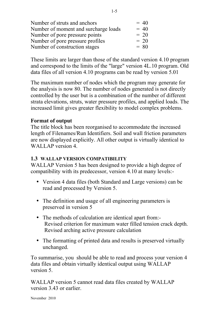| Number of struts and anchors         | $= 40$ |
|--------------------------------------|--------|
| Number of moment and surcharge loads | $= 40$ |
| Number of pore pressure points       | $= 20$ |
| Number of pore pressure profiles     | $= 20$ |
| Number of construction stages        | $= 80$ |

These limits are larger than those of the standard version 4.10 program and correspond to the limits of the "large" version 4L.10 program. Old data files of all version 4.10 programs can be read by version 5.01

The maximum number of nodes which the program may generate for the analysis is now 80. The number of nodes generated is not directly controlled by the user but is a combination of the number of different strata elevations, struts, water pressure profiles, and applied loads. The increased limit gives greater flexibility to model complex problems.

#### **Format of output**

The title block has been reorganised to accommodate the increased length of Filenames/Run Identifiers. Soil and wall friction parameters are now displayed explicitly. All other output is virtually identical to WALLAP version 4.

#### **1.3 WALLAP VERSION COMPATIBILITY**

WALLAP Version 5 has been designed to provide a high degree of compatibility with its predecessor, version 4.10 at many levels:-

- Version 4 data files (both Standard and Large versions) can be read and processed by Version 5.
- The definition and usage of all engineering parameters is preserved in version 5
- The methods of calculation are identical apart from:- Revised criterion for maximum water filled tension crack depth. Revised arching active pressure calculation
- The formatting of printed data and results is preserved virtually unchanged.

To summarise, you should be able to read and process your version 4 data files and obtain virtually identical output using WALLAP version 5.

WALLAP version 5 cannot read data files created by WALLAP version 3.43 or earlier.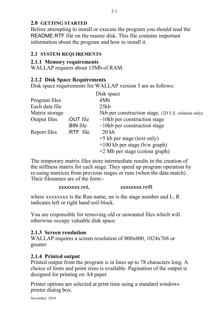#### **2.0 GETTING STARTED**

Before attempting to install or execute the program you should read the README.RTF file on the master disk. This file contains important information about the program and how to install it.

#### **2.1 SYSTEM REQUIREMENTS**

#### **2.1.1 Memory requirements**

WALLAP requires about 15Mb of RAM.

#### **2.1.2 Disk Space Requirements**

Disk space requirements for WALLAP version 5 are as follows:

|                |           | Disk space                                          |
|----------------|-----------|-----------------------------------------------------|
| Program files  |           | 4Mb                                                 |
| Each data file |           | 25kb                                                |
| Matrix storage |           | 5kb per construction stage. (2D F.E. solution only) |
| Output files   | .OUT file | $\sim$ 10kb per construction stage                  |
|                | BIN file  | $\sim$ 10kb per construction stage                  |
| Report files   | .RTF file | $20 \, \text{kb}$                                   |
|                |           | +5 kb per stage (text only)                         |
|                |           | $+100$ kb per stage (b/w graph)                     |
|                |           | +2 Mb per stage (colour graph)                      |

The temporary matrix files store intermediate results in the creation of the stiffness matrix for each stage. They speed up program operation by re-using matrices from previous stages or runs (when the data match). Their filenames are of the form:-

xxxxxxxx.nnL xxxxxxxx.nnR

where xxxxxxx is the Run name, nn is the stage number and L, R indicates left or right hand soil block.

You are responsible for removing old or unwanted files which will otherwise occupy valuable disk space.

#### **2.1.3 Screen resolution**

WALLAP requires a screen resolution of 800x600, 1024x768 or greater.

#### **2.1.4 Printed output**

Printed output from the program is in lines up to 78 characters long. A choice of fonts and point sizes is available. Pagination of the output is designed for printing on A4 paper.

Printer options are selected at print time using a standard windows printer dialog box.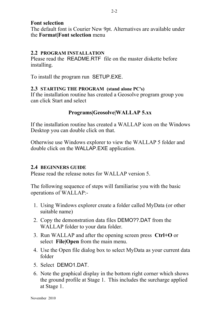The default font is Courier New 9pt. Alternatives are available under the **Format|Font selection** menu

#### **2.2 PROGRAM INSTALLATION**

Please read the README.RTF file on the master diskette before installing.

To install the program run SETUP.EXE.

#### **2.3 STARTING THE PROGRAM (stand alone PC's)**

If the installation routine has created a Geosolve program group you can click Start and select

#### **Programs|Geosolve|WALLAP 5.xx**

If the installation routine has created a WALLAP icon on the Windows Desktop you can double click on that.

Otherwise use Windows explorer to view the WALLAP 5 folder and double click on the WALLAP.EXE application.

#### **2.4 BEGINNERS GUIDE**

Please read the release notes for WALLAP version 5.

The following sequence of steps will familiarise you with the basic operations of WALLAP:-

- 1. Using Windows explorer create a folder called MyData (or other suitable name)
- 2. Copy the demonstration data files DEMO??.DAT from the WALLAP folder to your data folder.
- 3. Run WALLAP and after the opening screen press **Ctrl+O** or select **File|Open** from the main menu.
- 4. Use the Open file dialog box to select MyData as your current data folder
- 5. Select DEMO1.DAT.
- 6. Note the graphical display in the bottom right corner which shows the ground profile at Stage 1. This includes the surcharge applied at Stage 1.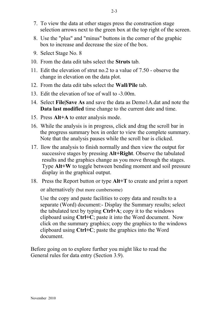- 7. To view the data at other stages press the construction stage selection arrows next to the green box at the top right of the screen.
- 8. Use the "plus" and "minus" buttons in the corner of the graphic box to increase and decrease the size of the box.
- 9. Select Stage No. 8
- 10. From the data edit tabs select the **Struts** tab.
- 11. Edit the elevation of strut no.2 to a value of 7.50 observe the change in elevation on the data plot.
- 12. From the data edit tabs select the **Wall/Pile** tab.
- 13. Edit the elevation of toe of wall to -3.00m.
- 14. Select **File|Save As** and save the data as Demo1A.dat and note the **Data last modified** time change to the current date and time.
- 15. Press **Alt+A** to enter analysis mode.
- 16. While the analysis is in progress, click and drag the scroll bar in the progress summary box in order to view the complete summary. Note that the analysis pauses while the scroll bar is clicked.
- 17. llow the analysis to finish normally and then view the output for successive stages by pressing **Alt+Right**. Observe the tabulated results and the graphics change as you move through the stages. Type **Alt+W** to toggle between bending moment and soil pressure display in the graphical output.
- 18. Press the Report button or type **Alt+T** to create and print a report

or alternatively (but more cumbersome)

Use the copy and paste facilities to copy data and results to a separate (Word) document:- Display the Summary results; select the tabulated text by typing **Ctrl+A**; copy it to the windows clipboard using **Ctrl+C**; paste it into the Word document. Now click on the summary graphics; copy the graphics to the windows clipboard using **Ctrl+C**; paste the graphics into the Word document.

Before going on to explore further you might like to read the General rules for data entry (Section 3.9).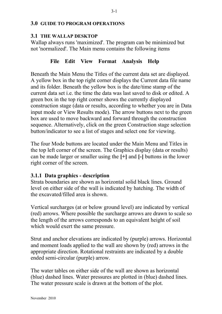#### **3.0 GUIDE TO PROGRAM OPERATIONS**

#### **3.1 THE WALLAP DESKTOP**

Wallap always runs 'maximized'. The program can be minimized but not 'normalized'. The Main menu contains the following items

#### **File Edit View Format Analysis Help**

Beneath the Main Menu the Titles of the current data set are displayed. A yellow box in the top right corner displays the Current data file name and its folder. Beneath the yellow box is the date/time stamp of the current data set i.e. the time the data was last saved to disk or edited. A green box in the top right corner shows the currently displayed construction stage (data or results, according to whether you are in Data input mode or View Results mode). The arrow buttons next to the green box are used to move backward and forward through the construction sequence. Alternatively, click on the green Construction stage selection button/indicator to see a list of stages and select one for viewing.

The four Mode buttons are located under the Main Menu and Titles in the top left corner of the screen. The Graphics display (data or results) can be made larger or smaller using the **[+]** and **[-]** buttons in the lower right corner of the screen.

#### **3.1.1 Data graphics - description**

Strata boundaries are shown as horizontal solid black lines. Ground level on either side of the wall is indicated by hatching. The width of the excavated/filled area is shown.

Vertical surcharges (at or below ground level) are indicated by vertical (red) arrows. Where possible the surcharge arrows are drawn to scale so the length of the arrows corresponds to an equivalent height of soil which would exert the same pressure.

Strut and anchor elevations are indicated by (purple) arrows. Horizontal and moment loads applied to the wall are shown by (red) arrows in the appropriate direction. Rotational restraints are indicated by a double ended semi-circular (purple) arrow.

The water tables on either side of the wall are shown as horizontal (blue) dashed lines. Water pressures are plotted in (blue) dashed lines. The water pressure scale is drawn at the bottom of the plot.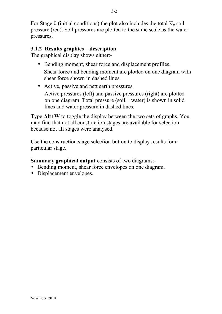For Stage 0 (initial conditions) the plot also includes the total  $K_0$  soil pressure (red). Soil pressures are plotted to the same scale as the water pressures.

#### **3.1.2 Results graphics – description**

The graphical display shows either:-

- Bending moment, shear force and displacement profiles. Shear force and bending moment are plotted on one diagram with shear force shown in dashed lines.
- Active, passive and nett earth pressures. Active pressures (left) and passive pressures (right) are plotted on one diagram. Total pressure (soil  $+$  water) is shown in solid lines and water pressure in dashed lines.

Type **Alt+W** to toggle the display between the two sets of graphs. You may find that not all construction stages are available for selection because not all stages were analysed.

Use the construction stage selection button to display results for a particular stage.

#### **Summary graphical output** consists of two diagrams:-

- Bending moment, shear force envelopes on one diagram.
- Displacement envelopes.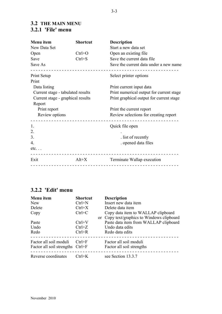#### **3.2 THE MAIN MENU 3.2.1 'File' menu**

| Menu item                         | <b>Shortcut</b> | <b>Description</b>                       |  |  |
|-----------------------------------|-----------------|------------------------------------------|--|--|
| New Data Set                      |                 | Start a new data set                     |  |  |
| Open                              | $Ctrl + O$      | Open an existing file                    |  |  |
| Save                              | $Ctrl + S$      | Save the current data file               |  |  |
| Save As                           |                 | Save the current data under a new name   |  |  |
| Print Setup                       |                 | Select printer options                   |  |  |
| Print                             |                 |                                          |  |  |
| Data listing                      |                 | Print current input data                 |  |  |
| Current stage - tabulated results |                 | Print numerical output for current stage |  |  |
| Current stage - graphical results |                 | Print graphical output for current stage |  |  |
| Report                            |                 |                                          |  |  |
| Print report                      |                 | Print the current report                 |  |  |
| Review options                    |                 | Review selections for creating report    |  |  |
| 1.                                |                 | Quick file open                          |  |  |
| 2.                                |                 |                                          |  |  |
| 3.                                |                 | . list of recently                       |  |  |
| 4.                                |                 | . opened data files                      |  |  |
| etc.                              |                 |                                          |  |  |
| Exit                              | $Alt+X$         | Terminate Wallap execution               |  |  |
|                                   |                 |                                          |  |  |

#### **3.2.2 'Edit' menu**

| Menu item                        | <b>Shortcut</b> | <b>Description</b>                         |
|----------------------------------|-----------------|--------------------------------------------|
| <b>New</b>                       | $Ctrl + N$      | Insert new data item                       |
| Delete                           | $Ctrl+X$        | Delete data item                           |
| Copy                             | $Ctrl+C$        | Copy data item to WALLAP clipboard         |
|                                  |                 | or Copy text/graphics to Windows clipboard |
| Paste                            | $Ctrl+V$        | Paste data item from WALLAP clipboard      |
| Undo                             | $Ctrl + Z$      | Undo data edits                            |
| Redo                             | $Ctrl + R$      | Redo data edits                            |
| Factor all soil moduli           | $Ctrl + F$      | Factor all soil moduli                     |
| Factor all soil strengths Ctrl+F |                 | Factor all soil strengths                  |
| Reverse coordinates              | $Ctrl+K$        | see Section 13.3.7                         |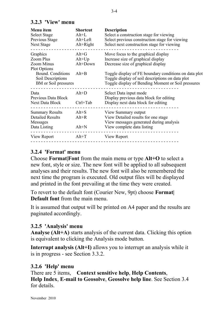| Menu item<br><b>Select Stage</b><br>Previous Stage<br><b>Next Stage</b>                                                      | <b>Shortcut</b><br>$Alt+L$<br>$Alt+Left$<br>$Alt+Right$ | <b>Description</b><br>Select a construction stage for viewing<br>Select previous construction stage for viewing<br>Select next construction stage for viewing                                                                                                                      |
|------------------------------------------------------------------------------------------------------------------------------|---------------------------------------------------------|------------------------------------------------------------------------------------------------------------------------------------------------------------------------------------------------------------------------------------------------------------------------------------|
| Graphics<br>Zoom Plus<br>Zoom Minus<br><b>Plot Options</b><br>Bound. Conditions<br>Soil Descriptions<br>BM or Soil pressures | $Alt+G$<br>$Alt+Up$<br>Alt+Down<br>$Alt+B$              | Move focus to the graphical display<br>Increase size of graphical display<br>Decrease size of graphical display<br>Toggle display of FE boundary conditions on data plot<br>Toggle display of soil descriptions on data plot<br>Toggle display of Bending Moment or Soil pressures |
| Data<br>Previous Data Block<br><b>Next Data Block</b>                                                                        | $Alt+D$<br>$Ctrl+Tab$                                   | Select Data input mode<br>Display previous data block for editing<br>Display next data block for editing                                                                                                                                                                           |
| <b>Summary Results</b><br><b>Detailed Results</b><br>Messages<br>Data Listing                                                | $Alt + S$<br>$Alt+R$<br>$Alt+N$                         | View Summary output<br>View Detailed results for one stage<br>View messages generated during analysis<br>View complete data listing                                                                                                                                                |
| View Report                                                                                                                  | $Alt+T$                                                 | View Report                                                                                                                                                                                                                                                                        |

#### **3.2.3 'View' menu**

#### **3.2.4 'Format' menu**

Choose **Format|Font** from the main menu or type **Alt+O** to select a new font, style or size. The new font will be applied to all subsequent analyses and their results. The new font will also be remembered the next time the program is executed. Old output files will be displayed and printed in the font prevailing at the time they were created.

To revert to the default font (Courier New, 9pt) choose **Format| Default font** from the main menu.

It is assumed that output will be printed on A4 paper and the results are paginated accordingly.

#### **3.2.5 'Analysis' menu**

**Analyse (Alt+A)** starts analysis of the current data. Clicking this option is equivalent to clicking the Analysis mode button.

**Interrupt analysis (Alt+I)** allows you to interrupt an analysis while it is in progress - see Section 3.3.2.

#### **3.2.6 'Help' menu**

There are 5 items, **Context sensitive help**, **Help Contents**, **Help Index**, **E-mail to Geosolve**, **Geosolve help line**. See Section 3.4 for details.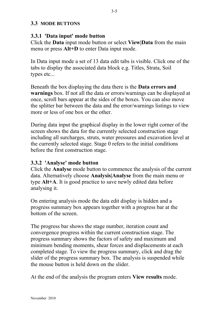#### **3.3 MODE BUTTONS**

#### **3.3.1 'Data input' mode button**

Click the **Data** input mode button or select **View|Data** from the main menu or press **Alt+D** to enter Data input mode.

In Data input mode a set of 13 data edit tabs is visible. Click one of the tabs to display the associated data block e.g. Titles, Strata, Soil types etc...

Beneath the box displaying the data there is the **Data errors and warnings** box. If not all the data or errors/warnings can be displayed at once, scroll bars appear at the sides of the boxes. You can also move the splitter bar between the data and the error/warnings listings to view more or less of one box or the other.

During data input the graphical display in the lower right corner of the screen shows the data for the currently selected construction stage including all surcharges, struts, water pressures and excavation level at the currently selected stage. Stage 0 refers to the initial conditions before the first construction stage.

#### **3.3.2 'Analyse' mode button**

Click the **Analyse** mode button to commence the analysis of the current data. Alternatively choose **Analysis|Analyse** from the main menu or type **Alt+A**. It is good practice to save newly edited data before analysing it.

On entering analysis mode the data edit display is hidden and a progress summary box appears together with a progress bar at the bottom of the screen.

The progress bar shows the stage number, iteration count and convergence progress within the current construction stage. The progress summary shows the factors of safety and maximum and minimum bending moments, shear forces and displacements at each completed stage. To view the progress summary, click and drag the slider of the progress summary box. The analysis is suspended while the mouse button is held down on the slider.

At the end of the analysis the program enters **View results** mode.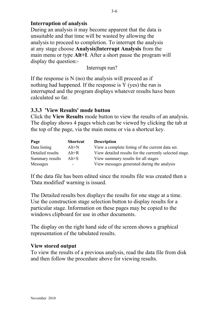#### **Interruption of analysis**

During an analysis it may become apparent that the data is unsuitable and that time will be wasted by allowing the analysis to proceed to completion. To interrupt the analysis at any stage choose **Analysis|Interrupt Analysis** from the main menu or type **Alt+I**. After a short pause the program will display the question:-

Interrupt run?

If the response is  $N$  (no) the analysis will proceed as if nothing had happened. If the response is Y (yes) the run is interrupted and the program displays whatever results have been calculated so far.

#### **3.3.3 'View Results' mode button**

Click the **View Results** mode button to view the results of an analysis. The display shows 4 pages which can be viewed by clicking the tab at the top of the page, via the main menu or via a shortcut key.

| Page             | <b>Shortcut</b> | <b>Description</b>                                      |
|------------------|-----------------|---------------------------------------------------------|
| Data listing     | $Alt+N$         | View a complete listing of the current data set.        |
| Detailed results | $Alt+R$         | View detailed results for the currently selected stage. |
| Summary results  | $Alt+S$         | View summary results for all stages                     |
| <b>Messages</b>  |                 | View messages generated during the analysis             |

If the data file has been edited since the results file was created then a 'Data modified' warning is issued.

The Detailed results box displays the results for one stage at a time. Use the construction stage selection button to display results for a particular stage. Information on these pages may be copied to the windows clipboard for use in other documents.

The display on the right hand side of the screen shows a graphical representation of the tabulated results.

#### **View stored output**

To view the results of a previous analysis, read the data file from disk and then follow the procedure above for viewing results.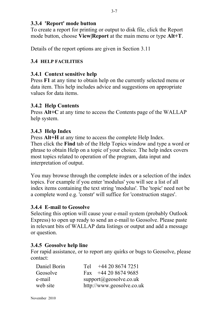#### **3.3.4 'Report' mode button**

To create a report for printing or output to disk file, click the Report mode button, choose **View|Report** at the main menu or type **Alt+T**.

Details of the report options are given in Section 3.11

#### **3.4 HELP FACILITIES**

#### **3.4.1 Context sensitive help**

Press **F1** at any time to obtain help on the currently selected menu or data item. This help includes advice and suggestions on appropriate values for data items.

#### **3.4.2 Help Contents**

Press **Alt+C** at any time to access the Contents page of the WALLAP help system.

#### **3.4.3 Help Index**

Press **Alt+H** at any time to access the complete Help Index. Then click the **Find** tab of the Help Topics window and type a word or phrase to obtain Help on a topic of your choice. The help index covers most topics related to operation of the program, data input and interpretation of output.

You may browse through the complete index or a selection of the index topics. For example if you enter 'modulus' you will see a list of all index items containing the text string 'modulus'. The 'topic' need not be a complete word e.g. 'constr' will suffice for 'construction stages'.

#### **3.4.4 E-mail to Geosolve**

Selecting this option will cause your e-mail system (probably Outlook Express) to open up ready to send an e-mail to Geosolve. Please paste in relevant bits of WALLAP data listings or output and add a message or question.

#### **3.4.5 Geosolve help line**

For rapid assistance, or to report any quirks or bugs to Geosolve, please contact:

| Daniel Borin | $+442086747251$<br>Tel                |  |
|--------------|---------------------------------------|--|
| Geosolve     | Fax $+442086749685$                   |  |
| e-mail       | $support(\widehat{a})$ geosolve.co.uk |  |
| web site     | http://www.geosolve.co.uk             |  |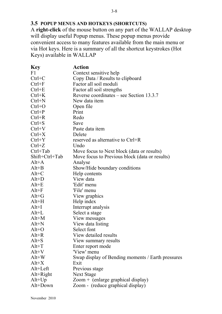#### **3.5 POPUP MENUS AND HOTKEYS (SHORTCUTS)**

A **right-click** of the mouse button on any part of the WALLAP desktop will display useful Popup menus. These popup menus provide convenient access to many features available from the main menu or via Hot keys. Here is a summary of all the shortcut keystrokes (Hot Keys) available in WALLAP

| <b>Key</b>     | Action                                              |
|----------------|-----------------------------------------------------|
| F1             | Context sensitive help                              |
| $Ctrl+C$       | Copy Data / Results to clipboard                    |
| $Ctrl + F$     | Factor all soil moduli                              |
| $Ctrl+E$       | Factor all soil strengths                           |
| $Ctrl+K$       | Reverse coordinates – see Section $13.3.7$          |
| $Ctrl+N$       | New data item                                       |
| $Ctrl + O$     | Open file                                           |
| $Ctrl + P$     | Print                                               |
| $Ctrl + R$     | Redo                                                |
| $Ctrl + S$     | Save                                                |
| $Ctrl+V$       | Paste data item                                     |
| $Ctrl+X$       | Delete                                              |
| $Ctrl+Y$       | reserved as alternative to Ctrl+R                   |
| $Ctrl+Z$       | Undo                                                |
| $Ctrl+Tab$     | Move focus to Next block (data or results)          |
| Shift+Ctrl+Tab | Move focus to Previous block (data or results)      |
| $Alt+A$        | Analyse                                             |
| $Alt+B$        | Show/Hide boundary conditions                       |
| $Alt+C$        | Help contents                                       |
| $Alt+D$        | View data                                           |
| $Alt+E$        | 'Edit' menu                                         |
| $Alt+F$        | 'File' menu                                         |
| Alt+G          | View graphics                                       |
| Alt+H          | Help index                                          |
| Alt+I          | Interrupt analysis                                  |
| $Alt+L$        | Select a stage                                      |
| Alt+M          | View messages                                       |
| Alt+N          | View data listing                                   |
| $Alt+O$        | Select font                                         |
| Alt+R          | View detailed results                               |
| $Alt+S$        | View summary results                                |
| $Alt+T$        | Enter report mode                                   |
| $Alt+V$        | 'View' menu                                         |
| $Alt+W$        | Swap display of Bending moments / Earth pressures   |
| $Alt+X$        | Exit                                                |
| Alt+Left       | Previous stage                                      |
| $Alt+Right$    | <b>Next Stage</b>                                   |
| $Alt+Up$       | $\text{Zoom} + \text{ (enlarge graphical display)}$ |
| Alt+Down       | Zoom - (reduce graphical display)                   |
|                |                                                     |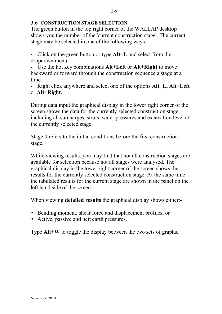#### **3.6 CONSTRUCTION STAGE SELECTION**

The green button in the top right corner of the WALLAP desktop shows you the number of the 'current construction stage'. The current stage may be selected in one of the following ways:-

• Click on the green button or type **Alt+L** and select from the dropdown menu

• Use the hot key combinations **Alt+Left** or **Alt+Right** to move backward or forward through the construction sequence a stage at a time.

• Right click anywhere and select one of the options **Alt+L, Alt+Left** or **Alt+Right**.

During data input the graphical display in the lower right corner of the screen shows the data for the currently selected construction stage including all surcharges, struts, water pressures and excavation level at the currently selected stage.

Stage 0 refers to the initial conditions before the first construction stage.

While viewing results, you may find that not all construction stages are available for selection because not all stages were analysed. The graphical display in the lower right corner of the screen shows the results for the currently selected construction stage. At the same time the tabulated results for the current stage are shown in the panel on the left hand side of the screen.

When viewing **detailed results** the graphical display shows either:-

- Bending moment, shear force and displacement profiles, or
- Active, passive and nett earth pressures.

Type **Alt+W** to toggle the display between the two sets of graphs.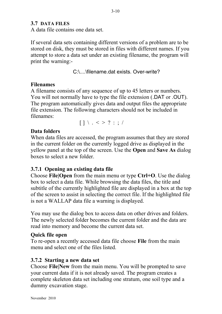#### **3.7 DATA FILES**

A data file contains one data set.

If several data sets containing different versions of a problem are to be stored on disk, they must be stored in files with different names. If you attempt to store a data set under an existing filename, the program will print the warning:-

C:\....\filename.dat exists. Over-write?

#### **Filenames**

A filename consists of any sequence of up to 45 letters or numbers. You will not normally have to type the file extension (.DAT or .OUT). The program automatically gives data and output files the appropriate file extension. The following characters should not be included in filenames:

 $[ ] \ \ | \ \ < \ > \ ? \ : \ : \ \ /$ 

#### **Data folders**

When data files are accessed, the program assumes that they are stored in the current folder on the currently logged drive as displayed in the yellow panel at the top of the screen. Use the **Open** and **Save As** dialog boxes to select a new folder.

#### **3.7.1 Opening an existing data file**

Choose **File|Open** from the main menu or type **Ctrl+O**. Use the dialog box to select a data file. While browsing the data files, the title and subtitle of the currently highlighted file are displayed in a box at the top of the screen to assist in selecting the correct file. If the highlighted file is not a WALLAP data file a warning is displayed.

You may use the dialog box to access data on other drives and folders. The newly selected folder becomes the current folder and the data are read into memory and become the current data set.

#### **Quick file open**

To re-open a recently accessed data file choose **File** from the main menu and select one of the files listed.

#### **3.7.2 Starting a new data set**

Choose **File|New** from the main menu. You will be prompted to save your current data if it is not already saved. The program creates a complete skeleton data set including one stratum, one soil type and a dummy excavation stage.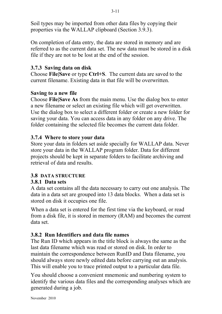Soil types may be imported from other data files by copying their properties via the WALLAP clipboard (Section 3.9.3).

On completion of data entry, the data are stored in memory and are referred to as the current data set. The new data must be stored in a disk file if they are not to be lost at the end of the session.

#### **3.7.3 Saving data on disk**

Choose **File|Save** or type **Ctrl+S**. The current data are saved to the current filename. Existing data in that file will be overwritten.

#### **Saving to a new file**

Choose **File|Save As** from the main menu. Use the dialog box to enter a new filename or select an existing file which will get overwritten. Use the dialog box to select a different folder or create a new folder for saving your data. You can access data in any folder on any drive. The folder containing the selected file becomes the current data folder.

#### **3.7.4 Where to store your data**

Store your data in folders set aside specially for WALLAP data. Never store your data in the WALLAP program folder. Data for different projects should be kept in separate folders to facilitate archiving and retrieval of data and results.

#### **3.8 DATA STRUCTURE**

#### **3.8.1 Data sets**

A data set contains all the data necessary to carry out one analysis. The data in a data set are grouped into 13 data blocks. When a data set is stored on disk it occupies one file.

When a data set is entered for the first time via the keyboard, or read from a disk file, it is stored in memory (RAM) and becomes the current data set.

#### **3.8.2 Run Identifiers and data file names**

The Run ID which appears in the title block is always the same as the last data filename which was read or stored on disk. In order to maintain the correspondence between RunID and Data filename, you should always store newly edited data before carrying out an analysis. This will enable you to trace printed output to a particular data file.

You should choose a convenient mnemonic and numbering system to identify the various data files and the corresponding analyses which are generated during a job.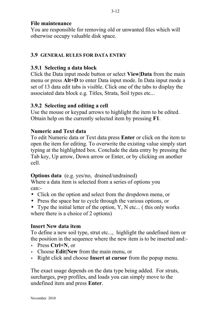#### **File maintenance**

You are responsible for removing old or unwanted files which will otherwise occupy valuable disk space.

#### **3.9 GENERAL RULES FOR DATA ENTRY**

#### **3.9.1 Selecting a data block**

Click the Data input mode button or select **View|Data** from the main menu or press **Alt+D** to enter Data input mode. In Data input mode a set of 13 data edit tabs is visible. Click one of the tabs to display the associated data block e.g. Titles, Strata, Soil types etc...

#### **3.9.2 Selecting and editing a cell**

Use the mouse or keypad arrows to highlight the item to be edited. Obtain help on the currently selected item by pressing **F1**.

#### **Numeric and Text data**

To edit Numeric data or Text data press **Enter** or click on the item to open the item for editing. To overwrite the existing value simply start typing at the highlighted box. Conclude the data entry by pressing the Tab key, Up arrow, Down arrow or Enter, or by clicking on another cell.

#### **Options data** (e.g. yes/no, drained/undrained)

Where a data item is selected from a series of options you can:-

- Click on the option and select from the dropdown menu, or
- Press the space bar to cycle through the various options, or
- Type the initial letter of the option, Y, N etc... (this only works where there is a choice of 2 options)

#### **Insert New data item**

To define a new soil type, strut etc..., highlight the undefined item or the position in the sequence where the new item is to be inserted and:-

- Press **Ctrl+N**, or
- Choose **Edit|New** from the main menu, or
- Right click and choose **Insert at cursor** from the popup menu.

The exact usage depends on the data type being added. For struts, surcharges, pwp profiles, and loads you can simply move to the undefined item and press **Enter**.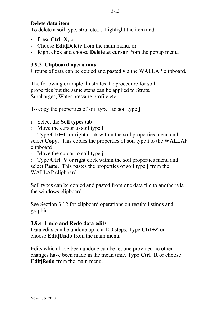#### **Delete data item**

To delete a soil type, strut etc..., highlight the item and:-

- Press **Ctrl+X**, or
- Choose **Edit|Delete** from the main menu, or
- Right click and choose **Delete at cursor** from the popup menu.

#### **3.9.3 Clipboard operations**

Groups of data can be copied and pasted via the WALLAP clipboard.

The following example illustrates the procedure for soil properties but the same steps can be applied to Struts, Surcharges, Water pressure profile etc....

To copy the properties of soil type **i** to soil type **j**

- 1. Select the **Soil types** tab
- 2. Move the cursor to soil type **i**
- 3. Type **Ctrl+C** or right click within the soil properties menu and select **Copy**. This copies the properties of soil type **i** to the WALLAP clipboard
- 4. Move the cursor to soil type **j**
- 5. Type **Ctrl+V** or right click within the soil properties menu and select **Paste**. This pastes the properties of soil type **j** from the WALLAP clipboard

Soil types can be copied and pasted from one data file to another via the windows clipboard.

See Section 3.12 for clipboard operations on results listings and graphics.

#### **3.9.4 Undo and Redo data edits**

Data edits can be undone up to a 100 steps. Type **Ctrl+Z** or choose **Edit|Undo** from the main menu.

Edits which have been undone can be redone provided no other changes have been made in the mean time. Type **Ctrl+R** or choose **Edit|Redo** from the main menu.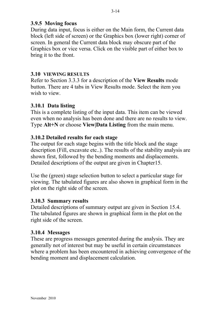#### **3.9.5 Moving focus**

During data input, focus is either on the Main form, the Current data block (left side of screen) or the Graphics box (lower right) corner of screen. In general the Current data block may obscure part of the Graphics box or vice versa. Click on the visible part of either box to bring it to the front.

#### **3.10 VIEWING RESULTS**

Refer to Section 3.3.3 for a description of the **View Results** mode button. There are 4 tabs in View Results mode. Select the item you wish to view.

#### **3.10.1 Data listing**

This is a complete listing of the input data. This item can be viewed even when no analysis has been done and there are no results to view. Type **Alt+N** or choose **View|Data Listing** from the main menu.

#### **3.10.2 Detailed results for each stage**

The output for each stage begins with the title block and the stage description (Fill, excavate etc..). The results of the stability analysis are shown first, followed by the bending moments and displacements. Detailed descriptions of the output are given in Chapter15.

Use the (green) stage selection button to select a particular stage for viewing. The tabulated figures are also shown in graphical form in the plot on the right side of the screen.

#### **3.10.3 Summary results**

Detailed descriptions of summary output are given in Section 15.4. The tabulated figures are shown in graphical form in the plot on the right side of the screen.

#### **3.10.4 Messages**

These are progress messages generated during the analysis. They are generally not of interest but may be useful in certain circumstances where a problem has been encountered in achieving convergence of the bending moment and displacement calculation.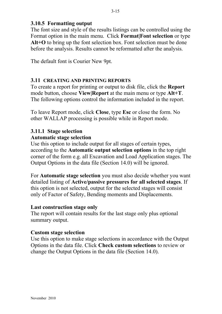#### **3.10.5 Formatting output**

The font size and style of the results listings can be controlled using the Format option in the main menu. Click **Format|Font selection** or type **Alt+O** to bring up the font selection box. Font selection must be done before the analysis. Results cannot be reformatted after the analysis.

The default font is Courier New 9pt.

#### **3.11 CREATING AND PRINTING REPORTS**

To create a report for printing or output to disk file, click the **Report** mode button, choose **View|Report** at the main menu or type **Alt+T**. The following options control the information included in the report.

To leave Report mode, click **Close**, type **Esc** or close the form. No other WALLAP processing is possible while in Report mode.

#### **3.11.1 Stage selection**

#### **Automatic stage selection**

Use this option to include output for all stages of certain types, according to the **Automatic output selection options** in the top right corner of the form e.g. all Excavation and Load Application stages. The Output Options in the data file (Section 14.0) will be ignored.

For **Automatic stage selection** you must also decide whether you want detailed listing of **Active/passive pressures for all selected stages**. If this option is not selected, output for the selected stages will consist only of Factor of Safety, Bending moments and Displacements.

#### **Last construction stage only**

The report will contain results for the last stage only plus optional summary output.

#### **Custom stage selection**

Use this option to make stage selections in accordance with the Output Options in the data file. Click **Check custom selections** to review or change the Output Options in the data file (Section 14.0).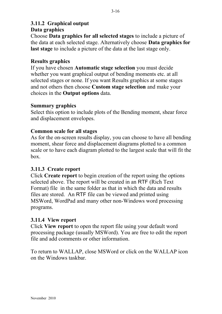### **3.11.2 Graphical output**

#### **Data graphics**

Choose **Data graphics for all selected stages** to include a picture of the data at each selected stage. Alternatively choose **Data graphics for last stage** to include a picture of the data at the last stage only.

#### **Results graphics**

If you have chosen **Automatic stage selection** you must decide whether you want graphical output of bending moments etc. at all selected stages or none. If you want Results graphics at some stages and not others then choose **Custom stage selection** and make your choices in the **Output options** data.

#### **Summary graphics**

Select this option to include plots of the Bending moment, shear force and displacement envelopes.

#### **Common scale for all stages**

As for the on-screen results display, you can choose to have all bending moment, shear force and displacement diagrams plotted to a common scale or to have each diagram plotted to the largest scale that will fit the box.

#### **3.11.3 Create report**

Click **Create report** to begin creation of the report using the options selected above. The report will be created in an RTF (Rich Text Format) file in the same folder as that in which the data and results files are stored. An RTF file can be viewed and printed using MSWord, WordPad and many other non-Windows word processing programs.

#### **3.11.4 View report**

Click **View report** to open the report file using your default word processing package (usually MSWord). You are free to edit the report file and add comments or other information.

To return to WALLAP, close MSWord or click on the WALLAP icon on the Windows taskbar.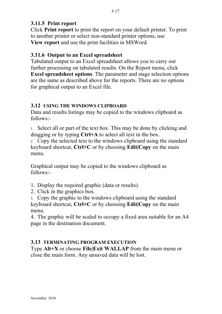#### **3.11.5 Print report**

Click **Print report** to print the report on your default printer. To print to another printer or select non-standard printer options, use **View report** and use the print facilities in MSWord.

#### **3.11.6 Output to an Excel spreadsheet**

Tabulated output to an Excel spreadsheet allows you to carry out further processing on tabulated results. On the Report menu, click **Excel spreadsheet options**. The parameter and stage selection options are the same as described above for the reports. There are no options for graphical output to an Excel file.

#### **3.12 USING THE WINDOWS CLIPBOARD**

Data and results listings may be copied to the windows clipboard as follows:-

1. Select all or part of the text box. This may be done by clicking and dragging or by typing **Ctrl+A** to select all text in the box.

2. Copy the selected text to the windows clipboard using the standard keyboard shortcut, **Ctrl+C** or by choosing **Edit|Copy** on the main menu.

Graphical output may be copied to the windows clipboard as follows:-

1. Display the required graphic (data or results).

2. Click in the graphics box.

3. Copy the graphic to the windows clipboard using the standard keyboard shortcut, **Ctrl+C** or by choosing **Edit|Copy** on the main menu.

4. The graphic will be scaled to occupy a fixed area suitable for an A4 page in the destination document.

#### **3.13 TERMINATING PROGRAM EXECUTION**

Type **Alt+X** or choose **File|Exit WALLAP** from the main menu or close the main form. Any unsaved data will be lost.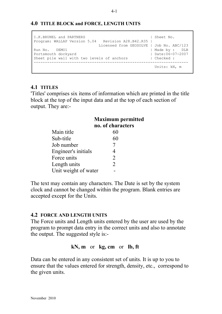```
I.K.BRUNEL and PARTNERS | Sheet No. 
Program: WALLAP Version 5.04 Revision A28.B42.R35 | 
              Licensed from GEOSOLVE | Job No. ABC/123 
Run No. DEMO1 | Made by : DLB 
Portsmouth dockyard | Date:06-07-2007
Sheet pile wall with two levels of anchors | Checked :
--------------------------------------------------------------------- 
                                        Units: kN, m
```
#### **4.1 TITLES**

'Titles' comprises six items of information which are printed in the title block at the top of the input data and at the top of each section of output. They are:-

|                      | <b>Maximum permitted</b><br>no. of characters |
|----------------------|-----------------------------------------------|
| Main title           | 60                                            |
| Sub-title            | 60                                            |
| Job number           |                                               |
| Engineer's initials  |                                               |
| Force units          | $\mathfrak{D}$                                |
| Length units         | $\mathfrak{D}$                                |
| Unit weight of water |                                               |

The text may contain any characters. The Date is set by the system clock and cannot be changed within the program. Blank entries are accepted except for the Units.

#### **4.2 FORCE AND LENGTH UNITS**

The Force units and Length units entered by the user are used by the program to prompt data entry in the correct units and also to annotate the output. The suggested style is:-

#### **kN, m** or **kg, cm** or **lb, ft**

Data can be entered in any consistent set of units. It is up to you to ensure that the values entered for strength, density, etc., correspond to the given units.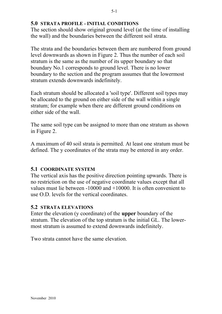#### **5.0 STRATA PROFILE - INITIAL CONDITIONS**

The section should show original ground level (at the time of installing the wall) and the boundaries between the different soil strata.

The strata and the boundaries between them are numbered from ground level downwards as shown in Figure 2. Thus the number of each soil stratum is the same as the number of its upper boundary so that boundary No.1 corresponds to ground level. There is no lower boundary to the section and the program assumes that the lowermost stratum extends downwards indefinitely.

Each stratum should be allocated a 'soil type'. Different soil types may be allocated to the ground on either side of the wall within a single stratum; for example when there are different ground conditions on either side of the wall.

The same soil type can be assigned to more than one stratum as shown in Figure 2.

A maximum of 40 soil strata is permitted. At least one stratum must be defined. The y coordinates of the strata may be entered in any order.

#### **5.1 COORDINATE SYSTEM**

The vertical axis has the positive direction pointing upwards. There is no restriction on the use of negative coordinate values except that all values must lie between -10000 and +10000. It is often convenient to use O.D. levels for the vertical coordinates.

#### **5.2 STRATA ELEVATIONS**

Enter the elevation (y coordinate) of the **upper** boundary of the stratum. The elevation of the top stratum is the initial GL. The lowermost stratum is assumed to extend downwards indefinitely.

Two strata cannot have the same elevation.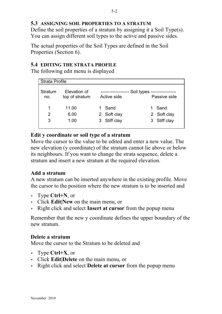### **5.3 ASSIGNING SOIL PROPERTIES TO A STRATUM**

Define the soil properties of a stratum by assigning it a Soil Type(s). You can assign different soil types to the active and passive sides.

The actual properties of the Soil Types are defined in the Soil Properties (Section 6).

## **5.4 EDITING THE STRATA PROFILE**

The following edit menu is displayed

| <b>Strata Profile</b> |                                |              |               |              |
|-----------------------|--------------------------------|--------------|---------------|--------------|
| <b>Stratum</b><br>no. | Elevation of<br>top of stratum | Active side  | Soil types -- | Passive side |
| 1                     | 11.00                          | Sand         |               | Sand         |
| 2                     | 6.00                           | 2 Soft clay  |               | 2 Soft clay  |
| 3                     | 1.00                           | 3 Stiff clay | 3             | Stiff clay   |
|                       |                                |              |               |              |

#### **Edit y coordinate or soil type of a stratum**

Move the cursor to the value to be edited and enter a new value. The new elevation (y coordinate) of the stratum cannot lie above or below its neighbours. If you want to change the strata sequence, delete a stratum and insert a new stratum at the required elevation.

#### **Add a stratum**

A new stratum can be inserted anywhere in the existing profile. Move the cursor to the position where the new stratum is to be inserted and

- Type **Ctrl+N**, or
- Click **Edit|New** on the main menu, or
- Right click and select **Insert at cursor** from the popup menu

Remember that the new y coordinate defines the upper boundary of the new stratum.

#### **Delete a stratum**

Move the cursor to the Stratum to be deleted and

- Type **Ctrl+X**, or
- Click **Edit|Delete** on the main menu, or
- Right click and select **Delete at cursor** from the popup menu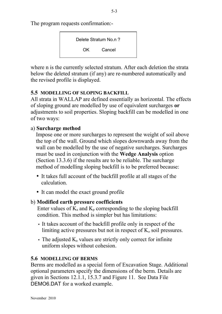The program requests confirmation:-



where n is the currently selected stratum. After each deletion the strata below the deleted stratum (if any) are re-numbered automatically and the revised profile is displayed.

# **5.5 MODELLING OF SLOPING BACKFILL**

All strata in WALLAP are defined essentially as horizontal. The effects of sloping ground are modelled by use of equivalent surcharges **or** adjustments to soil properties. Sloping backfill can be modelled in one of two ways:

# a) **Surcharge method**

Impose one or more surcharges to represent the weight of soil above the top of the wall. Ground which slopes downwards away from the wall can be modelled by the use of negative surcharges. Surcharges must be used in conjunction with the **Wedge Analysis** option (Section 13.3.6) if the results are to be reliable. The surcharge method of modelling sloping backfill is to be preferred because:

- It takes full account of the backfill profile at all stages of the calculation.
- It can model the exact ground profile

# b) **Modified earth pressure coefficients**

Enter values of  $K_a$  and  $K_p$  corresponding to the sloping backfill condition. This method is simpler but has limitations:

- It takes account of the backfill profile only in respect of the limiting active pressures but not in respect of  $K_0$  soil pressures.
- The adjusted  $K_a$  values are strictly only correct for infinite uniform slopes without cohesion.

# **5.6 MODELLING OF BERMS**

Berms are modelled as a special form of Excavation Stage. Additional optional parameters specify the dimensions of the berm. Details are given in Sections 12.1.1, 15.3.7 and Figure 11. See Data File DEMO6.DAT for a worked example.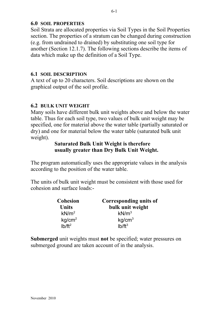#### **6.0 SOIL PROPERTIES**

Soil Strata are allocated properties via Soil Types in the Soil Properties section. The properties of a stratum can be changed during construction (e.g. from undrained to drained) by substituting one soil type for another (Section 12.1.7). The following sections describe the items of data which make up the definition of a Soil Type.

#### **6.1 SOIL DESCRIPTION**

A text of up to 20 characters. Soil descriptions are shown on the graphical output of the soil profile.

#### **6.2 BULK UNIT WEIGHT**

Many soils have different bulk unit weights above and below the water table. Thus for each soil type, two values of bulk unit weight may be specified, one for material above the water table (partially saturated or dry) and one for material below the water table (saturated bulk unit weight).

### **Saturated Bulk Unit Weight is therefore usually greater than Dry Bulk Unit Weight.**

The program automatically uses the appropriate values in the analysis according to the position of the water table.

The units of bulk unit weight must be consistent with those used for cohesion and surface loads:-

| <b>Cohesion</b>    | Corresponding units of |
|--------------------|------------------------|
| <b>Units</b>       | bulk unit weight       |
| kN/m <sup>2</sup>  | kN/m <sup>3</sup>      |
| kg/cm <sup>2</sup> | kg/cm <sup>3</sup>     |
| $Ib/ft^2$          | Ib/ft <sup>3</sup>     |

**Submerged** unit weights must **not** be specified; water pressures on submerged ground are taken account of in the analysis.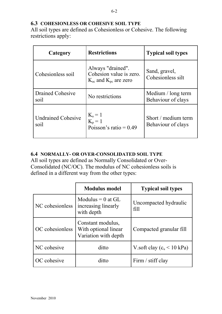# **6.3 COHESIONLESS OR COHESIVE SOIL TYPE**

All soil types are defined as Cohesionless or Cohesive. The following restrictions apply:

| Category                          | <b>Restrictions</b>                                                            | <b>Typical soil types</b>                 |
|-----------------------------------|--------------------------------------------------------------------------------|-------------------------------------------|
| Cohesionless soil                 | Always "drained".<br>Cohesion value is zero.<br>$K_{ac}$ and $K_{bc}$ are zero | Sand, gravel,<br>Cohesionless silt        |
| <b>Drained Cohesive</b><br>soil   | No restrictions                                                                | Medium / long term<br>Behaviour of clays  |
| <b>Undrained Cohesive</b><br>soil | $K_a = 1$<br>$K_p = 1$<br>Poisson's ratio = $0.49$                             | Short / medium term<br>Behaviour of clays |

## **6.4 NORMALLY- OR OVER-CONSOLIDATED SOIL TYPE**

All soil types are defined as Normally Consolidated or Over-Consolidated (NC/OC). The modulus of NC cohesionless soils is defined in a different way from the other types:

|                                                                                      | <b>Modulus</b> model                                     | <b>Typical soil types</b>            |
|--------------------------------------------------------------------------------------|----------------------------------------------------------|--------------------------------------|
| NC cohesionless                                                                      | Modulus = $0$ at GL<br>increasing linearly<br>with depth | Uncompacted hydraulic<br>fill        |
| Constant modulus,<br>OC cohesionless<br>With optional linear<br>Variation with depth |                                                          | Compacted granular fill              |
| NC cohesive                                                                          | ditto                                                    | V.soft clay $(c_u < 10 \text{ kPa})$ |
| OC cohesive                                                                          | ditto                                                    | Firm / stiff clay                    |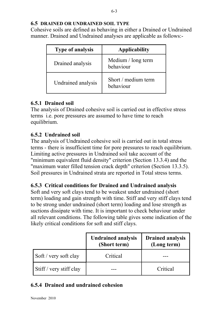## **6.5 DRAINED OR UNDRAINED SOIL TYPE**

Cohesive soils are defined as behaving in either a Drained or Undrained manner. Drained and Undrained analyses are applicable as follows:-

| <b>Type of analysis</b> | <b>Applicability</b>             |  |
|-------------------------|----------------------------------|--|
| Drained analysis        | Medium / long term<br>behaviour  |  |
| Undrained analysis      | Short / medium term<br>behaviour |  |

# **6.5.1 Drained soil**

The analysis of Drained cohesive soil is carried out in effective stress terms i.e. pore pressures are assumed to have time to reach equilibrium.

# **6.5.2 Undrained soil**

The analysis of Undrained cohesive soil is carried out in total stress terms - there is insufficient time for pore pressures to reach equilibrium. Limiting active pressures in Undrained soil take account of the "minimum equivalent fluid density" criterion (Section 13.3.4) and the "maximum water filled tension crack depth" criterion (Section 13.3.5). Soil pressures in Undrained strata are reported in Total stress terms.

# **6.5.3 Critical conditions for Drained and Undrained analysis**

Soft and very soft clays tend to be weakest under undrained (short term) loading and gain strength with time. Stiff and very stiff clays tend to be strong under undrained (short term) loading and lose strength as suctions dissipate with time. It is important to check behaviour under all relevant conditions. The following table gives some indication of the likely critical conditions for soft and stiff clays.

|                         | <b>Undrained analysis</b><br>(Short term) | <b>Drained analysis</b><br>(Long term) |
|-------------------------|-------------------------------------------|----------------------------------------|
| Soft / very soft clay   | Critical                                  |                                        |
| Stiff / very stiff clay |                                           | Critical                               |

# **6.5.4 Drained and undrained cohesion**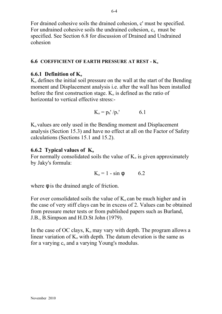For drained cohesive soils the drained cohesion, c' must be specified. For undrained cohesive soils the undrained cohesion,  $c<sub>u</sub>$  must be specified. See Section 6.8 for discussion of Drained and Undrained cohesion

### **6.6 COEFFICIENT OF EARTH PRESSURE AT REST - K<sup>o</sup>**

### **6.6.1 Definition of K<sup>o</sup>**

 $K<sub>o</sub>$  defines the initial soil pressure on the wall at the start of the Bending moment and Displacement analysis i.e. after the wall has been installed before the first construction stage.  $K_0$  is defined as the ratio of horizontal to vertical effective stress:-

$$
K_o = p_h' / p_v' \qquad \qquad 6.1
$$

 $K<sub>o</sub>$  values are only used in the Bending moment and Displacement analysis (Section 15.3) and have no effect at all on the Factor of Safety calculations (Sections 15.1 and 15.2).

## **6.6.2 Typical values of K<sup>o</sup>**

For normally consolidated soils the value of  $K_0$  is given approximately by Jaky's formula:

$$
K_o = 1 - \sin \phi \qquad 6.2
$$

where  $\phi$  is the drained angle of friction.

For over consolidated soils the value of  $K_0$  can be much higher and in the case of very stiff clays can be in excess of 2. Values can be obtained from pressure meter tests or from published papers such as Burland, J.B., B.Simpson and H.D.St John (1979).

In the case of OC clays,  $K_0$  may vary with depth. The program allows a linear variation of  $K_0$  with depth. The datum elevation is the same as for a varying  $c<sub>u</sub>$  and a varying Young's modulus.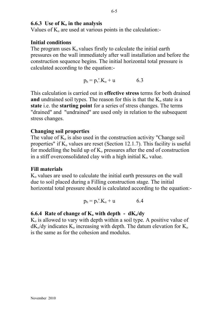## **6.6.3 Use of Ko in the analysis**

Values of  $K_0$  are used at various points in the calculation:-

# **Initial conditions**

The program uses  $K_0$  values firstly to calculate the initial earth pressures on the wall immediately after wall installation and before the construction sequence begins. The initial horizontal total pressure is calculated according to the equation:-

 $p_h = p_v'.K_0 + u$  6.3

This calculation is carried out in **effective stress** terms for both drained **and** undrained soil types. The reason for this is that the  $K_0$  state is a **state** i.e. the **starting point** for a series of stress changes. The terms "drained" and "undrained" are used only in relation to the subsequent stress changes.

# **Changing soil properties**

The value of  $K_0$  is also used in the construction activity "Change soil properties" if  $K_0$  values are reset (Section 12.1.7). This facility is useful for modelling the build up of  $K_0$  pressures after the end of construction in a stiff overconsolidated clay with a high initial  $K_0$  value.

#### **Fill materials**

 $K<sub>o</sub>$  values are used to calculate the initial earth pressures on the wall due to soil placed during a Filling construction stage. The initial horizontal total pressure should is calculated according to the equation:-

$$
p_h = p_v'.K_o + u \qquad \qquad 6.4
$$

# **6.6.4 Rate of change of Ko with depth - dKo/dy**

 $K<sub>o</sub>$  is allowed to vary with depth within a soil type. A positive value of  $dK_0/dy$  indicates  $K_0$  increasing with depth. The datum elevation for  $K_0$ is the same as for the cohesion and modulus.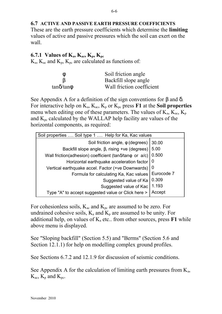**6.7 ACTIVE AND PASSIVE EARTH PRESSURE COEFFICIENTS**  These are the earth pressure coefficients which determine the **limiting** values of active and passive pressures which the soil can exert on the wall.

### **6.7.1 Values of**  $K_a$ **,**  $K_{ac}$ **,**  $K_{p}$ **,**  $K_{pc}$

 $K_a$ ,  $K_{ac}$  and  $K_p$ ,  $K_{pc}$  are calculated as functions of:

| ◑         | Soil friction angle       |
|-----------|---------------------------|
|           | Backfill slope angle      |
| tanδ/tanφ | Wall friction coefficient |

See Appendix A for a definition of the sign conventions for β and δ. For interactive help on  $K_a$ ,  $K_{ac}$ ,  $K_p$  or  $K_{pc}$  press **F1** at the **Soil properties** menu when editing one of these parameters. The values of  $K_a$ ,  $K_{ac}$ ,  $K_p$ and  $K_{pc}$  calculated by the WALLAP help facility are values of the horizontal components, as required:

| Soil properties  Soil type 1  Help for Ka, Kac values  |            |  |
|--------------------------------------------------------|------------|--|
| Soil friction angle, $\phi$ (degrees)                  | 30.00      |  |
| Backfill slope angle, $\beta$ , rising +ve (degrees)   | 5.00       |  |
| Wall friction(adhesion) coefficient (tanδ/tanφ or a/c) | 0.500      |  |
| Horizontal earthquake acceleration factor              | 0          |  |
| Vertical earthquake accel. Factor (+ve Downwards)      | 0          |  |
| Formula for calculating Ka, Kac values                 | Eurocode 7 |  |
| Suggested value of Ka                                  | 0.309      |  |
| Suggested value of Kac                                 | 1.193      |  |
| Type "A" to accept suggested value or Click here >     | Accept     |  |

For cohesionless soils,  $K_{ac}$  and  $K_{bc}$  are assumed to be zero. For undrained cohesive soils,  $K_a$  and  $K_p$  are assumed to be unity. For additional help, on values of  $K_a$  etc.. from other sources, press  $F1$  while above menu is displayed.

See "Sloping backfill" (Section 5.5) and "Berms" (Section 5.6 and Section 12.1.1) for help on modelling complex ground profiles.

See Sections 6.7.2 and 12.1.9 for discussion of seismic conditions.

See Appendix A for the calculation of limiting earth pressures from  $K_a$ ,  $K_{ac}$ ,  $K_{p}$  and  $K_{pc}$ .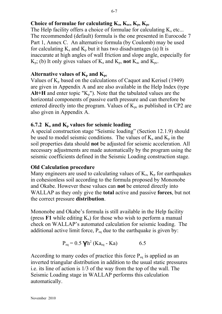#### Choice of formulae for calculating  $K_a$ ,  $K_{ac}$ ,  $K_{p}$ ,  $K_{pc}$

The Help facility offers a choice of formulae for calculating  $K_a$  etc... The recommended (default) formula is the one presented in Eurocode 7 Part 1, Annex C. An alternative formula (by Coulomb) may be used for calculating  $K_a$  and  $K_p$  but it has two disadvantages (a) It is inaccurate at high angles of wall friction and slope angle, especially for  $K_p$ ; (b) It only gives values of  $K_a$  and  $K_p$ , **not**  $K_{ac}$  and  $K_{pc}$ .

## **Alternative values of**  $K_p$  **and**  $K_{pc}$

Values of  $K_p$  based on the calculations of Caquot and Kerisel (1949) are given in Appendix A and are also available in the Help Index (type Alt+H and enter topic " $K_p$ "). Note that the tabulated values are the horizontal components of passive earth pressure and can therefore be entered directly into the program. Values of  $K_{pc}$  as published in CP2 are also given in Appendix A.

## **6.7.2 Ka and Kp values for seismic loading**

A special construction stage "Seismic loading" (Section 12.1.9) should be used to model seismic conditions. The values of  $K_a$  and  $K_p$  in the soil properties data should **not** be adjusted for seismic acceleration. All necessary adjustments are made automatically by the program using the seismic coefficients defined in the Seismic Loading construction stage.

# **Old Calculation procedure**

Many engineers are used to calculating values of  $K_a$ ,  $K_p$  for earthquakes in cohesionless soil according to the formula proposed by Mononobe and Okabe. However these values can **not** be entered directly into WALLAP as they only give the **total** active and passive **forces**, but not the correct pressure **distribution**.

Mononobe and Okabe's formula is still available in the Help facility (press **F1** while editing  $K_a$ ) for those who wish to perform a manual check on WALLAP's automated calculation for seismic loading. The additional active limit force,  $P_{eq}$  due to the earthquake is given by:

$$
P_{eq} = 0.5 \gamma h^2 (Ka_{eq} - Ka) \qquad \qquad 6.5
$$

According to many codes of practice this force  $P_{eq}$  is applied as an inverted triangular distribution in addition to the usual static pressures i.e. its line of action is 1/3 of the way from the top of the wall. The Seismic Loading stage in WALLAP performs this calculation automatically.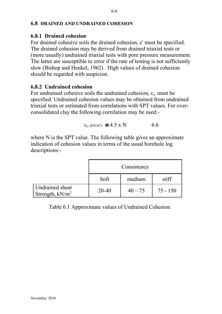#### **6.8 DRAINED AND UNDRAINED COHESION**

### **6.8.1 Drained cohesion**

For drained cohesive soils the drained cohesion, c' must be specified. The drained cohesion may be derived from drained triaxial tests or (more usually) undrained triaxial tests with pore pressure measurement. The latter are susceptible to error if the rate of testing is not sufficiently slow (Bishop and Henkel, 1962) . High values of drained cohesion should be regarded with suspicion.

# **6.8.2 Undrained cohesion**

For undrained cohesive soils the undrained cohesion,  $c<sub>u</sub>$  must be specified. Undrained cohesion values may be obtained from undrained triaxial tests or estimated from correlations with SPT values. For overconsolidated clay the following correlation may be used:-

$$
c_{u} (kN/m^2) \approx 4.5 \times N \qquad \qquad 6.6
$$

where N is the SPT value. The following table gives an approximate indication of cohesion values in terms of the usual borehole log descriptions:-

|                                              | Consistency |           |            |
|----------------------------------------------|-------------|-----------|------------|
|                                              | Soft        | medium    | stiff      |
| <b>Undrained shear</b><br>Strength, $kN/m^2$ | 20-40       | $40 - 75$ | $75 - 150$ |

Table 6.1 Approximate values of Undrained Cohesion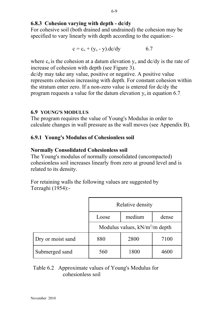# **6.8.3 Cohesion varying with depth - dc/dy**

For cohesive soil (both drained and undrained) the cohesion may be specified to vary linearly with depth according to the equation:-

$$
c = co + (yo - y).dc/dy \qquad 6.7
$$

where  $c_0$  is the cohesion at a datum elevation  $y_0$  and dc/dy is the rate of increase of cohesion with depth (see Figure 3).

dc/dy may take any value, positive or negative. A positive value represents cohesion increasing with depth. For constant cohesion within the stratum enter zero. If a non-zero value is entered for dc/dy the program requests a value for the datum elevation  $y_0$  in equation 6.7.

## **6.9 YOUNG'S MODULUS**

The program requires the value of Young's Modulus in order to calculate changes in wall pressure as the wall moves (see Appendix B).

# **6.9.1 Young's Modulus of Cohesionless soil**

## **Normally Consolidated Cohesionless soil**

The Young's modulus of normally consolidated (uncompacted) cohesionless soil increases linearly from zero at ground level and is related to its density.

For retaining walls the following values are suggested by Terzaghi (1954):-

|                   | Relative density                 |        |       |
|-------------------|----------------------------------|--------|-------|
|                   | Loose                            | medium | dense |
|                   | Modulus values, $kN/m^2/m$ depth |        |       |
| Dry or moist sand | 880                              | 2800   | 7100  |
| Submerged sand    | 560                              | 1800   | 4600  |

# Table 6.2 Approximate values of Young's Modulus for cohesionless soil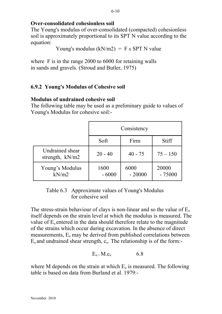## **Over-consolidated cohesionless soil**

The Young's modulus of over-consolidated (compacted) cohesionless soil is approximately proportional to its SPT N value according to the equation:

Young's modulus  $(kN/m2) = F x SPT N$  value

where F is in the range 2000 to 6000 for retaining walls in sands and gravels. (Stroud and Butler, 1975)

# **6.9.2 Young's Modulus of Cohesive soil**

## **Modulus of undrained cohesive soil**

The following table may be used as a preliminary guide to values of Young's Modulus for cohesive soil:-

|                                           | Consistency     |                  |                   |
|-------------------------------------------|-----------------|------------------|-------------------|
|                                           | Soft            | Firm             | <b>Stiff</b>      |
| <b>Undrained shear</b><br>strength, kN/m2 | $20 - 40$       | $40 - 75$        | $75 - 150$        |
| Young's Modulus<br>kN/m2                  | 1600<br>$-6000$ | 6000<br>$-20000$ | 20000<br>$-75000$ |

 Table 6.3 Approximate values of Young's Modulus for cohesive soil

The stress-strain behaviour of clays is non-linear and so the value of  $E_u$ itself depends on the strain level at which the modulus is measured. The value of  $E<sub>u</sub>$  entered in the data should therefore relate to the magnitude of the strains which occur during excavation. In the absence of direct measurements, Eu may be derived from published correlations between  $E_u$  and undrained shear strength,  $c_u$ . The relationship is of the form:-

$$
E_u = M.c_u \tag{6.8}
$$

where M depends on the strain at which  $E_{\mu}$  is measured. The following table is based on data from Burland et al. 1979:-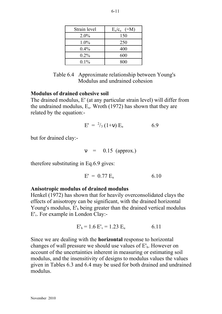| Strain level | $E_{u}/c_{u}$ (=M) |
|--------------|--------------------|
| $2.0\%$      | 150                |
| $1.0\%$      | 250                |
| $0.4\%$      | 400                |
| $0.2\%$      | 600                |
| $0.1\%$      | 800                |

 Table 6.4 Approximate relationship between Young's Modulus and undrained cohesion

#### **Modulus of drained cohesive soil**

The drained modulus, E' (at any particular strain level) will differ from the undrained modulus,  $E_u$ . Wroth (1972) has shown that they are related by the equation:-

$$
E' = \frac{2}{3} (1+v) E_u \tag{6.9}
$$

but for drained clay:-

$$
v = 0.15 \text{ (approx.)}
$$

therefore substituting in Eq.6.9 gives:

$$
E' = 0.77 E_u \tag{6.10}
$$

#### **Anisotropic modulus of drained modulus**

Henkel (1972) has shown that for heavily overconsolidated clays the effects of anisotropy can be significant, with the drained horizontal Young's modulus,  $E<sub>h</sub>$  being greater than the drained vertical modulus E'v. For example in London Clay:-

$$
E'_h = 1.6 E'_v = 1.23 E_u \tag{6.11}
$$

Since we are dealing with the **horizontal** response to horizontal changes of wall pressure we should use values of  $E<sub>h</sub>$ . However on account of the uncertainties inherent in measuring or estimating soil modulus, and the insensitivity of designs to modulus values the values given in Tables 6.3 and 6.4 may be used for both drained and undrained modulus.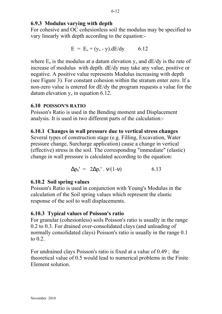## **6.9.3 Modulus varying with depth**

For cohesive and OC cohesionless soil the modulus may be specified to vary linearly with depth according to the equation:-

$$
E = E_o + (y_o - y).dE/dy \qquad 6.12
$$

where  $E_0$  is the modulus at a datum elevation  $y_0$  and  $dE/dy$  is the rate of increase of modulus with depth. dE/dy may take any value, positive or negative. A positive value represents Modulus increasing with depth (see Figure 3). For constant cohesion within the stratum enter zero. If a non-zero value is entered for dE/dy the program requests a value for the datum elevation  $y_0$  in equation 6.12.

## **6.10 POISSON'S RATIO**

Poisson's Ratio is used in the Bending moment and Displacement analysis. It is used in two different parts of the calculation:-

## **6.10.1 Changes in wall pressure due to vertical stress changes**

Several types of construction stage (e.g. Filling, Excavation, Water pressure change, Surcharge application) cause a change in vertical (effective) stress in the soil. The corresponding "immediate" (elastic) change in wall pressure is calculated according to the equation:

$$
\Delta p_h' = 2\Delta p_v' \cdot v/(1-v) \qquad \qquad 6.13
$$

# **6.10.2 Soil spring values**

Poisson's Ratio is used in conjunction with Young's Modulus in the calculation of the Soil spring values which represent the elastic response of the soil to wall displacements.

# **6.10.3 Typical values of Poisson's ratio**

For granular (cohesionless) soils Poisson's ratio is usually in the range 0.2 to 0.3. For drained over-consolidated clays (and unloading of normally consolidated clays) Poisson's ratio is usually in the range 0.1 to  $0.2$ 

For undrained clays Poisson's ratio is fixed at a value of 0.49 ; the theoretical value of 0.5 would lead to numerical problems in the Finite Element solution.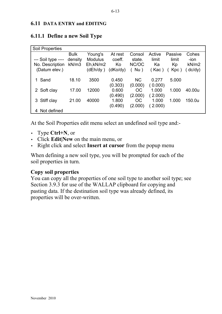#### **6.11 DATA ENTRY and EDITING**

#### Soil Properties Bulk Young's At rest Consol Active Passive Cohes --- Soil type ---- density Modulus coeff. state. limit limit -ion No. Description kN/m3 Eh,kN/m2 Ko NC/OC Ka Kp kN/m2 (Datum elev.) (dEh/dy ) (dKo/dy) ( Nu ) ( Kac ) ( Kpc ) ( dc/dy) 1 Sand 18.10 3500 0.450 NC 0.277 5.000 (0.303) (0.000) ( 0.000) 2 Soft clay 17.00 12000 0.600 OC 1.000 1.000 40.00u (0.490) (2.000) ( 2.000) 3 Stiff clay 21.00 40000 1.800 OC 1.000 1.000 150.0u (0.490) (2.000) ( 2.000) 4 Not defined

#### **6.11.1 Define a new Soil Type**

At the Soil Properties edit menu select an undefined soil type and:-

- Type **Ctrl+N**, or
- Click **Edit|New** on the main menu, or
- Right click and select **Insert at cursor** from the popup menu

When defining a new soil type, you will be prompted for each of the soil properties in turn.

# **Copy soil properties**

You can copy all the properties of one soil type to another soil type; see Section 3.9.3 for use of the WALLAP clipboard for copying and pasting data. If the destination soil type was already defined, its properties will be over-written.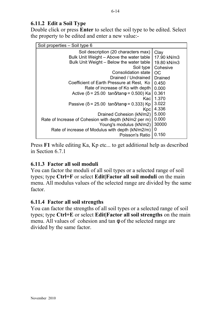# **6.11.2 Edit a Soil Type**

Double click or press **Enter** to select the soil type to be edited. Select the property to be edited and enter a new value:-

| Soil properties – Soil type 6                                   |                 |  |  |  |  |  |
|-----------------------------------------------------------------|-----------------|--|--|--|--|--|
| Soil description (20 characters max)                            | Clay            |  |  |  |  |  |
| Bulk Unit Weight - Above the water table                        | 17.90 kN/m3     |  |  |  |  |  |
| Bulk Unit Weight – Below the water table                        | 19.80 kN/m3     |  |  |  |  |  |
| Soil type                                                       | <b>Cohesive</b> |  |  |  |  |  |
| <b>Consolidation state</b>                                      | -OC             |  |  |  |  |  |
| Drained / Undrained                                             | Drained         |  |  |  |  |  |
| Coefficient of Earth Pressure at Rest, Ko                       | 0.450           |  |  |  |  |  |
| Rate of increase of Ko with depth                               | 0.000           |  |  |  |  |  |
| Active ( $\delta$ = 25.00 tan $\delta$ /tan $\phi$ = 0.500) Ka  | 0.361           |  |  |  |  |  |
| Kac:                                                            | 1.370           |  |  |  |  |  |
| Passive ( $\delta$ = 25.00 tan $\delta$ /tan $\phi$ = 0.333) Kp | 3.022           |  |  |  |  |  |
| Kpc                                                             | 4.336           |  |  |  |  |  |
| Drained Cohesion (kN/m2)                                        | 5.000           |  |  |  |  |  |
| Rate of Increase of Cohesion with depth (kN/m2 per m)           | 0.000           |  |  |  |  |  |
| Young's modulus (kN/m2)                                         | 30000           |  |  |  |  |  |
| Rate of increase of Modulus with depth (kN/m2/m)                | 0               |  |  |  |  |  |
| Poisson's Ratio                                                 | 0.150           |  |  |  |  |  |

Press **F1** while editing Ka, Kp etc... to get additional help as described in Section 6.7.1

# **6.11.3 Factor all soil moduli**

You can factor the moduli of all soil types or a selected range of soil types; type **Ctrl+F** or select **Edit|Factor all soil moduli** on the main menu. All modulus values of the selected range are divided by the same factor.

# **6.11.4 Factor all soil strengths**

You can factor the strengths of all soil types or a selected range of soil types; type **Ctrl+E** or select **Edit|Factor all soil strengths** on the main menu. All values of cohesion and tan φ of the selected range are divided by the same factor.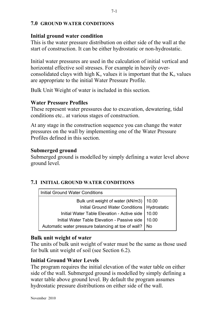## **7.0 GROUND WATER CONDITIONS**

# **Initial ground water condition**

This is the water pressure distribution on either side of the wall at the start of construction. It can be either hydrostatic or non-hydrostatic.

Initial water pressures are used in the calculation of initial vertical and horizontal effective soil stresses. For example in heavily overconsolidated clays with high  $K_0$  values it is important that the  $K_0$  values are appropriate to the initial Water Pressure Profile.

Bulk Unit Weight of water is included in this section.

# **Water Pressure Profiles**

These represent water pressures due to excavation, dewatering, tidal conditions etc.. at various stages of construction.

At any stage in the construction sequence you can change the water pressures on the wall by implementing one of the Water Pressure Profiles defined in this section.

# **Submerged ground**

Submerged ground is modelled by simply defining a water level above ground level.

# **7.1 INITIAL GROUND WATER CONDITIONS**

| <b>Initial Ground Water Conditions</b>                  |       |
|---------------------------------------------------------|-------|
| Bulk unit weight of water (kN/m3)   10.00               |       |
| Initial Ground Water Conditions   Hydrostatic           |       |
| Initial Water Table Elevation - Active side   10.00     |       |
| Initial Water Table Elevation - Passive side            | 10.00 |
| Automatic water pressure balancing at toe of wall?   No |       |

# **Bulk unit weight of water**

The units of bulk unit weight of water must be the same as those used for bulk unit weight of soil (see Section 6.2).

# **Initial Ground Water Levels**

The program requires the initial elevation of the water table on either side of the wall. Submerged ground is modelled by simply defining a water table above ground level. By default the program assumes hydrostatic pressure distributions on either side of the wall.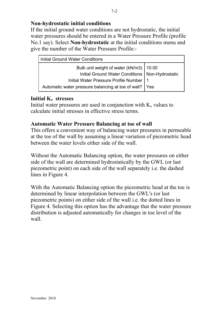# **Non-hydrostatic initial conditions**

If the initial ground water conditions are not hydrostatic, the initial water pressures should be entered in a Water Pressure Profile (profile No.1 say). Select **Non-hydrostatic** at the initial conditions menu and give the number of the Water Pressure Profile:-

| <b>Initial Ground Water Conditions</b>                                                     |  |
|--------------------------------------------------------------------------------------------|--|
|                                                                                            |  |
| Bulk unit weight of water (kN/m3) 10.00<br>Initial Ground Water Conditions Non-Hydrostatic |  |
| Initial Water Pressure Profile Number   1                                                  |  |
| Automatic water pressure balancing at toe of wall?   Yes                                   |  |

## **Initial Ko stresses**

Initial water pressures are used in conjunction with  $K_0$  values to calculate initial stresses in effective stress terms.

# **Automatic Water Pressure Balancing at toe of wall**

This offers a convenient way of balancing water pressures in permeable at the toe of the wall by assuming a linear variation of piezometric head between the water levels either side of the wall.

Without the Automatic Balancing option, the water pressures on either side of the wall are determined hydrostatically by the GWL (or last piezometric point) on each side of the wall separately i.e. the dashed lines in Figure 4.

With the Automatic Balancing option the piezometric head at the toe is determined by linear interpolation between the GWL's (or last piezometric points) on either side of the wall i.e. the dotted lines in Figure 4. Selecting this option has the advantage that the water pressure distribution is adjusted automatically for changes in toe level of the wall.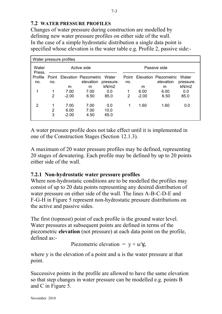## **7.2 WATER PRESSURE PROFILES**

Changes of water pressure during construction are modelled by defining new water pressure profiles on either side of the wall. In the case of a simple hydrostatic distribution a single data point is specified whose elevation is the water table e.g. Profile 2, passive side:-

| Water pressure profiles |                |         |                       |           |       |              |                       |           |
|-------------------------|----------------|---------|-----------------------|-----------|-------|--------------|-----------------------|-----------|
| Water<br>Press.         |                |         | Active side           |           |       | Passive side |                       |           |
| Profile                 | Point          |         | Elevation Piezometric | Water     | Point |              | Elevation Piezometric | Water     |
| no.                     | no.            |         | elevation             | pressure. | no.   |              | elevation             | pressure. |
|                         |                | m       | m                     | kN/m2     |       | m            | m                     | kN/m2     |
| 1                       |                | 7.00    | 7.00                  | 0.0       | 1     | 6.00         | 6.00                  | 0.0       |
|                         | 2              | $-2.00$ | 6.50                  | 85.0      | 2     | $-2.00$      | 6.50                  | 85.0      |
|                         |                |         |                       |           |       |              |                       |           |
| 2                       |                | 7.00    | 7.00                  | 0.0       | 1     | 1.60         | 1.60                  | 0.0       |
|                         | $\overline{2}$ | 6.00    | 7.00                  | 10.0      |       |              |                       |           |
|                         | 3              | $-2.00$ | 4.50                  | 65.0      |       |              |                       |           |
|                         |                |         |                       |           |       |              |                       |           |

A water pressure profile does not take effect until it is implemented in one of the Construction Stages (Section 12.1.3).

A maximum of 20 water pressure profiles may be defined, representing 20 stages of dewatering. Each profile may be defined by up to 20 points either side of the wall.

# **7.2.1 Non-hydrostatic water pressure profiles**

Where non-hydrostatic conditions are to be modelled the profiles may consist of up to 20 data points representing any desired distribution of water pressure on either side of the wall. The lines A-B-C-D-E and F-G-H in Figure 5 represent non-hydrostatic pressure distributions on the active and passive sides.

The first (topmost) point of each profile is the ground water level. Water pressures at subsequent points are defined in terms of the piezometric **elevation** (not pressure) at each data point on the profile, defined as:-

Piezometric elevation =  $y + u/\gamma_w$ 

where y is the elevation of a point and u is the water pressure at that point.

Successive points in the profile are allowed to have the same elevation so that step changes in water pressure can be modelled e.g. points B and C in Figure 5.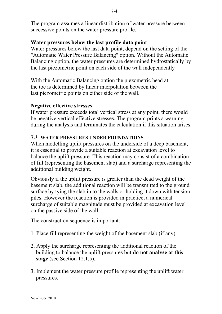The program assumes a linear distribution of water pressure between successive points on the water pressure profile.

### **Water pressures below the last profile data point**

Water pressures below the last data point, depend on the setting of the "Automatic Water Pressure Balancing" option. Without the Automatic Balancing option, the water pressures are determined hydrostatically by the last piezometric point on each side of the wall independently

With the Automatic Balancing option the piezometric head at the toe is determined by linear interpolation between the last piezometric points on either side of the wall.

#### **Negative effective stresses**

If water pressure exceeds total vertical stress at any point, there would be negative vertical effective stresses. The program prints a warning during the analysis and terminates the calculation if this situation arises.

## **7.3 WATER PRESSURES UNDER FOUNDATIONS**

When modelling uplift pressures on the underside of a deep basement, it is essential to provide a suitable reaction at excavation level to balance the uplift pressure. This reaction may consist of a combination of fill (representing the basement slab) and a surcharge representing the additional building weight.

Obviously if the uplift pressure is greater than the dead weight of the basement slab, the additional reaction will be transmitted to the ground surface by tying the slab in to the walls or holding it down with tension piles. However the reaction is provided in practice, a numerical surcharge of suitable magnitude must be provided at excavation level on the passive side of the wall.

The construction sequence is important:-

- 1. Place fill representing the weight of the basement slab (if any).
- 2. Apply the surcharge representing the additional reaction of the building to balance the uplift pressures but **do not analyse at this stage** (see Section 12.1.5).
- 3. Implement the water pressure profile representing the uplift water pressures.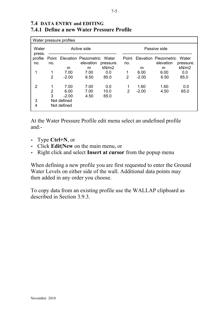| Water pressure profiles |                |             |                                   |           |               |              |                       |           |
|-------------------------|----------------|-------------|-----------------------------------|-----------|---------------|--------------|-----------------------|-----------|
| Water<br>press.         |                |             | Active side                       |           |               | Passive side |                       |           |
| profile                 |                |             | Point Elevation Piezometric Water |           | Point         |              | Elevation Piezometric | Water     |
| no.                     | no.            |             | elevation                         | pressure. | no.           |              | elevation             | pressure. |
|                         |                | m           | m                                 | kN/m2     |               | m            | m                     | kN/m2     |
| 1                       | 1              | 7.00        | 7.00                              | 0.0       | 1             | 6.00         | 6.00                  | 0.0       |
|                         | $\overline{2}$ | $-2.00$     | 6.50                              | 85.0      | 2             | $-2.00$      | 6.50                  | 85.0      |
| 2                       | 1              | 7.00        | 7.00                              | 0.0       | 1             | 1.60         | 1.60                  | 0.0       |
|                         | $\overline{2}$ | 6.00        | 7.00                              | 10.0      | $\mathcal{P}$ | $-2.00$      | 4.50                  | 65.0      |
|                         | 3              | $-2.00$     | 4.50                              | 65.0      |               |              |                       |           |
| 3                       |                | Not defined |                                   |           |               |              |                       |           |
| 4                       |                | Not defined |                                   |           |               |              |                       |           |

#### **7.4 DATA ENTRY and EDITING 7.4.1 Define a new Water Pressure Profile**

At the Water Pressure Profile edit menu select an undefined profile and:-

- Type **Ctrl+N**, or
- Click **Edit|New** on the main menu, or
- Right click and select **Insert at cursor** from the popup menu

When defining a new profile you are first requested to enter the Ground Water Levels on either side of the wall. Additional data points may then added in any order you choose.

To copy data from an existing profile use the WALLAP clipboard as described in Section 3.9.3.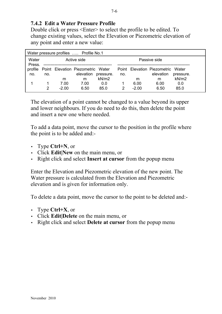## **7.4.2 Edit a Water Pressure Profile**

Double click or press  $\leq$  Enter $\geq$  to select the profile to be edited. To change existing values, select the Elevation or Piezometric elevation of any point and enter a new value:

| Water pressure profiles  Profile No.1 |             |         |                                                |           |     |              |                                                |           |  |
|---------------------------------------|-------------|---------|------------------------------------------------|-----------|-----|--------------|------------------------------------------------|-----------|--|
| Water<br>Press.                       | Active side |         |                                                |           |     | Passive side |                                                |           |  |
| profile<br>no.                        | no.         |         | Point Elevation Piezometric Water<br>elevation | pressure. | no. |              | Point Elevation Piezometric Water<br>elevation | pressure. |  |
|                                       |             | m       | m                                              | kN/m2     |     | m            | m                                              | kN/m2     |  |
|                                       |             | 7.00    | 7.00                                           | 0.0       | 1   | 6.00         | 6.00                                           | 0.0       |  |
|                                       |             | $-2.00$ | 6.50                                           | 85.0      | 2   | $-2.00$      | 6.50                                           | 85.0      |  |

The elevation of a point cannot be changed to a value beyond its upper and lower neighbours. If you do need to do this, then delete the point and insert a new one where needed.

To add a data point, move the cursor to the position in the profile where the point is to be added and:-

- Type **Ctrl+N**, or
- Click **Edit|New** on the main menu, or
- Right click and select **Insert at cursor** from the popup menu

Enter the Elevation and Piezometric elevation of the new point. The Water pressure is calculated from the Elevation and Piezometric elevation and is given for information only.

To delete a data point, move the cursor to the point to be deleted and:-

- Type **Ctrl+X**, or
- Click **Edit|Delete** on the main menu, or
- Right click and select **Delete at cursor** from the popup menu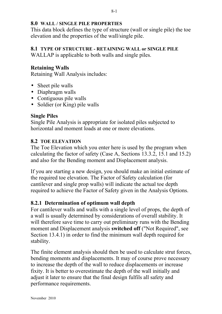#### **8.0 WALL / SINGLE PILE PROPERTIES**

This data block defines the type of structure (wall or single pile) the toe elevation and the properties of the wall/single pile.

#### **8.1 TYPE OF STRUCTURE - RETAINING WALL or SINGLE PILE**

WALLAP is applicable to both walls and single piles.

### **Retaining Walls**

Retaining Wall Analysis includes:

- Sheet pile walls
- Diaphragm walls
- Contiguous pile walls
- Soldier (or King) pile walls

# **Single Piles**

Single Pile Analysis is appropriate for isolated piles subjected to horizontal and moment loads at one or more elevations.

## **8.2 TOE ELEVATION**

The Toe Elevation which you enter here is used by the program when calculating the factor of safety (Case A, Sections 13.3.2, 15.1 and 15.2) and also for the Bending moment and Displacement analysis.

If you are starting a new design, you should make an initial estimate of the required toe elevation. The Factor of Safety calculation (for cantilever and single prop walls) will indicate the actual toe depth required to achieve the Factor of Safety given in the Analysis Options.

# **8.2.1 Determination of optimum wall depth**

For cantilever walls and walls with a single level of props, the depth of a wall is usually determined by considerations of overall stability. It will therefore save time to carry out preliminary runs with the Bending moment and Displacement analysis **switched off** ("Not Required", see Section 13.4.1) in order to find the minimum wall depth required for stability.

The finite element analysis should then be used to calculate strut forces, bending moments and displacements. It may of course prove necessary to increase the depth of the wall to reduce displacements or increase fixity. It is better to overestimate the depth of the wall initially and adjust it later to ensure that the final design fulfils all safety and performance requirements.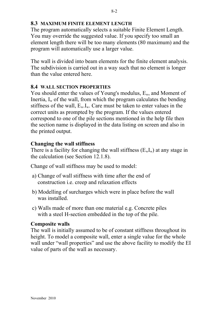### **8.3 MAXIMUM FINITE ELEMENT LENGTH**

The program automatically selects a suitable Finite Element Length. You may override the suggested value. If you specify too small an element length there will be too many elements (80 maximum) and the program will automatically use a larger value.

The wall is divided into beam elements for the finite element analysis. The subdivision is carried out in a way such that no element is longer than the value entered here.

#### **8.4 WALL SECTION PROPERTIES**

You should enter the values of Young's modulus,  $E_w$ , and Moment of Inertia,  $I_w$  of the wall, from which the program calculates the bending stiffness of the wall,  $E_w I_w$ . Care must be taken to enter values in the correct units as prompted by the program. If the values entered correspond to one of the pile sections mentioned in the help file then the section name is displayed in the data listing on screen and also in the printed output.

## **Changing the wall stiffness**

There is a facility for changing the wall stiffness  $(E_wI_w)$  at any stage in the calculation (see Section 12.1.8).

Change of wall stiffness may be used to model:

- a) Change of wall stiffness with time after the end of construction i.e. creep and relaxation effects
- b) Modelling of surcharges which were in place before the wall was installed.
- c) Walls made of more than one material e.g. Concrete piles with a steel H-section embedded in the top of the pile.

#### **Composite walls**

The wall is initially assumed to be of constant stiffness throughout its height. To model a composite wall, enter a single value for the whole wall under "wall properties" and use the above facility to modify the EI value of parts of the wall as necessary.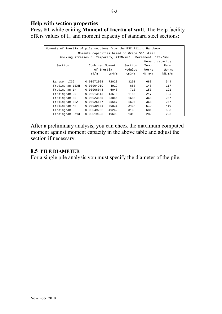### **Help with section properties**

Press **F1** while editing **Moment of Inertia of wall**. The Help facility offers values of  $I_w$  and moment capacity of standard steel sections:

| Moments of Inertia of pile sections from the BSC Piling Handbook. |                                                                                   |       |         |        |                 |  |  |  |
|-------------------------------------------------------------------|-----------------------------------------------------------------------------------|-------|---------|--------|-----------------|--|--|--|
|                                                                   | Moments capacities based on Grade 50B steel                                       |       |         |        |                 |  |  |  |
|                                                                   | Working stresses: Temporary, 215N/mm <sup>2</sup> Permanent, 170N/mm <sup>2</sup> |       |         |        |                 |  |  |  |
|                                                                   |                                                                                   |       |         |        | Moment capacity |  |  |  |
| Section                                                           | Combined Moment                                                                   |       | Section | Temp.  | Perm.           |  |  |  |
|                                                                   | of Inertia                                                                        |       | Modulus | Works  | Works           |  |  |  |
|                                                                   | m4/m                                                                              | cm4/m | cm3/m   | kN.m/m | $kN \cdot m/m$  |  |  |  |
|                                                                   |                                                                                   |       |         |        |                 |  |  |  |
| Larssen LX32                                                      | 0.00072028                                                                        | 72028 | 3201    | 688    | 544             |  |  |  |
| Frodingham 1BXN                                                   | 0.00004919                                                                        | 4919  | 688     | 148    | 117             |  |  |  |
| Frodingham 1N                                                     | 0.00006048                                                                        | 6048  | 713     | 153    | 121             |  |  |  |
| Frodingham 2N                                                     | 0.00013513                                                                        | 13513 | 1150    | 247    | 195             |  |  |  |
| Frodingham 3N                                                     | 0.00023885                                                                        | 23885 | 1688    | 363    | 287             |  |  |  |
| Frodingham 3NA                                                    | 0.00025687                                                                        | 25687 | 1690    | 363    | 287             |  |  |  |
| Frodingham 4N                                                     | 0.00039831                                                                        | 39831 | 2414    | 519    | 410             |  |  |  |
| Frodingham 5                                                      | 0.00049262                                                                        | 49262 | 3168    | 681    | 538             |  |  |  |
| Frodingham FX13                                                   | 0.00019693                                                                        | 19693 | 1313    | 282    | 223             |  |  |  |

After a preliminary analysis, you can check the maximum computed moment against moment capacity in the above table and adjust the section if necessary.

#### **8.5 PILE DIAMETER**

For a single pile analysis you must specify the diameter of the pile.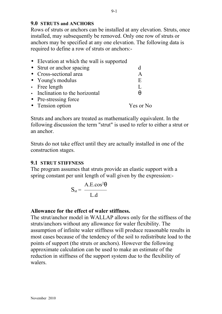#### **9.0 STRUTS and ANCHORS**

Rows of struts or anchors can be installed at any elevation. Struts, once installed, may subsequently be removed. Only one row of struts or anchors may be specified at any one elevation. The following data is required to define a row of struts or anchors:-

| • Elevation at which the wall is supported |           |
|--------------------------------------------|-----------|
| • Strut or anchor spacing                  | d         |
| • Cross-sectional area                     | A         |
| • Young's modulus                          | E         |
| • Free length                              | L         |
| • Inclination to the horizontal            | H         |
| • Pre-stressing force                      |           |
| • Tension option                           | Yes or No |

Struts and anchors are treated as mathematically equivalent. In the following discussion the term "strut" is used to refer to either a strut or an anchor.

Struts do not take effect until they are actually installed in one of the construction stages.

#### **9.1 STRUT STIFFNESS**

The program assumes that struts provide an elastic support with a spring constant per unit length of wall given by the expression:-

$$
S_{st} = \frac{A.E.co s^2 \theta}{L.d}
$$

#### **Allowance for the effect of waler stiffness.**

The strut/anchor model in WALLAP allows only for the stiffness of the struts/anchors without any allowance for waler flexibility. The assumption of infinite waler stiffness will produce reasonable results in most cases because of the tendency of the soil to redistribute load to the points of support (the struts or anchors). However the following approximate calculation can be used to make an estimate of the reduction in stiffness of the support system due to the flexibility of walers.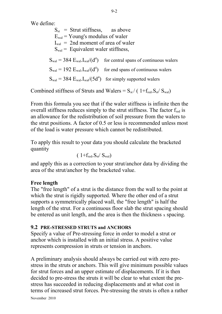We define:

 $S_{st}$  = Strut stiffness, as above  $E_{\text{wal}}$  = Young's modulus of waler  $I_{\text{wal}} = 2$ nd moment of area of waler  $S_{\text{wal}}$  = Equivalent waler stiffness,  $S_{\text{wal}} = 384 \text{ E}_{\text{wal}} I_{\text{wal}}/(d^4)$  for central spans of continuous walers  $S_{\text{wal}} = 192 \text{ E}_{\text{wal}} I_{\text{wal}}/(d^4)$  for end spans of continuous walers  $S_{\text{wal}} = 384 \text{ E}_{\text{wal}} I_{\text{wal}} / (5d^4)$  for simply supported walers

Combined stiffness of Struts and Walers =  $S_{st} / (1 + f_{red} S_{st} / S_{wal})$ 

From this formula you see that if the waler stiffness is infinite then the overall stiffness reduces simply to the strut stiffness. The factor  $f_{\text{red}}$  is an allowance for the redistribution of soil pressure from the walers to the strut positions. A factor of 0.5 or less is recommended unless most of the load is water pressure which cannot be redistributed.

To apply this result to your data you should calculate the bracketed quantity

$$
(1 + f_{\text{red}}. S_{\text{st}} / S_{\text{wal}})
$$

and apply this as a correction to your strut/anchor data by dividing the area of the strut/anchor by the bracketed value.

# **Free length**

The "free length" of a strut is the distance from the wall to the point at which the strut is rigidly supported. Where the other end of a strut supports a symmetrically placed wall, the "free length" is half the length of the strut. For a continuous floor slab the strut spacing should be entered as unit length, and the area is then the thickness x spacing.

#### **9.2 PRE-STRESSED STRUTS and ANCHORS**

Specify a value of Pre-stressing force in order to model a strut or anchor which is installed with an initial stress. A positive value represents compression in struts or tension in anchors.

A preliminary analysis should always be carried out with zero prestress in the struts or anchors. This will give minimum possible values for strut forces and an upper estimate of displacements. If it is then decided to pre-stress the struts it will be clear to what extent the prestress has succeeded in reducing displacements and at what cost in terms of increased strut forces. Pre-stressing the struts is often a rather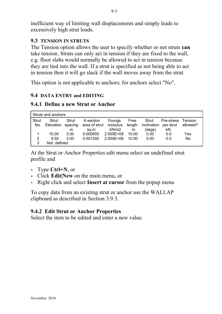inefficient way of limiting wall displacements and simply leads to excessively high strut loads.

# **9.3 TENSION IN STRUTS**

The Tension option allows the user to specify whether or not struts **can** take tension. Struts can only act in tension if they are fixed to the wall, e.g. floor slabs would normally be allowed to act in tension because they are tied into the wall. If a strut is specified as not being able to act in tension then it will go slack if the wall moves away from the strut.

This option is not applicable to anchors; for anchors select "No".

# **9.4 DATA ENTRY and EDITING**

# **9.4.1 Define a new Strut or Anchor**

|              | Struts and anchors |              |               |               |        |             |            |           |
|--------------|--------------------|--------------|---------------|---------------|--------|-------------|------------|-----------|
| <b>Strut</b> | Strut              | <b>Strut</b> | X-section     | Youngs        | Free   | Strut       | Pre-stress | Tension   |
| No.          | Elevation spacing  |              | area of strut | modulus       | length | inclination | per strut  | allowed?  |
|              |                    | m            | sq.m          | kN/m2         | m      | (degs)      | kN         |           |
|              | 10.00              | 3.00         | 0.000650      | 2.000E+08     | 10.00  | 0.00        | 0.0        | Yes       |
| 2            | 6.50               | 3.00         | 0.001300      | $2.000E + 08$ | 10.00  | 0.00        | 0.0        | <b>No</b> |
| 3            | Not defined        |              |               |               |        |             |            |           |

At the Strut or Anchor Properties edit menu select an undefined strut profile and

- Type **Ctrl+N**, or
- Click **Edit|New** on the main menu, or
- Right click and select **Insert at cursor** from the popup menu

To copy data from an existing strut or anchor use the WALLAP clipboard as described in Section 3.9.3.

# **9.4.2 Edit Strut or Anchor Properties**

Select the item to be edited and enter a new value.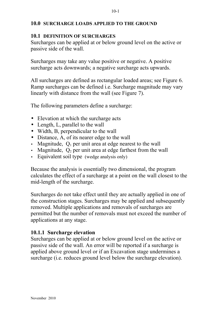#### **10.0 SURCHARGE LOADS APPLIED TO THE GROUND**

#### **10.1 DEFINITION OF SURCHARGES**

Surcharges can be applied at or below ground level on the active or passive side of the wall.

Surcharges may take any value positive or negative. A positive surcharge acts downwards; a negative surcharge acts upwards.

All surcharges are defined as rectangular loaded areas; see Figure 6. Ramp surcharges can be defined i.e. Surcharge magnitude may vary linearly with distance from the wall (see Figure 7).

The following parameters define a surcharge:

- Elevation at which the surcharge acts
- Length, L, parallel to the wall
- Width, B, perpendicular to the wall
- Distance, A, of its nearer edge to the wall
- Magnitude,  $Q_1$  per unit area at edge nearest to the wall
- Magnitude,  $Q_2$  per unit area at edge farthest from the wall
- Equivalent soil type (wedge analysis only)

Because the analysis is essentially two dimensional, the program calculates the effect of a surcharge at a point on the wall closest to the mid-length of the surcharge.

Surcharges do not take effect until they are actually applied in one of the construction stages. Surcharges may be applied and subsequently removed. Multiple applications and removals of surcharges are permitted but the number of removals must not exceed the number of applications at any stage.

#### **10.1.1 Surcharge elevation**

Surcharges can be applied at or below ground level on the active or passive side of the wall. An error will be reported if a surcharge is applied above ground level or if an Excavation stage undermines a surcharge (i.e. reduces ground level below the surcharge elevation).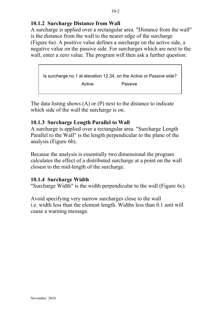# **10.1.2 Surcharge Distance from Wall**

A surcharge is applied over a rectangular area. "Distance from the wall" is the distance from the wall to the nearer edge of the surcharge (Figure 6a). A positive value defines a surcharge on the active side, a negative value on the passive side. For surcharges which are next to the wall, enter a zero value. The program will then ask a further question:

Is surcharge no.1 at elevation 12.34, on the Active or Passive side? Active . . . . . . Passive

The data listing shows (A) or (P) next to the distance to indicate which side of the wall the surcharge is on.

# **10.1.3 Surcharge Length Parallel to Wall**

A surcharge is applied over a rectangular area. "Surcharge Length Parallel to the Wall" is the length perpendicular to the plane of the analysis (Figure 6b).

Because the analysis is essentially two dimensional the program calculates the effect of a distributed surcharge at a point on the wall closest to the mid-length of the surcharge.

# **10.1.4 Surcharge Width**

"Surcharge Width" is the width perpendicular to the wall (Figure 6c).

Avoid specifying very narrow surcharges close to the wall i.e. width less than the element length. Widths less than 0.1 unit will cause a warning message.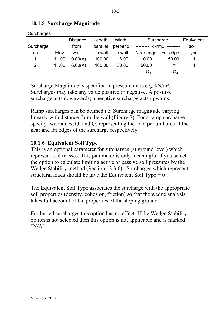| Surcharges     |       |                 |          |          |                |          |            |
|----------------|-------|-----------------|----------|----------|----------------|----------|------------|
|                |       | <b>Distance</b> | Length   | Width    | Surcharge      |          | Equivalent |
| Surcharge      |       | from            | parallel | perpend. | kN/m2          |          | soil       |
| no.            | Elev. | wall            | to wall  | to wall  | Near edge      | Far edge | type       |
| 1              | 11.00 | 0.00(A)         | 100.00   | 6.00     | 0.00           | 50.00    |            |
| $\overline{2}$ | 11.00 | 6.00(A)         | 100.00   | 30.00    | 50.00          | $=$      |            |
|                |       |                 |          |          | $\mathsf{Q}_1$ | $Q_{2}$  |            |

# **10.1.5 Surcharge Magnitude**

Surcharge Magnitude is specified in pressure units e.g. kN/m². Surcharges may take any value positive or negative. A positive surcharge acts downwards; a negative surcharge acts upwards.

Ramp surcharges can be defined i.e. Surcharge magnitude varying linearly with distance from the wall (Figure 7). For a ramp surcharge specify two values,  $Q_1$  and  $Q_2$  representing the load per unit area at the near and far edges of the surcharge respectively.

# **10.1.6 Equivalent Soil Type**

This is an optional parameter for surcharges (at ground level) which represent soil masses. This parameter is only meaningful if you select the option to calculate limiting active or passive soil pressures by the Wedge Stability method (Section 13.3.6). Surcharges which represent structural loads should be give the Equivalent Soil Type  $= 0$ 

The Equivalent Soil Type associates the surcharge with the appropriate soil properties (density, cohesion, friction) so that the wedge analysis takes full account of the properties of the sloping ground.

For buried surcharges this option has no effect. If the Wedge Stability option is not selected then this option is not applicable and is marked "N/A".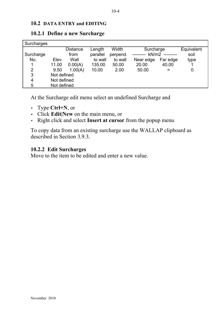#### **10.2 DATA ENTRY and EDITING**

| Surcharges |             |                 |          |          |           |          |            |
|------------|-------------|-----------------|----------|----------|-----------|----------|------------|
|            |             | <b>Distance</b> | Length   | Width    | Surcharge |          | Equivalent |
| Surcharge  |             | from            | parallel | perpend. | kN/m2     |          | soil       |
| No.        | Elev.       | Wall            | to wall  | to wall  | Near edge | Far edge | type       |
|            | 11.00       | 0.00(A)         | 135.00   | 50.00    | 20.00     | 40.00    |            |
| 2          | 9.50        | 1.00(A)         | 10.00    | 2.00     | 50.00     | $=$      | 0          |
| 3          | Not defined |                 |          |          |           |          |            |
| 4          | Not defined |                 |          |          |           |          |            |
| 5          | Not defined |                 |          |          |           |          |            |

#### **10.2.1 Define a new Surcharge**

At the Surcharge edit menu select an undefined Surcharge and

- Type **Ctrl+N**, or
- Click **Edit|New** on the main menu, or
- Right click and select **Insert at cursor** from the popup menu

To copy data from an existing surcharge use the WALLAP clipboard as described in Section 3.9.3.

#### **10.2.2 Edit Surcharges**

Move to the item to be edited and enter a new value.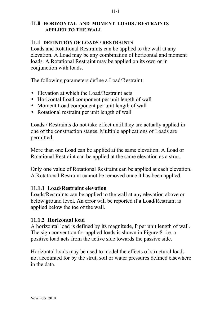### **11.0 HORIZONTAL AND MOMENT LOADS / RESTRAINTS APPLIED TO THE WALL**

#### **11.1 DEFINITION OF LOADS / RESTRAINTS**

Loads and Rotational Restraints can be applied to the wall at any elevation. A Load may be any combination of horizontal and moment loads. A Rotational Restraint may be applied on its own or in conjunction with loads.

The following parameters define a Load/Restraint:

- Elevation at which the Load/Restraint acts
- Horizontal Load component per unit length of wall
- Moment Load component per unit length of wall
- Rotational restraint per unit length of wall

Loads / Restraints do not take effect until they are actually applied in one of the construction stages. Multiple applications of Loads are permitted.

More than one Load can be applied at the same elevation. A Load or Rotational Restraint can be applied at the same elevation as a strut.

Only **one** value of Rotational Restraint can be applied at each elevation. A Rotational Restraint cannot be removed once it has been applied.

#### **11.1.1 Load/Restraint elevation**

Loads/Restraints can be applied to the wall at any elevation above or below ground level. An error will be reported if a Load/Restraint is applied below the toe of the wall.

#### **11.1.2 Horizontal load**

A horizontal load is defined by its magnitude, P per unit length of wall. The sign convention for applied loads is shown in Figure 8. i.e. a positive load acts from the active side towards the passive side.

Horizontal loads may be used to model the effects of structural loads not accounted for by the strut, soil or water pressures defined elsewhere in the data.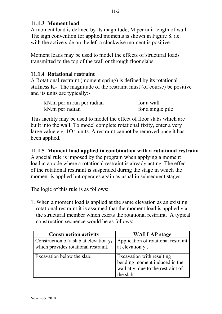# **11.1.3 Moment load**

A moment load is defined by its magnitude, M per unit length of wall. The sign convention for applied moments is shown in Figure 8. i.e. with the active side on the left a clockwise moment is positive.

Moment loads may be used to model the effects of structural loads transmitted to the top of the wall or through floor slabs.

# **11.1.4 Rotational restraint**

A Rotational restraint (moment spring) is defined by its rotational stiffness  $K_m$ . The magnitude of the restraint must (of course) be positive and its units are typically:-

| kN.m per m run per radian | for a wall        |
|---------------------------|-------------------|
| kN.m per radian           | for a single pile |

This facility may be used to model the effect of floor slabs which are built into the wall. To model complete rotational fixity, enter a very large value e.g.  $10^{30}$  units. A restraint cannot be removed once it has been applied.

# **11.1.5 Moment load applied in combination with a rotational restraint**

A special rule is imposed by the program when applying a moment load at a node where a rotational restraint is already acting. The effect of the rotational restraint is suspended during the stage in which the moment is applied but operates again as usual in subsequent stages.

The logic of this rule is as follows:

1. When a moment load is applied at the same elevation as an existing rotational restraint it is assumed that the moment load is applied via the structural member which exerts the rotational restraint. A typical construction sequence would be as follows:

| <b>Construction activity</b>              | <b>WALLAP</b> stage                   |
|-------------------------------------------|---------------------------------------|
| Construction of a slab at elevation $y_1$ | Application of rotational restraint   |
| which provides rotational restraint.      | at elevation $y_1$ .                  |
| Excavation below the slab.                | Excavation with resulting             |
|                                           | bending moment induced in the         |
|                                           | wall at $y_1$ due to the restraint of |
|                                           | the slab.                             |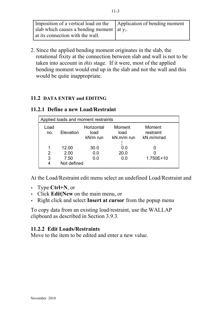| Imposition of a vertical load on the   Application of bending moment |  |
|----------------------------------------------------------------------|--|
| slab which causes a bending moment $\vert$ at $y_1$ .                |  |
| at its connection with the wall.                                     |  |

2. Since the applied bending moment originates in the slab, the rotational fixity at the connection between slab and wall is not to be taken into account in *this* stage. If it were, most of the applied bending moment would end up in the slab and not the wall and this would be quite inappropriate.

## **11.2 DATA ENTRY and EDITING**

| Applied loads and moment restraints |                                      |                                  |                                |                                   |  |  |
|-------------------------------------|--------------------------------------|----------------------------------|--------------------------------|-----------------------------------|--|--|
| Load<br>no.                         | Elevation                            | Horizontal<br>load<br>$kN/m$ run | Moment<br>load<br>$kN.m/m$ run | Moment<br>restraint<br>kN.m/m/rad |  |  |
| 2<br>3                              | 12.00<br>2.00<br>7.50<br>Not defined | 30.0<br>0.0<br>0.0               | 0.0<br>20.0<br>0.0             | 1.750E+10                         |  |  |

#### **11.2.1 Define a new Load/Restraint**

At the Load/Restraint edit menu select an undefined Load/Restraint and

- Type **Ctrl+N**, or
- Click **Edit|New** on the main menu, or
- Right click and select **Insert at cursor** from the popup menu

To copy data from an existing load/restraint, use the WALLAP clipboard as described in Section 3.9.3.

#### **11.2.2 Edit Loads/Restraints**

Move to the item to be edited and enter a new value.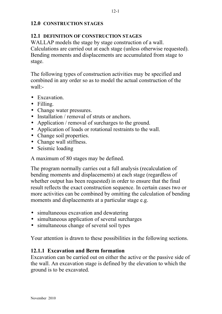#### **12.0 CONSTRUCTION STAGES**

#### **12.1 DEFINITION OF CONSTRUCTION STAGES**

WALLAP models the stage by stage construction of a wall. Calculations are carried out at each stage (unless otherwise requested). Bending moments and displacements are accumulated from stage to stage.

The following types of construction activities may be specified and combined in any order so as to model the actual construction of the wall:-

- Excavation
- Filling.
- Change water pressures.
- Installation / removal of struts or anchors.
- Application / removal of surcharges to the ground.
- Application of loads or rotational restraints to the wall.
- Change soil properties.
- Change wall stiffness.
- Seismic loading

A maximum of 80 stages may be defined.

The program normally carries out a full analysis (recalculation of bending moments and displacements) at each stage (regardless of whether output has been requested) in order to ensure that the final result reflects the exact construction sequence. In certain cases two or more activities can be combined by omitting the calculation of bending moments and displacements at a particular stage e.g.

- simultaneous excavation and dewatering
- simultaneous application of several surcharges
- simultaneous change of several soil types

Your attention is drawn to these possibilities in the following sections.

#### **12.1.1 Excavation and Berm formation**

Excavation can be carried out on either the active or the passive side of the wall. An excavation stage is defined by the elevation to which the ground is to be excavated.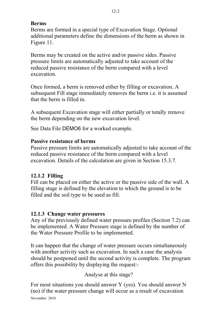# **Berms**

Berms are formed in a special type of Excavation Stage. Optional additional parameters define the dimensions of the berm as shown in Figure 11.

Berms may be created on the active and/or passive sides. Passive pressure limits are automatically adjusted to take account of the reduced passive resistance of the berm compared with a level excavation.

Once formed, a berm is removed either by filling or excavation. A subsequent Fill stage immediately removes the berm i.e. it is assumed that the berm is filled in.

A subsequent Excavation stage will either partially or totally remove the berm depending on the new excavation level.

See Data File DEMO6 for a worked example.

## **Passive resistance of berms**

Passive pressure limits are automatically adjusted to take account of the reduced passive resistance of the berm compared with a level excavation. Details of the calculation are given in Section 15.3.7.

# **12.1.2 Filling**

Fill can be placed on either the active or the passive side of the wall. A filling stage is defined by the elevation to which the ground is to be filled and the soil type to be used as fill.

# **12.1.3 Change water pressures**

Any of the previously defined water pressure profiles (Section 7.2) can be implemented. A Water Pressure stage is defined by the number of the Water Pressure Profile to be implemented.

It can happen that the change of water pressure occurs simultaneously with another activity such as excavation. In such a case the analysis should be postponed until the second activity is complete. The program offers this possibility by displaying the request:-

Analyse at this stage?

For most situations you should answer Y (yes). You should answer N (no) if the water pressure change will occur as a result of excavation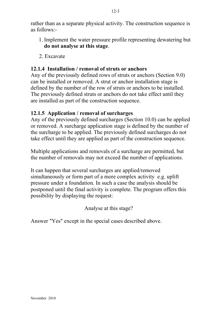rather than as a separate physical activity. The construction sequence is as follows:-

- 1. Implement the water pressure profile representing dewatering but **do not analyse at this stage**.
- 2. Excavate

## **12.1.4 Installation / removal of struts or anchors**

Any of the previously defined rows of struts or anchors (Section 9.0) can be installed or removed. A strut or anchor installation stage is defined by the number of the row of struts or anchors to be installed. The previously defined struts or anchors do not take effect until they are installed as part of the construction sequence.

## **12.1.5 Application / removal of surcharges**

Any of the previously defined surcharges (Section 10.0) can be applied or removed. A surcharge application stage is defined by the number of the surcharge to be applied. The previously defined surcharges do not take effect until they are applied as part of the construction sequence.

Multiple applications and removals of a surcharge are permitted, but the number of removals may not exceed the number of applications.

It can happen that several surcharges are applied/removed simultaneously or form part of a more complex activity e.g. uplift pressure under a foundation. In such a case the analysis should be postponed until the final activity is complete. The program offers this possibility by displaying the request:

Analyse at this stage?

Answer "Yes" except in the special cases described above.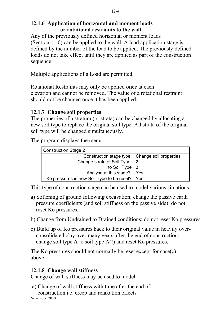# **12.1.6 Application of horizontal and moment loads or rotational restraints to the wall**

Any of the previously defined horizontal or moment loads (Section 11.0) can be applied to the wall. A load application stage is defined by the number of the load to be applied. The previously defined loads do not take effect until they are applied as part of the construction sequence.

Multiple applications of a Load are permitted.

Rotational Restraints may only be applied **once** at each elevation and cannot be removed. The value of a rotational restraint should not be changed once it has been applied.

# **12.1.7 Change soil properties**

The properties of a stratum (or strata) can be changed by allocating a new soil type to replace the original soil type. All strata of the original soil type will be changed simultaneously.

The program displays the menu:-

| <b>Construction Stage 2</b>                      |     |
|--------------------------------------------------|-----|
| Construction stage type   Change soil properties |     |
| Change strata of Soil Type                       | l 2 |
| to Soil Type $ 3$                                |     |
| Analyse at this stage?                           | Yes |
| Ko pressures in new Soil Type to be reset?   Yes |     |

This type of construction stage can be used to model various situations.

- a) Softening of ground following excavation; change the passive earth pressure coefficients (and soil stiffness on the passive side); do not reset Ko pressures.
- b) Change from Undrained to Drained conditions; do not reset Ko pressures.
- c) Build up of Ko pressures back to their original value in heavily overconsolidated clay over many years after the end of construction; change soil type A to soil type A(!) and reset Ko pressures.

The Ko pressures should not normally be reset except for case(c) above.

# **12.1.8 Change wall stiffness**

Change of wall stiffness may be used to model:

- a) Change of wall stiffness with time after the end of
- construction i.e. creep and relaxation effects November 2010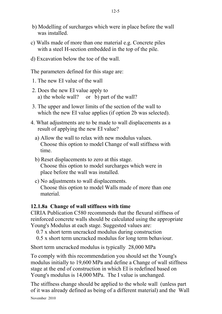- b) Modelling of surcharges which were in place before the wall was installed.
- c) Walls made of more than one material e.g. Concrete piles with a steel H-section embedded in the top of the pile.
- d) Excavation below the toe of the wall.

The parameters defined for this stage are:

- 1. The new EI value of the wall
- 2. Does the new EI value apply to a) the whole wall? or b) part of the wall?
- 3. The upper and lower limits of the section of the wall to which the new EI value applies (if option 2b was selected).
- 4. What adjustments are to be made to wall displacements as a result of applying the new EI value?
	- a) Allow the wall to relax with new modulus values. Choose this option to model Change of wall stiffness with time.
	- b) Reset displacements to zero at this stage. Choose this option to model surcharges which were in place before the wall was installed.
	- c) No adjustments to wall displacements. Choose this option to model Walls made of more than one material.

## **12.1.8a Change of wall stiffness with time**

CIRIA Publication C580 recommends that the flexural stiffness of reinforced concrete walls should be calculated using the appropriate Young's Modulus at each stage. Suggested values are:

- 0.7 x short term uncracked modulus during construction
- 0.5 x short term uncracked modulus for long term behaviour.

Short term uncracked modulus is typically 28,000 MPa

To comply with this recommendation you should set the Young's modulus initially to 19,600 MPa and define a Change of wall stiffness stage at the end of construction in which EI is redefined based on Young's modulus is 14,000 MPa. The I value is unchanged.

The stiffness change should be applied to the whole wall (unless part of it was already defined as being of a different material) and the Wall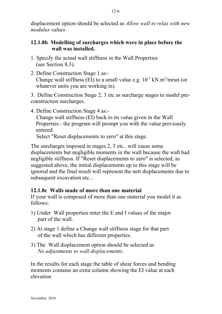displacement option should be selected as *Allow wall to relax with new modulus values*.

#### **12.1.8b Modelling of surcharges which were in place before the wall was installed.**

- 1. Specify the actual wall stiffness in the Wall Properties (see Section 8.3).
- 2. Define Construction Stage 1 as:- Change wall stiffness (EI) to a small value e.g.  $10^{-5}$  kN.m<sup>2</sup>/mrun (or whatever units you are working in).

3. Define Construction Stage 2, 3 etc as surcharge stages to model preconstruction surcharges.

4. Define Construction Stage 4 as:-

 Change wall stiffness (EI) back to its value given in the Wall Properties - the program will prompt you with the value previously entered.

Select "Reset displacements to zero" at this stage.

The surcharges imposed in stages 2, 3 etc.. will cause some displacements but negligible moments in the wall because the wall had negligible stiffness. If "Reset displacements to zero" is selected, as suggested above, the initial displacements up to this stage will be ignored and the final result will represent the nett displacements due to subsequent excavation etc...

# **12.1.8c Walls made of more than one material**

If your wall is composed of more than one material you model it as follows:

- 1) Under Wall properties enter the E and I values of the major part of the wall.
- 2) At stage 1 define a Change wall stiffness stage for that part of the wall which has different properties.
- 3) The Wall displacement option should be selected as *No adjustments to wall displacements*.

In the results for each stage the table of shear forces and bending moments contains an extra column showing the EI value at each elevation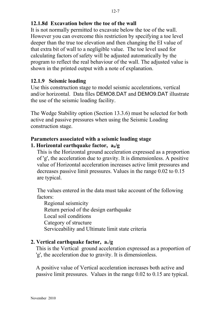## **12.1.8d Excavation below the toe of the wall**

It is not normally permitted to excavate below the toe of the wall. However you can overcome this restriction by specifying a toe level deeper than the true toe elevation and then changing the EI value of that extra bit of wall to a negligible value. The toe level used for calculating factors of safety will be adjusted automatically by the program to reflect the real behaviour of the wall. The adjusted value is shown in the printed output with a note of explanation.

## **12.1.9 Seismic loading**

Use this construction stage to model seismic accelerations, vertical and/or horizontal. Data files DEMO8.DAT and DEMO9.DAT illustrate the use of the seismic loading facility.

The Wedge Stability option (Section 13.3.6) must be selected for both active and passive pressures when using the Seismic Loading construction stage.

## **Parameters associated with a seismic loading stage**

#### **1. Horizontal earthquake factor, ah/g**

This is the Horizontal ground acceleration expressed as a proportion of 'g', the acceleration due to gravity. It is dimensionless. A positive value of Horizontal acceleration increases active limit pressures and decreases passive limit pressures. Values in the range 0.02 to 0.15 are typical.

The values entered in the data must take account of the following factors:

Regional seismicity Return period of the design earthquake Local soil conditions Category of structure Serviceability and Ultimate limit state criteria

#### **2. Vertical earthquake factor, av/g**

This is the Vertical ground acceleration expressed as a proportion of 'g', the acceleration due to gravity. It is dimensionless.

A positive value of Vertical acceleration increases both active and passive limit pressures. Values in the range 0.02 to 0.15 are typical.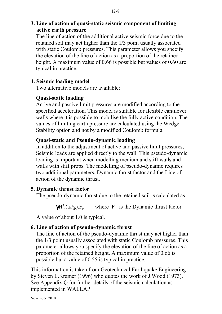**3. Line of action of quasi-static seismic component of limiting active earth pressure**

The line of action of the additional active seismic force due to the retained soil may act higher than the 1/3 point usually associated with static Coulomb pressures. This parameter allows you specify the elevation of the line of action as a proportion of the retained height. A maximum value of 0.66 is possible but values of 0.60 are typical in practice.

## **4. Seismic loading model**

Two alternative models are available:

# **Quasi-static loading**

Active and passive limit pressures are modified according to the specified acceleration. This model is suitable for flexible cantilever walls where it is possible to mobilise the fully active condition. The values of limiting earth pressure are calculated using the Wedge Stability option and not by a modified Coulomb formula.

# **Quasi-static and Pseudo-dynamic loading**

In addition to the adjustment of active and passive limit pressures, Seismic loads are applied directly to the wall. This pseudo-dynamic loading is important when modelling medium and stiff walls and walls with stiff props. The modelling of pseudo-dynamic requires two additional parameters, Dynamic thrust factor and the Line of action of the dynamic thrust.

# **5. Dynamic thrust factor**

The pseudo-dynamic thrust due to the retained soil is calculated as

 $\gamma H^2 \cdot (a_h/g) \cdot F_p$  where  $F_p$  is the Dynamic thrust factor

A value of about 1.0 is typical.

# **6. Line of action of pseudo-dynamic thrust**

The line of action of the pseudo-dynamic thrust may act higher than the 1/3 point usually associated with static Coulomb pressures. This parameter allows you specify the elevation of the line of action as a proportion of the retained height. A maximum value of 0.66 is possible but a value of 0.55 is typical in practice.

This information is taken from Geotechnical Earthquake Engineering by Steven L.Kramer (1996) who quotes the work of J.Wood (1973). See Appendix Q for further details of the seismic calculation as implemented in WALLAP.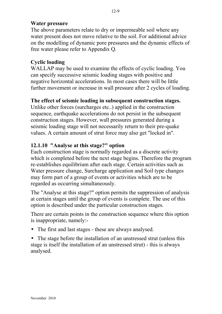#### **Water pressure**

The above parameters relate to dry or impermeable soil where any water present does not move relative to the soil. For additional advice on the modelling of dynamic pore pressures and the dynamic effects of free water please refer to Appendix Q.

## **Cyclic loading**

WALLAP may be used to examine the effects of cyclic loading. You can specify successive seismic loading stages with positive and negative horizontal accelerations. In most cases there will be little further movement or increase in wall pressure after 2 cycles of loading.

## **The effect of seismic loading in subsequent construction stages.**

Unlike other forces (surcharges etc..) applied in the construction sequence, earthquake accelerations do not persist in the subsequent construction stages. However, wall pressures generated during a seismic loading stage will not necessarily return to their pre-quake values. A certain amount of strut force may also get "locked in".

# **12.1.10 "Analyse at this stage?" option**

Each construction stage is normally regarded as a discrete activity which is completed before the next stage begins. Therefore the program re-establishes equilibrium after each stage. Certain activities such as Water pressure change, Surcharge application and Soil type changes may form part of a group of events or activities which are to be regarded as occurring simultaneously.

The "Analyse at this stage?" option permits the suppression of analysis at certain stages until the group of events is complete. The use of this option is described under the particular construction stages.

There are certain points in the construction sequence where this option is inappropriate, namely:-

• The first and last stages - these are always analysed.

• The stage before the installation of an unstressed strut (unless this stage is itself the installation of an unstressed strut) - this is always analysed.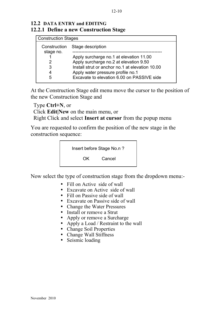#### **12.2 DATA ENTRY and EDITING 12.2.1 Define a new Construction Stage**

| <b>Construction Stages</b> |                                                 |  |  |  |
|----------------------------|-------------------------------------------------|--|--|--|
| Construction<br>stage no.  | Stage description                               |  |  |  |
|                            | Apply surcharge no.1 at elevation 11.00         |  |  |  |
| 2                          | Apply surcharge no.2 at elevation 9.50          |  |  |  |
| 3                          | Install strut or anchor no.1 at elevation 10.00 |  |  |  |
|                            | Apply water pressure profile no.1               |  |  |  |
| 5                          | Excavate to elevation 6.00 on PASSIVE side      |  |  |  |

At the Construction Stage edit menu move the cursor to the position of the new Construction Stage and

 Type **Ctrl+N**, or Click **Edit|New** on the main menu, or Right Click and select **Insert at cursor** from the popup menu

You are requested to confirm the position of the new stage in the construction sequence:



Now select the type of construction stage from the dropdown menu:-

- Fill on Active side of wall
- Excavate on Active side of wall
- Fill on Passive side of wall
- Excavate on Passive side of wall
- Change the Water Pressures
- Install or remove a Strut
- Apply or remove a Surcharge
- Apply a Load / Restraint to the wall
- Change Soil Properties
- Change Wall Stiffness
- Seismic loading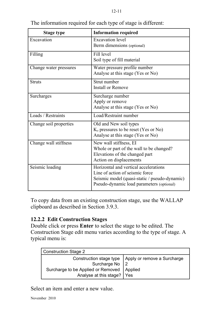| <b>Stage type</b>      | <b>Information required</b>                                                                                                                                            |
|------------------------|------------------------------------------------------------------------------------------------------------------------------------------------------------------------|
| Excavation             | <b>Excavation</b> level<br>Berm dimensions (optional)                                                                                                                  |
| Filling                | Fill level<br>Soil type of fill material                                                                                                                               |
| Change water pressures | Water pressure profile number<br>Analyse at this stage (Yes or No)                                                                                                     |
| <b>Struts</b>          | Strut number<br><b>Install or Remove</b>                                                                                                                               |
| Surcharges             | Surcharge number<br>Apply or remove<br>Analyse at this stage (Yes or No)                                                                                               |
| Loads / Restraints     | Load/Restraint number                                                                                                                                                  |
| Change soil properties | Old and New soil types<br>K <sub>o</sub> pressures to be reset (Yes or No)<br>Analyse at this stage (Yes or No)                                                        |
| Change wall stiffness  | New wall stiffness, EI<br>Whole or part of the wall to be changed?<br>Elevations of the changed part<br>Action on displacements                                        |
| Seismic loading        | Horizontal and vertical accelerations<br>Line of action of seismic force<br>Seismic model (quasi-static / pseudo-dynamic)<br>Pseudo-dynamic load parameters (optional) |

The information required for each type of stage is different:

To copy data from an existing construction stage, use the WALLAP clipboard as described in Section 3.9.3.

## **12.2.2 Edit Construction Stages**

Double click or press **Enter** to select the stage to be edited. The Construction Stage edit menu varies according to the type of stage. A typical menu is:

| Construction Stage 2                         |                                                       |
|----------------------------------------------|-------------------------------------------------------|
|                                              | Construction stage type   Apply or remove a Surcharge |
| Surcharge No                                 | $\vert$ 2                                             |
| Surcharge to be Applied or Removed   Applied |                                                       |
| Analyse at this stage?   Yes                 |                                                       |

Select an item and enter a new value.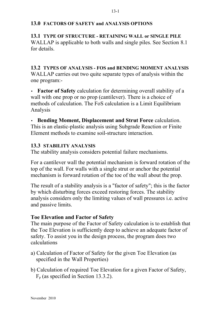# **13.0 FACTORS OF SAFETY and ANALYSIS OPTIONS**

## **13.1 TYPE OF STRUCTURE - RETAINING WALL or SINGLE PILE** WALLAP is applicable to both walls and single piles. See Section 8.1 for details.

## **13.2 TYPES OF ANALYSIS - FOS and BENDING MOMENT ANALYSIS**

WALLAP carries out two quite separate types of analysis within the one program:-

• **Factor of Safety** calculation for determining overall stability of a wall with one prop or no prop (cantilever). There is a choice of methods of calculation. The FoS calculation is a Limit Equilibrium Analysis

• **Bending Moment, Displacement and Strut Force** calculation. This is an elastic-plastic analysis using Subgrade Reaction or Finite Element methods to examine soil-structure interaction.

## **13.3 STABILITY ANALYSIS**

The stability analysis considers potential failure mechanisms.

For a cantilever wall the potential mechanism is forward rotation of the top of the wall. For walls with a single strut or anchor the potential mechanism is forward rotation of the toe of the wall about the prop.

The result of a stability analysis is a "factor of safety"; this is the factor by which disturbing forces exceed restoring forces. The stability analysis considers only the limiting values of wall pressures i.e. active and passive limits.

# **Toe Elevation and Factor of Safety**

The main purpose of the Factor of Safety calculation is to establish that the Toe Elevation is sufficiently deep to achieve an adequate factor of safety. To assist you in the design process, the program does two calculations

- a) Calculation of Factor of Safety for the given Toe Elevation (as specified in the Wall Properties)
- b) Calculation of required Toe Elevation for a given Factor of Safety,  $F_p$  (as specified in Section 13.3.2).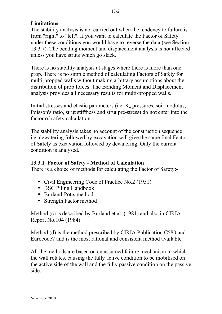## **Limitations**

The stability analysis is not carried out when the tendency to failure is from "right" to "left". If you want to calculate the Factor of Safety under these conditions you would have to reverse the data (see Section 13.3.7). The bending moment and displacement analysis is not affected unless you have struts which go slack.

There is no stability analysis at stages where there is more than one prop. There is no simple method of calculating Factors of Safety for multi-propped walls without making arbitrary assumptions about the distribution of prop forces. The Bending Moment and Displacement analysis provides all necessary results for multi-propped walls.

Initial stresses and elastic parameters (i.e.  $K_0$  pressures, soil modulus, Poisson's ratio, strut stiffness and strut pre-stress) do not enter into the factor of safety calculation.

The stability analysis takes no account of the construction sequence i.e. dewatering followed by excavation will give the same final Factor of Safety as excavation followed by dewatering. Only the current condition is analysed.

## **13.3.1 Factor of Safety - Method of Calculation**

There is a choice of methods for calculating the Factor of Safety:-

- Civil Engineering Code of Practice No.2 (1951)
- BSC Piling Handbook
- Burland-Potts method
- Strength Factor method

Method (c) is described by Burland et al. (1981) and also in CIRIA Report No.104 (1984).

Method (d) is the method prescribed by CIRIA Publication C580 and Eurocode7 and is the most rational and consistent method available.

All the methods are based on an assumed failure mechanism in which the wall rotates, causing the fully active condition to be mobilised on the active side of the wall and the fully passive condition on the passive side.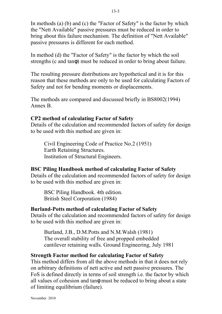In methods (a) (b) and (c) the "Factor of Safety" is the factor by which the "Nett Available" passive pressures must be reduced in order to bring about this failure mechanism. The definition of "Nett Available" passive pressures is different for each method.

In method (d) the "Factor of Safety" is the factor by which the soil strengths (c and tanφ) must be reduced in order to bring about failure.

The resulting pressure distributions are hypothetical and it is for this reason that these methods are only to be used for calculating Factors of Safety and not for bending moments or displacements.

The methods are compared and discussed briefly in BS8002(1994) Annex B.

#### **CP2 method of calculating Factor of Safety**

Details of the calculation and recommended factors of safety for design to be used with this method are given in:

Civil Engineering Code of Practice No.2 (1951) Earth Retaining Structures. Institution of Structural Engineers.

#### **BSC Piling Handbook method of calculating Factor of Safety**

Details of the calculation and recommended factors of safety for design to be used with this method are given in:

BSC Piling Handbook. 4th edition. British Steel Corporation (1984)

#### **Burland-Potts method of calculating Factor of Safety**

Details of the calculation and recommended factors of safety for design to be used with this method are given in:

Burland, J.B., D.M.Potts and N.M.Walsh (1981) The overall stability of free and propped embedded cantilever retaining walls. Ground Engineering, July 1981

#### **Strength Factor method for calculating Factor of Safety**

This method differs from all the above methods in that it does not rely on arbitrary definitions of nett active and nett passive pressures. The FoS is defined directly in terms of soil strength i.e. the factor by which all values of cohesion and tanφ must be reduced to bring about a state of limiting equilibrium (failure).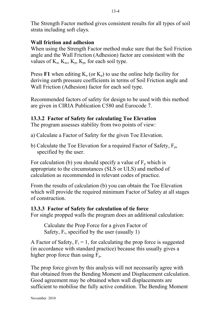The Strength Factor method gives consistent results for all types of soil strata including soft clays.

## **Wall friction and adhesion**

When using the Strength Factor method make sure that the Soil Friction angle and the Wall Friction (Adhesion) factor are consistent with the values of  $K_a$ ,  $K_{ac}$ ,  $K_p$ ,  $K_{pc}$  for each soil type.

Press **F1** when editing  $K_a$  (or  $K_p$ ) to use the online help facility for deriving earth pressure coefficients in terms of Soil Friction angle and Wall Friction (Adhesion) factor for each soil type.

Recommended factors of safety for design to be used with this method are given in CIRIA Publication C580 and Eurocode 7.

## **13.3.2 Factor of Safety for calculating Toe Elevation**

The program assesses stability from two points of view:

- a) Calculate a Factor of Safety for the given Toe Elevation.
- b) Calculate the Toe Elevation for a required Factor of Safety,  $F_p$ , specified by the user.

For calculation (b) you should specify a value of  $F<sub>p</sub>$  which is appropriate to the circumstances (SLS or ULS) and method of calculation as recommended in relevant codes of practice.

From the results of calculation (b) you can obtain the Toe Elevation which will provide the required minimum Factor of Safety at all stages of construction.

#### **13.3.3 Factor of Safety for calculation of tie force**

For single propped walls the program does an additional calculation:

Calculate the Prop Force for a given Factor of Safety,  $F_t$ , specified by the user (usually 1)

A Factor of Safety,  $F_t = 1$ , for calculating the prop force is suggested (in accordance with standard practice) because this usually gives a higher prop force than using  $F_p$ .

The prop force given by this analysis will not necessarily agree with that obtained from the Bending Moment and Displacement calculation. Good agreement may be obtained when wall displacements are sufficient to mobilise the fully active condition. The Bending Moment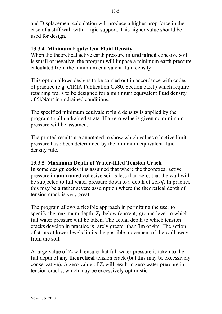and Displacement calculation will produce a higher prop force in the case of a stiff wall with a rigid support. This higher value should be used for design.

## **13.3.4 Minimum Equivalent Fluid Density**

When the theoretical active earth pressure in **undrained** cohesive soil is small or negative, the program will impose a minimum earth pressure calculated from the minimum equivalent fluid density.

This option allows designs to be carried out in accordance with codes of practice (e.g. CIRIA Publication C580, Section 5.5.1) which require retaining walls to be designed for a minimum equivalent fluid density of  $5kN/m^3$  in undrained conditions.

The specified minimum equivalent fluid density is applied by the program to all undrained strata. If a zero value is given no minimum pressure will be assumed.

The printed results are annotated to show which values of active limit pressure have been determined by the minimum equivalent fluid density rule.

## **13.3.5 Maximum Depth of Water-filled Tension Crack**

In some design codes it is assumed that where the theoretical active pressure in **undrained** cohesive soil is less than zero, that the wall will be subjected to full water pressure down to a depth of  $2c_y/\gamma$ . In practice this may be a rather severe assumption where the theoretical depth of tension crack is very great.

The program allows a flexible approach in permitting the user to specify the maximum depth,  $Z_t$ , below (current) ground level to which full water pressure will be taken. The actual depth to which tension cracks develop in practice is rarely greater than 3m or 4m. The action of struts at lower levels limits the possible movement of the wall away from the soil.

A large value of  $Z_t$  will ensure that full water pressure is taken to the full depth of any **theoretical** tension crack (but this may be excessively conservative). A zero value of  $Z_t$  will result in zero water pressure in tension cracks, which may be excessively optimistic.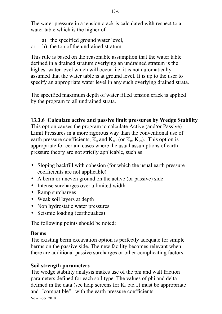The water pressure in a tension crack is calculated with respect to a water table which is the higher of

- a) the specified ground water level,
- or b) the top of the undrained stratum.

This rule is based on the reasonable assumption that the water table defined in a drained stratum overlying an undrained stratum is the highest water level which will occur i.e. it is not automatically assumed that the water table is at ground level. It is up to the user to specify an appropriate water level in any such overlying drained strata.

The specified maximum depth of water filled tension crack is applied by the program to all undrained strata.

# **13.3.6 Calculate active and passive limit pressures by Wedge Stability**

This option causes the program to calculate Active (and/or Passive) Limit Pressures in a more rigorous way than the conventional use of earth pressure coefficients,  $K_a$  and  $K_{ac}$ . (or  $K_p$ ,  $K_{pc}$ ). This option is appropriate for certain cases where the usual assumptions of earth pressure theory are not strictly applicable, such as:

- Sloping backfill with cohesion (for which the usual earth pressure coefficients are not applicable)
- A berm or uneven ground on the active (or passive) side
- Intense surcharges over a limited width
- Ramp surcharges
- Weak soil layers at depth
- Non hydrostatic water pressures
- Seismic loading (earthquakes)

The following points should be noted:

## **Berms**

The existing berm excavation option is perfectly adequate for simple berms on the passive side. The new facility becomes relevant when there are additional passive surcharges or other complicating factors.

## **Soil strength parameters**

The wedge stability analysis makes use of the phi and wall friction parameters defined for each soil type. The values of phi and delta defined in the data (see help screens for  $K_a$  etc...) must be appropriate and "compatible" with the earth pressure coefficients.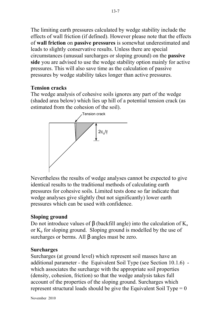The limiting earth pressures calculated by wedge stability include the effects of wall friction (if defined). However please note that the effects of **wall friction** on **passive pressures** is somewhat underestimated and leads to slightly conservative results. Unless there are special circumstances (unusual surcharges or sloping ground) on the **passive side** you are advised to use the wedge stability option mainly for active pressures. This will also save time as the calculation of passive pressures by wedge stability takes longer than active pressures.

## **Tension cracks**

The wedge analysis of cohesive soils ignores any part of the wedge (shaded area below) which lies up hill of a potential tension crack (as estimated from the cohesion of the soil).



Nevertheless the results of wedge analyses cannot be expected to give identical results to the traditional methods of calculating earth pressures for cohesive soils. Limited tests done so far indicate that wedge analyses give slightly (but not significantly) lower earth pressures which can be used with confidence.

# **Sloping ground**

Do not introduce values of β (backfill angle) into the calculation of  $K_a$ or  $K_p$  for sloping ground. Sloping ground is modelled by the use of surcharges or berms. All β angles must be zero.

## **Surcharges**

Surcharges (at ground level) which represent soil masses have an additional parameter - the Equivalent Soil Type (see Section 10.1.6) which associates the surcharge with the appropriate soil properties (density, cohesion, friction) so that the wedge analysis takes full account of the properties of the sloping ground. Surcharges which represent structural loads should be give the Equivalent Soil Type  $= 0$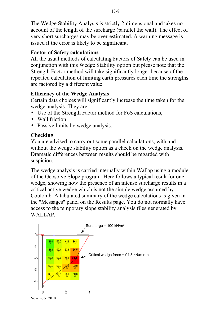The Wedge Stability Analysis is strictly 2-dimensional and takes no account of the length of the surcharge (parallel the wall). The effect of very short surcharges may be over-estimated. A warning message is issued if the error is likely to be significant.

# **Factor of Safety calculations**

All the usual methods of calculating Factors of Safety can be used in conjunction with this Wedge Stability option but please note that the Strength Factor method will take significantly longer because of the repeated calculation of limiting earth pressures each time the strengths are factored by a different value.

# **Efficiency of the Wedge Analysis**

Certain data choices will significantly increase the time taken for the wedge analysis. They are :

- Use of the Strength Factor method for FoS calculations,
- Wall friction
- Passive limits by wedge analysis.

# **Checking**

You are advised to carry out some parallel calculations, with and without the wedge stability option as a check on the wedge analysis. Dramatic differences between results should be regarded with suspicion.

The wedge analysis is carried internally within Wallap using a module of the Geosolve Slope program. Here follows a typical result for one wedge, showing how the presence of an intense surcharge results in a critical active wedge which is not the simple wedge assumed by Coulomb. A tabulated summary of the wedge calculations is given in the "Messages" panel on the Results page. You do not normally have access to the temporary slope stability analysis files generated by WALLAP<sub>.</sub>

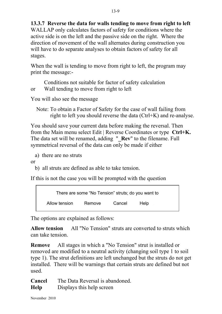**13.3.7 Reverse the data for walls tending to move from right to left** WALLAP only calculates factors of safety for conditions where the active side is on the left and the passive side on the right. Where the direction of movement of the wall alternates during construction you will have to do separate analyses to obtain factors of safety for all stages.

When the wall is tending to move from right to left, the program may print the message:-

Conditions not suitable for factor of safety calculation or Wall tending to move from right to left

You will also see the message

 Note: To obtain a Factor of Safety for the case of wall failing from right to left you should reverse the data (Ctrl+K) and re-analyse.

You should save your current data before making the reversal. Then from the Main menu select Edit | Reverse Coordinates or type **Ctrl+K.** The data set will be renamed, adding "**\_Rev**" to the filename. Full symmetrical reversal of the data can only be made if either

a) there are no struts

or

b) all struts are defined as able to take tension.

If this is not the case you will be prompted with the question

There are some "No Tension" struts; do you want to Allow tension Remove Cancel Help

The options are explained as follows:

**Allow tension** All "No Tension" struts are converted to struts which can take tension.

**Remove** All stages in which a "No Tension" strut is installed or removed are modified to a neutral activity (changing soil type 1 to soil type 1). The strut definitions are left unchanged but the struts do not get installed. There will be warnings that certain struts are defined but not used.

**Cancel** The Data Reversal is abandoned. **Help** Displays this help screen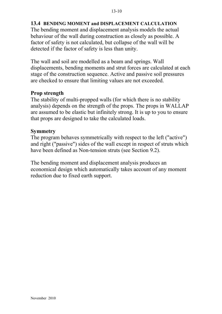#### **13.4 BENDING MOMENT and DISPLACEMENT CALCULATION**

The bending moment and displacement analysis models the actual behaviour of the wall during construction as closely as possible. A factor of safety is not calculated, but collapse of the wall will be detected if the factor of safety is less than unity.

The wall and soil are modelled as a beam and springs. Wall displacements, bending moments and strut forces are calculated at each stage of the construction sequence. Active and passive soil pressures are checked to ensure that limiting values are not exceeded.

#### **Prop strength**

The stability of multi-propped walls (for which there is no stability analysis) depends on the strength of the props. The props in WALLAP are assumed to be elastic but infinitely strong. It is up to you to ensure that props are designed to take the calculated loads.

#### **Symmetry**

The program behaves symmetrically with respect to the left ("active") and right ("passive") sides of the wall except in respect of struts which have been defined as Non-tension struts (see Section 9.2).

The bending moment and displacement analysis produces an economical design which automatically takes account of any moment reduction due to fixed earth support.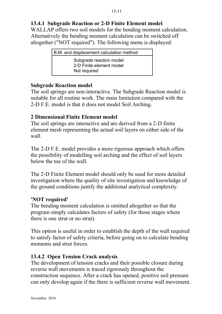## **13.4.1 Subgrade Reaction or 2-D Finite Element model**

WALLAP offers two soil models for the bending moment calculation. Alternatively the bending moment calculation can be switched off altogether ("NOT required"). The following menu is displayed:

| B.M. and displacement calculation method                            |  |
|---------------------------------------------------------------------|--|
| Subgrade reaction model<br>2-D Finite element model<br>Not required |  |

## **Subgrade Reaction model**

The soil springs are non-interactive. The Subgrade Reaction model is suitable for all routine work. The main limitation compared with the 2-D F.E. model is that it does not model Soil Arching.

## **2 Dimensional Finite Element model**

The soil springs are interactive and are derived from a 2-D finite element mesh representing the actual soil layers on either side of the wall.

The 2-D F.E. model provides a more rigorous approach which offers the possibility of modelling soil arching and the effect of soil layers below the toe of the wall.

The 2-D Finite Element model should only be used for more detailed investigation where the quality of site investigation and knowledge of the ground conditions justify the additional analytical complexity.

## **'NOT required'**

The bending moment calculation is omitted altogether so that the program simply calculates factors of safety (for those stages where there is one strut or no strut).

This option is useful in order to establish the depth of the wall required to satisfy factor of safety criteria, before going on to calculate bending moments and strut forces.

# **13.4.2 Open Tension Crack analysis**

The development of tension cracks and their possible closure during reverse wall movements is traced rigorously throughout the construction sequence. After a crack has opened, positive soil pressure can only develop again if the there is sufficient reverse wall movement.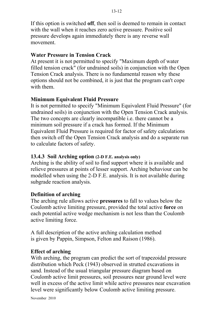If this option is switched **off**, then soil is deemed to remain in contact with the wall when it reaches zero active pressure. Positive soil pressure develops again immediately there is any reverse wall movement.

#### **Water Pressure in Tension Crack**

At present it is not permitted to specify "Maximum depth of water filled tension crack" (for undrained soils) in conjunction with the Open Tension Crack analysis. There is no fundamental reason why these options should not be combined, it is just that the program can't cope with them.

#### **Minimum Equivalent Fluid Pressure**

It is not permitted to specify "Minimum Equivalent Fluid Pressure" (for undrained soils) in conjunction with the Open Tension Crack analysis. The two concepts are clearly incompatible i.e. there cannot be a minimum soil pressure if a crack has formed. If the Minimum Equivalent Fluid Pressure is required for factor of safety calculations then switch off the Open Tension Crack analysis and do a separate run to calculate factors of safety.

#### **13.4.3 Soil Arching option (2-D F.E. analysis only)**

Arching is the ability of soil to find support where it is available and relieve pressures at points of lesser support. Arching behaviour can be modelled when using the 2-D F.E. analysis. It is not available during subgrade reaction analysis.

## **Definition of arching**

The arching rule allows active **pressures** to fall to values below the Coulomb active limiting pressure, provided the total active **force** on each potential active wedge mechanism is not less than the Coulomb active limiting force.

A full description of the active arching calculation method is given by Pappin, Simpson, Felton and Raison (1986).

#### **Effect of arching**

With arching, the program can predict the sort of trapezoidal pressure distribution which Peck (1943) observed in strutted excavations in sand. Instead of the usual triangular pressure diagram based on Coulomb active limit pressures, soil pressures near ground level were well in excess of the active limit while active pressures near excavation level were significantly below Coulomb active limiting pressure.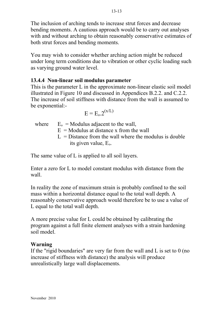The inclusion of arching tends to increase strut forces and decrease bending moments. A cautious approach would be to carry out analyses with and without arching to obtain reasonably conservative estimates of both strut forces and bending moments.

You may wish to consider whether arching action might be reduced under long term conditions due to vibration or other cyclic loading such as varying ground water level.

## **13.4.4 Non-linear soil modulus parameter**

This is the parameter L in the approximate non-linear elastic soil model illustrated in Figure 10 and discussed in Appendices B.2.2. and C.2.2. The increase of soil stiffness with distance from the wall is assumed to be exponential:-

$$
E=E_{\rm o.}2^{(x/L)}
$$

where  $E_0 =$  Modulus adjacent to the wall,

- $E =$  Modulus at distance x from the wall
- $L =$  Distance from the wall where the modulus is double its given value,  $E_0$ .

The same value of L is applied to all soil layers.

Enter a zero for L to model constant modulus with distance from the wall.

In reality the zone of maximum strain is probably confined to the soil mass within a horizontal distance equal to the total wall depth. A reasonably conservative approach would therefore be to use a value of L equal to the total wall depth.

A more precise value for L could be obtained by calibrating the program against a full finite element analyses with a strain hardening soil model.

## **Warning**

If the "rigid boundaries" are very far from the wall and L is set to 0 (no increase of stiffness with distance) the analysis will produce unrealistically large wall displacements.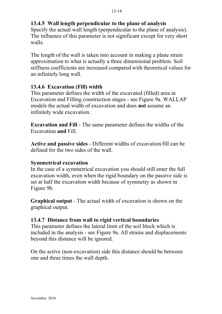## **13.4.5 Wall length perpendicular to the plane of analysis**

Specify the actual wall length (perpendicular to the plane of analysis). The influence of this parameter is not significant except for very short walls.

The length of the wall is taken into account in making a plane strain approximation to what is actually a three dimensional problem. Soil stiffness coefficients are increased compared with theoretical values for an infinitely long wall.

## **13.4.6 Excavation (Fill) width**

This parameter defines the width of the excavated (filled) area in Excavation and Filling construction stages - see Figure 9a. WALLAP models the actual width of excavation and does **not** assume an infinitely wide excavation.

**Excavation and Fill** - The same parameter defines the widths of the Excavation **and** Fill.

**Active and passive sides** - Different widths of excavation/fill can be defined for the two sides of the wall.

#### **Symmetrical excavation**

In the case of a symmetrical excavation you should still enter the full excavation width, even when the rigid boundary on the passive side is set at half the excavation width because of symmetry as shown in Figure 9b.

**Graphical output** - The actual width of excavation is shown on the graphical output.

## **13.4.7 Distance from wall to rigid vertical boundaries**

This parameter defines the lateral limit of the soil block which is included in the analysis - see Figure 9a. All strains and displacements beyond this distance will be ignored.

On the active (non-excavation) side this distance should be between one and three times the wall depth.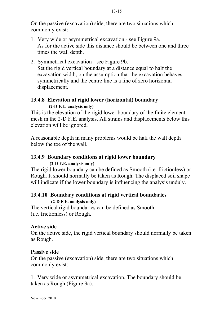On the passive (excavation) side, there are two situations which commonly exist:

- 1. Very wide or asymmetrical excavation see Figure 9a. As for the active side this distance should be between one and three times the wall depth.
- 2. Symmetrical excavation see Figure 9b. Set the rigid vertical boundary at a distance equal to half the excavation width, on the assumption that the excavation behaves symmetrically and the centre line is a line of zero horizontal displacement.

# **13.4.8 Elevation of rigid lower (horizontal) boundary (2-D F.E. analysis only)**

This is the elevation of the rigid lower boundary of the finite element mesh in the 2-D F.E. analysis. All strains and displacements below this elevation will be ignored.

A reasonable depth in many problems would be half the wall depth below the toe of the wall.

# **13.4.9 Boundary conditions at rigid lower boundary**

**(2-D F.E. analysis only)**

The rigid lower boundary can be defined as Smooth (i.e. frictionless) or Rough. It should normally be taken as Rough. The displaced soil shape will indicate if the lower boundary is influencing the analysis unduly.

# **13.4.10 Boundary conditions at rigid vertical boundaries**

**(2-D F.E. analysis only)**

The vertical rigid boundaries can be defined as Smooth (i.e. frictionless) or Rough.

# **Active side**

On the active side, the rigid vertical boundary should normally be taken as Rough.

# **Passive side**

On the passive (excavation) side, there are two situations which commonly exist:

1. Very wide or asymmetrical excavation. The boundary should be taken as Rough (Figure 9a).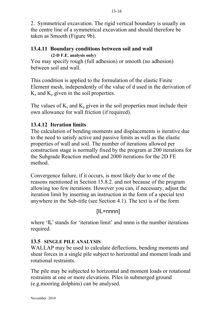2. Symmetrical excavation. The rigid vertical boundary is usually on the centre line of a symmetrical excavation and should therefore be taken as Smooth (Figure 9b).

## **13.4.11 Boundary conditions between soil and wall (2-D F.E. analysis only)**

You may specify rough (full adhesion) or smooth (no adhesion) between soil and wall.

This condition is applied to the formulation of the elastic Finite Element mesh, independently of the value of d used in the derivation of  $K_a$  and  $K_p$  given in the soil properties.

The values of  $K_a$  and  $K_p$  given in the soil properties must include their own allowance for wall friction (if required).

# **13.4.12 Iteration limits**

The calculation of bending moments and displacements is iterative due to the need to satisfy active and passive limits as well as the elastic properties of wall and soil. The number of iterations allowed per construction stage is normally fixed by the program at 200 iterations for the Subgrade Reaction method and 2000 iterations for the 2D FE method.

Convergence failure, if it occurs, is most likely due to one of the reasons mentioned in Section 15.8.2. and not because of the program allowing too few iterations. However you can, if necessary, adjust the iteration limit by inserting an instruction in the form of a special text anywhere in the Sub-title (see Section 4.1). The text is of the form

# [IL=nnnn]

where 'IL' stands for 'iteration limit' and nnnn is the number iterations required.

# **13.5 SINGLE PILE ANALYSIS**

WALLAP may be used to calculate deflections, bending moments and shear forces in a single pile subject to horizontal and moment loads and rotational restraints.

The pile may be subjected to horizontal and moment loads or rotational restraints at one or more elevations. Piles in submerged ground (e.g.mooring dolphins) can be analysed.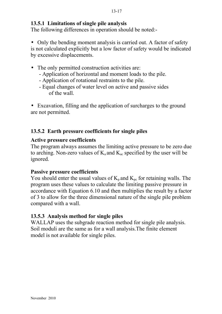## **13.5.1 Limitations of single pile analysis**

The following differences in operation should be noted:-

• Only the bending moment analysis is carried out. A factor of safety is not calculated explicitly but a low factor of safety would be indicated by excessive displacements.

- The only permitted construction activities are:
	- Application of horizontal and moment loads to the pile.
	- Application of rotational restraints to the pile.
	- Equal changes of water level on active and passive sides of the wall.

• Excavation, filling and the application of surcharges to the ground are not permitted.

## **13.5.2 Earth pressure coefficients for single piles**

#### **Active pressure coefficients**

The program always assumes the limiting active pressure to be zero due to arching. Non-zero values of  $K_a$  and  $K_{ac}$  specified by the user will be ignored.

## **Passive pressure coefficients**

You should enter the usual values of  $K_p$  and  $K_{pc}$  for retaining walls. The program uses these values to calculate the limiting passive pressure in accordance with Equation 6.10 and then multiplies the result by a factor of 3 to allow for the three dimensional nature of the single pile problem compared with a wall.

## **13.5.3 Analysis method for single piles**

WALLAP uses the subgrade reaction method for single pile analysis. Soil moduli are the same as for a wall analysis.The finite element model is not available for single piles.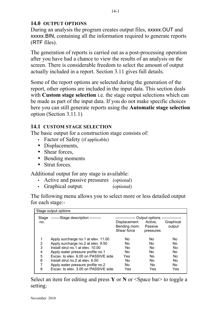#### **14.0 OUTPUT OPTIONS**

During an analysis the program creates output files, xxxxx.OUT and xxxxx.BIN, containing all the information required to generate reports (RTF files).

The generation of reports is carried out as a post-processing operation after you have had a chance to view the results of an analysis on the screen. There is considerable freedom to select the amount of output actually included in a report. Section 3.11 gives full details.

Some of the report options are selected during the generation of the report, other options are included in the input data. This section deals with **Custom stage selection** i.e. the stage output selections which can be made as part of the input data. If you do not make specific choices here you can still generate reports using the **Automatic stage selection** option (Section 3.11.1)

#### **14.1 CUSTOM STAGE SELECTION**

The basic output for a construction stage consists of:

- Factor of Safety (if applicable)
- Displacements,
- Shear forces,
- Bending moments
- Strut forces.

Additional output for any stage is available:

- Active and passive pressures (optional)
- Graphical output. (optional)

The following menu allows you to select more or less detailed output for each stage:-

|              | Stage output options                 |                             |                           |                |
|--------------|--------------------------------------|-----------------------------|---------------------------|----------------|
| Stage<br>no. | -------Stage description ---------   | Displacement                | Output options<br>Active. | Graphical      |
|              |                                      | Bending mom.<br>Shear force | Passive<br>pressures      | output         |
| 1            | Apply surcharge no.1 at elev. 11.00  | No.                         | No                        | No.            |
| 2            | Apply surcharge no.2 at elev. 9.50   | No.                         | No                        | No.            |
| 3            | Install strut no.1 at elev. 10.00    | No.                         | No.                       | No             |
| 4            | Apply water pressure profile no.1    | No                          | No                        | No.            |
| 5            | Excav. to elev. 6.00 on PASSIVE side | Yes                         | No                        | No             |
| 6            | Install strut no.2 at elev. 6.50     | No.                         | No.                       | No             |
| 7            | Apply water pressure profile no.2    | No                          | Nο                        | N <sub>0</sub> |
| 8            | Excay, to eley, 3.00 on PASSIVE side | Yes                         | Yes                       | Yes            |

Select an item for editing and press **Y** or **N** or <Space bar> to toggle a setting.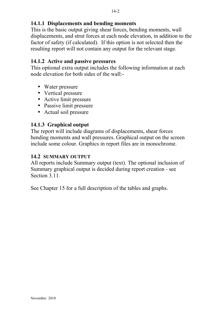## **14.1.1 Displacements and bending moments**

This is the basic output giving shear forces, bending moments, wall displacements, and strut forces at each node elevation, in addition to the factor of safety (if calculated). If this option is not selected then the resulting report will not contain any output for the relevant stage.

#### **14.1.2 Active and passive pressures**

This optional extra output includes the following information at each node elevation for both sides of the wall:-

- Water pressure
- Vertical pressure
- Active limit pressure
- Passive limit pressure
- Actual soil pressure

#### **14.1.3 Graphical output**

The report will include diagrams of displacements, shear forces bending moments and wall pressures. Graphical output on the screen include some colour. Graphics in report files are in monochrome.

#### **14.2 SUMMARY OUTPUT**

All reports include Summary output (text). The optional inclusion of Summary graphical output is decided during report creation - see Section 3.11

See Chapter 15 for a full description of the tables and graphs.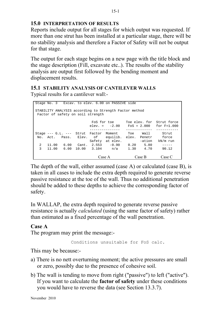# **15.0 INTERPRETATION OF RESULTS**

Reports include output for all stages for which output was requested. If more than one strut has been installed at a particular stage, there will be no stability analysis and therefore a Factor of Safety will not be output for that stage.

The output for each stage begins on a new page with the title block and the stage description (Fill, excavate etc..). The results of the stability analysis are output first followed by the bending moment and displacement results.

#### **15.1 STABILITY ANALYSIS OF CANTILEVER WALLS**  Typical results for a cantilever wall:-

```
Stage No. 3 Excav. to elev. 6.00 on PASSIVE side
STABILITY ANALYSIS according to Strength Factor method
 Factor of safety on soil strength
FoS for toe Toe elev. for Strut force
 elev. = -2.00 FoS = 2.000 for F=1.000
 --------------- ------------- -----------
Stage --- G.L. --- Strut Factor Moment Toe Wall Strut
Stage --- G.L. --- Strut Factor Moment Toe Wall Strut<br>No. Act. Pass. Elev. of equilib. elev. Penetr force<br>Safety at elev. -ation kN/m run
Safety at elev. The action of N/m run
 2 11.00 6.00 Cant. 2.553 -0.90 0.20 5.80 -----
 3 11.00 6.00 10.00 3.104 n/a 1.30 4.70 90.12 
                         Case A Case B Case C
```
The depth of the wall, either assumed (case A) or calculated (case B), is taken in all cases to include the extra depth required to generate reverse passive resistance at the toe of the wall. Thus no additional penetration should be added to these depths to achieve the corresponding factor of safety.

In WALLAP, the extra depth required to generate reverse passive resistance is actually *calculated* (using the same factor of safety) rather than estimated as a fixed percentage of the wall penetration.

# **Case A**

The program may print the message:-

Conditions unsuitable for FoS calc.

This may be because:-

- a) There is no nett overturning moment; the active pressures are small or zero, possibly due to the presence of cohesive soil.
- b) The wall is tending to move from right ("passive") to left ("active"). If you want to calculate the **factor of safety** under these conditions you would have to reverse the data (see Section 13.3.7).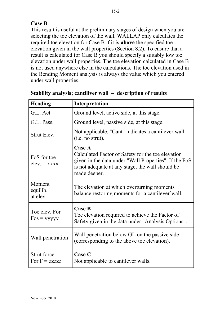# **Case B**

This result is useful at the preliminary stages of design when you are selecting the toe elevation of the wall. WALLAP only calculates the required toe elevation for Case B if it is **above** the specified toe elevation given in the wall properties (Section 8.2). To ensure that a result is calculated for Case B you should specify a suitably low toe elevation under wall properties. The toe elevation calculated in Case B is not used anywhere else in the calculations. The toe elevation used in the Bending Moment analysis is always the value which you entered under wall properties.

| <b>Heading</b>                        | Interpretation                                                                                                                                                                                  |  |  |  |
|---------------------------------------|-------------------------------------------------------------------------------------------------------------------------------------------------------------------------------------------------|--|--|--|
| G.L. Act.                             | Ground level, active side, at this stage.                                                                                                                                                       |  |  |  |
| G.L. Pass.                            | Ground level, passive side, at this stage.                                                                                                                                                      |  |  |  |
| Strut Elev.                           | Not applicable. "Cant" indicates a cantilever wall<br>(i.e. no strut).                                                                                                                          |  |  |  |
| FoS for toe<br>$e$ lev. $=$ xxxx      | <b>Case A</b><br>Calculated Factor of Safety for the toe elevation<br>given in the data under "Wall Properties". If the FoS<br>is not adequate at any stage, the wall should be<br>made deeper. |  |  |  |
| Moment<br>equilib.<br>at elev.        | The elevation at which overturning moments<br>balance restoring moments for a cantilever wall.                                                                                                  |  |  |  |
| Toe elev. For<br>$Fos = yyyyy$        | <b>Case B</b><br>Toe elevation required to achieve the Factor of<br>Safety given in the data under "Analysis Options".                                                                          |  |  |  |
| Wall penetration                      | Wall penetration below GL on the passive side<br>(corresponding to the above toe elevation).                                                                                                    |  |  |  |
| <b>Strut force</b><br>For $F = zzzzz$ | Case C<br>Not applicable to cantilever walls.                                                                                                                                                   |  |  |  |

|  | Stability analysis; cantiliver wall – description of results |  |  |
|--|--------------------------------------------------------------|--|--|
|  |                                                              |  |  |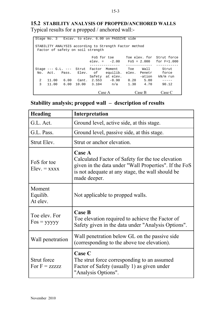## **15.2 STABILITY ANALYSIS OF PROPPED/ANCHORED WALLS**  Typical results for a propped / anchored wall:-

|                | Stage No. 3 Excav. to elev. 6.00 on PASSIVE side |      |                                 |                                   |                                                        |  |        |                                           |
|----------------|--------------------------------------------------|------|---------------------------------|-----------------------------------|--------------------------------------------------------|--|--------|-------------------------------------------|
|                |                                                  |      |                                 |                                   |                                                        |  |        |                                           |
|                |                                                  |      |                                 |                                   | STABILITY ANALYSIS according to Strength Factor method |  |        |                                           |
|                |                                                  |      |                                 |                                   |                                                        |  |        |                                           |
|                |                                                  |      |                                 | Factor of safety on soil strength |                                                        |  |        |                                           |
|                |                                                  |      |                                 |                                   |                                                        |  |        |                                           |
|                |                                                  |      |                                 |                                   |                                                        |  |        | FoS for toe Toe elev, for Strut force     |
|                |                                                  |      |                                 |                                   |                                                        |  |        | elev. = $-2.00$ FoS = $2.000$ for F=1.000 |
|                |                                                  |      |                                 |                                   |                                                        |  |        |                                           |
|                |                                                  |      |                                 |                                   |                                                        |  |        |                                           |
|                |                                                  |      | Stage --- G.L. --- Strut Factor |                                   | Moment Toe Wall                                        |  |        | Strut                                     |
|                |                                                  |      |                                 |                                   | No. Act. Pass. Elev. of equilib.                       |  |        | elev. Penetr – force                      |
|                |                                                  |      |                                 |                                   | Safety at elev.                                        |  | -ation | kN/m run                                  |
| $\overline{2}$ | 11.00                                            | 6.00 |                                 |                                   | Cant. 2.553 -0.90 0.20 5.80                            |  |        | $   -$                                    |
| $\mathcal{L}$  |                                                  |      |                                 |                                   | $11.00$ 6.00 10.00 3.104 n/a 1.30 4.70                 |  |        | 90.12                                     |
|                |                                                  |      |                                 |                                   |                                                        |  |        |                                           |
|                |                                                  |      |                                 |                                   |                                                        |  |        |                                           |
|                |                                                  |      |                                 |                                   | Case A                                                 |  | Case B | Case C                                    |

| Heading                      | Interpretation                                                                                                                                                                                  |
|------------------------------|-------------------------------------------------------------------------------------------------------------------------------------------------------------------------------------------------|
| G.L. Act.                    | Ground level, active side, at this stage.                                                                                                                                                       |
| G.L. Pass.                   | Ground level, passive side, at this stage.                                                                                                                                                      |
| Strut Elev.                  | Strut or anchor elevation.                                                                                                                                                                      |
| FoS for toe<br>$Elev = XXXX$ | <b>Case A</b><br>Calculated Factor of Safety for the toe elevation<br>given in the data under "Wall Properties". If the FoS<br>is not adequate at any stage, the wall should be<br>made deeper. |
| Moment                       |                                                                                                                                                                                                 |

**Stability analysis; propped wall – description of results**

| Equilib.<br>At elev.           | Not applicable to propped walls.                                                                                                   |
|--------------------------------|------------------------------------------------------------------------------------------------------------------------------------|
| Toe elev. For<br>$Fos = yyyyy$ | <b>Case B</b><br>Toe elevation required to achieve the Factor of<br>Safety given in the data under "Analysis Options".             |
| Wall penetration               | Wall penetration below GL on the passive side<br>(corresponding to the above toe elevation).                                       |
| Strut force<br>For $F = zzzzz$ | <b>Case C</b><br>The strut force corresponding to an assumed<br>Factor of Safety (usually 1) as given under<br>"Analysis Options". |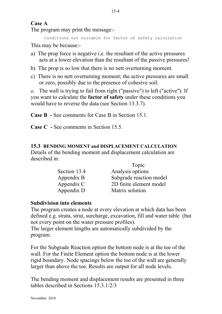#### **Case A**

The program may print the message:-

```
Conditions not suitable for factor of safety calculation
```
This may be because:-

- a) The prop force is negative i.e. the resultant of the active pressures acts at a lower elevation than the resultant of the passive pressures!
- b) The prop is so low that there is no nett overturning moment.
- c) There is no nett overturning moment; the active pressures are small or zero, possibly due to the presence of cohesive soil.

The wall is trying to fail from right ("passive") to left ("active"). If you want to calculate the **factor of safety** under these conditions you would have to reverse the data (see Section 13.3.7).

**Case B -** See comments for Case B in Section 15.1.

**Case C -** See comments in Section 15.5.

**15.3 BENDING MOMENT and DISPLACEMENT CALCULATION** Details of the bending moment and displacement calculation are described in:

|              | Topic                   |
|--------------|-------------------------|
| Section 13.4 | Analysis options        |
| Appendix B   | Subgrade reaction model |
| Appendix C   | 2D finite element model |
| Appendix D   | Matrix solution         |

## **Subdivision into elements**

The program creates a node at every elevation at which data has been defined e.g. strata, strut, surcharge, excavation, fill and water table (but not every point on the water pressure profiles).

The larger element lengths are automatically subdivided by the program.

For the Subgrade Reaction option the bottom node is at the toe of the wall. For the Finite Element option the bottom node is at the lower rigid boundary. Node spacings below the toe of the wall are generally larger than above the toe. Results are output for all node levels.

The bending moment and displacement results are presented in three tables described in Sections 15.3.1/2/3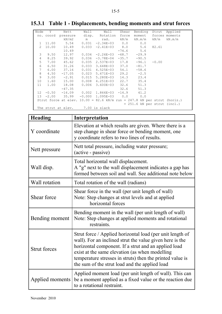|              |           |             |       |                         |         |         |             | Toloh Table I Displacements, benuing moments and structures |
|--------------|-----------|-------------|-------|-------------------------|---------|---------|-------------|-------------------------------------------------------------|
| Node         | Y         | Nett        | Wall  | Wall                    | Shear   | Bending |             | Strut Applied                                               |
|              | no. coord | pressure    | disp. | Rotation                | force   | moment  |             | forces moments                                              |
|              |           | kN/m2       | m     | rad.                    | kN/m    | kN.m/m  | kN/m kN.m/m |                                                             |
| $\mathbf{1}$ |           | 11.00 5.54  |       | $0.031 -2.34E-03$ 0.0   |         | 0.0     |             |                                                             |
| 2            |           | 10.00 10.49 |       | $0.033 -2.41E-03 8.0$   |         | 5.6     | 82.61       |                                                             |
|              |           | 10.49       |       |                         | $-74.6$ | 5.6     |             |                                                             |
| 3            | 9.50      | 12.97       | 0.034 | -2.26E-03               | $-68.7$ | $-29.9$ |             |                                                             |
| 4            | 8.25      | 39.92       | 0.036 | $-3.78E-04$ $-35.7$     |         | $-90.5$ |             |                                                             |
| 5            | 7.00      | 45.62       | 0.035 | 2.537E-03 17.8          |         | $-96.1$ | $-0.00$     |                                                             |
| 6            | 6.50      | 31.26       | 0.033 | 3.648E-03 37.0          |         | $-81.7$ |             |                                                             |
| 7            | 6.00      | 37.16       | 0.031 | 4.525E-03               | 54.1    | $-58.6$ |             |                                                             |
| 8            | 4.50      | $-17.05$    | 0.023 | 5.671E-03               | 29.2    | $-2.5$  |             |                                                             |
| 9            | 3.00      | $-2.91$     | 0.015 | $5.280E - 03$           | 14.3    | 23.4    |             |                                                             |
| 10           | 1.60      | 15.00       | 0.008 | $4.251E - 03$           | 22.7    | 35.4    |             |                                                             |
| 11           | 1.00      | 18.08       |       | $0.006$ 3.600E-03       | 32.6    | 51.3    |             |                                                             |
|              |           | $-47.35$    |       |                         | 32.6    | 51.3    |             |                                                             |
| 12           | $-0.50$   | $-16.09$    |       | $0.002$ 1.866E-03 -14.9 |         | 41.2    |             |                                                             |

13 -2.00 35.99 -0.000 1.095E-03 0.0 0.0

#### **15.3.1 Table 1 - Displacements, bending moments and strut forces**

| The strut at elev.  | Strut force at elev. $10.00 = 82.6$ kN/m run = 247.8 kN per strut (horiz.)<br>= 251.6 kN per strut (incl.)<br>7.00 is slack                                                                                                                                                                                                                    |  |  |  |  |
|---------------------|------------------------------------------------------------------------------------------------------------------------------------------------------------------------------------------------------------------------------------------------------------------------------------------------------------------------------------------------|--|--|--|--|
| <b>Heading</b>      | Interpretation                                                                                                                                                                                                                                                                                                                                 |  |  |  |  |
| Y coordinate        | Elevation at which results are given. Where there is a<br>step change in shear force or bending moment, one<br>y coordinate refers to two lines of results.                                                                                                                                                                                    |  |  |  |  |
| Nett pressure       | Nett total pressure, including water pressure;<br>(active - passive)                                                                                                                                                                                                                                                                           |  |  |  |  |
| Wall disp.          | Total horizontal wall displacement.<br>A "g" next to the wall displacement indicates a gap has<br>formed between soil and wall. See additional note below                                                                                                                                                                                      |  |  |  |  |
| Wall rotation       | Total rotation of the wall (radians)                                                                                                                                                                                                                                                                                                           |  |  |  |  |
| Shear force         | Shear force in the wall (per unit length of wall)<br>Note: Step changes at strut levels and at applied<br>horizontal forces                                                                                                                                                                                                                    |  |  |  |  |
| Bending moment      | Bending moment in the wall (per unit length of wall)<br>Note: Step changes at applied moments and rotational<br>restraints.                                                                                                                                                                                                                    |  |  |  |  |
| <b>Strut forces</b> | Strut force / Applied horizontal load (per unit length of<br>wall). For an inclined strut the value given here is the<br>horizontal component. If a strut and an applied load<br>exist at the same elevation (as when modelling<br>temperature stresses in struts) then the printed value is<br>the sum of the strut load and the applied load |  |  |  |  |
| Applied moments     | Applied moment load (per unit length of wall). This can<br>be a moment applied as a fixed value or the reaction due<br>to a rotational restraint.                                                                                                                                                                                              |  |  |  |  |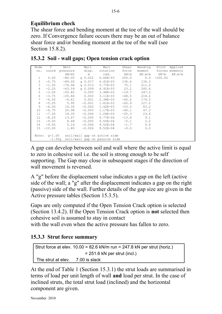# **Equilibrium check**

The shear force and bending moment at the toe of the wall should be zero. If Convergence failure occurs there may be an out of balance shear force and/or bending moment at the toe of the wall (see Section 15.8.2).

| Node              | Y        | Nett     | Wall        | Wall                                  | Shear   | Bending |           | Strut Applied  |  |
|-------------------|----------|----------|-------------|---------------------------------------|---------|---------|-----------|----------------|--|
| no.               | coord    | pressure | disp.       | rotation                              | force   | moment  |           | forces moments |  |
|                   |          | kN/m2    | m           | rad.                                  | kN/m    | kN.m/m  | kN/m      | kN.m/m         |  |
| 1                 | 0.00     | $-80.00$ | $q_{0.022}$ | $6.66E - 03$                          | 200.0   | 0.0     | $-200.00$ |                |  |
| 2                 | $-0.75$  | $-89.00$ | $q_{0.017}$ | $6.41E - 03$                          | 136.6   | 134.3   |           |                |  |
| 3                 | $-1.50$  | -74.94   | $q_{0.013}$ | 5.77E-03                              | 75.1    | 211.0   |           |                |  |
| $\overline{4}$    | $-2.25$  | $-63.59$ | $q_{0.009}$ | $4.91E - 03$                          | 23.2    | 245.6   |           |                |  |
| 5                 | $-3.00$  | $-50.82$ | 0.005       | $3.98E-03$                            | $-19.7$ | 247.2   |           |                |  |
| 6                 | $-3.75$  | $-25.86$ | 0.003       | $3.11E-03$                            | $-48.5$ | 218.2   |           |                |  |
| 7                 | $-4.50$  | -6.61    | 0.001       | $2.38E - 03$                          | $-60.6$ | 174.5   |           |                |  |
| 8                 | $-5.25$  | 5.95     | $-0.001$    | $1.81E-03$                            | $-60.9$ | 127.2   |           |                |  |
| 9                 | $-6.00$  | 14.30    | $-0.002$    | 1.42E-03                              | $-53.3$ | 83.2    |           |                |  |
| 10                | $-6.75$  | 20.98    | $-0.003$    | 1.17E-03                              | $-40.1$ | 47.3    |           |                |  |
| 11                | $-7.50$  | 18.35    | $-0.004$    | $1.04E - 03$                          | $-25.3$ | 23.6    |           |                |  |
| $12 \overline{ }$ | $-8.25$  | 13.47    | $-0.005$    | $9.77E - 04$                          | $-13.4$ | 9.1     |           |                |  |
| 13                | $-9.00$  | 8.48     | $-0.005$    | $9.55E - 04$                          | $-5.1$  | 2.2     |           |                |  |
| 14                | $-9.50$  | 5.14     | $-0.006$    | $9.52E - 04$                          | $-1.7$  | 0.4     |           |                |  |
| 15                | $-10.00$ | 1.80     | $-0.006$    | $9.52E - 04$                          | $-0.0$  | 0.0     |           |                |  |
|                   |          |          |             |                                       |         |         |           |                |  |
| Note:             |          |          |             | $q-1.00$ soil/wall gap on active side |         |         |           |                |  |
|                   |          |          |             | -1.00q soil/wall gap on passive side  |         |         |           |                |  |

**15.3.2 Soil - wall gaps; Open tension crack option**

A gap can develop between soil and wall where the active limit is equal to zero in cohesive soil i.e. the soil is strong enough to be self supporting. The Gap may close in subsequent stages if the direction of wall movement is reversed.

A "g" before the displacement value indicates a gap on the left (active side of the wall; a "g" after the displacement indicates a gap on the right (passive) side of the wall. Further details of the gap size are given in the Active pressure tables (Section 15.3.5).

Gaps are only computed if the Open Tension Crack option is selected (Section 13.4.2). If the Open Tension Crack option is **not** selected then cohesive soil is assumed to stay in contact

with the wall even when the active pressure has fallen to zero.

## **15.3.3 Strut force summary**

|                                  | Strut force at elev. $10.00 = 82.6$ kN/m run = 247.8 kN per strut (horiz.) |
|----------------------------------|----------------------------------------------------------------------------|
|                                  | $= 251.6$ kN per strut (incl.)                                             |
| The strut at elev. 7.00 is slack |                                                                            |

At the end of Table 1 (Section 15.3.1) the strut loads are summarised in terms of load per unit length of wall **and** load per strut. In the case of inclined struts, the total strut load (inclined) and the horizontal component are given.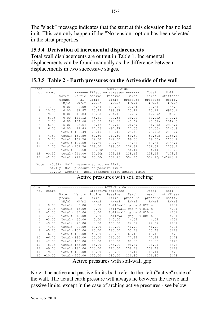The "slack" message indicates that the strut at this elevation has no load in it. This can only happen if the "No tension" option has been selected in the strut properties.

#### **15.3.4 Derivation of incremental displacements**

Total wall displacements are output in Table 1. Incremental displacements can be found manually as the difference between displacements in two successive stages.

**15.3.5 Table 2 - Earth pressures on the Active side of the wall**

| Node                                             | Y       |        |                     |                      | ---- ACTIVE side ----          |                                                   |          |                  |  |
|--------------------------------------------------|---------|--------|---------------------|----------------------|--------------------------------|---------------------------------------------------|----------|------------------|--|
| no.                                              | coord   |        |                     |                      | Effective stresses -------     |                                                   | Total    | Soil             |  |
|                                                  |         | Water  | Vertic              | Active               | Passive                        | Earth                                             | earth    | stiffness        |  |
|                                                  |         | press. | -al                 | limit                | limit                          | pressure                                          | pressure | coeff.           |  |
|                                                  |         | kN/m2  |                     | kN/m2 kN/m2          | kN/m2                          | kN/m2                                             | kN/m2    | kN/m3            |  |
| 1                                                | 11.00   | 0.00   |                     | 20.00 5.54           | 100.00                         | 20.31                                             | 20.31    | 1154.2           |  |
| $\overline{2}$                                   | 10.00   | 0.00   | 37.87               | 10.49                | 189.37                         | 15.19                                             | 15.19    | 6925.1           |  |
| 3                                                | 9.50    | 0.00   | 46.83               | 16.28                | 234.16                         | 12.97                                             | 12.97A   | 942.2            |  |
| 4                                                | 8.25    | 0.00   | 144.12              | 45.81                | 720.58                         | 39.92                                             | 39.92A   | 1727.4           |  |
| 5                                                | 7.00    | 0.00   | 164.68              | 45.62                | 823.38                         | 45.62                                             | 45.62a   | 2512.6           |  |
| 6                                                | 6.50    | 5.00   | 95.54               | 26.47                | 477.72                         | 26.47                                             | 31.47a   | 2826.7           |  |
| 7                                                | 6.00    | 10.00  | 99.49               | 27.56                | 497.47                         | 27.56                                             | 37.56a   | 3140.8           |  |
|                                                  |         |        | Total> 109.49       | 29.49                | 189.49                         | 29.49                                             | 29.49a   | 2153.7           |  |
| 8                                                | 4.50    |        | Total> 139.50       | 59.50                | 219.50                         | 59.50                                             | 59.50a   | 2153.7           |  |
| 9                                                | 3.00    |        | Total> 169.50 89.50 |                      | 249.50                         | 89.50                                             | 89.50a   | 2153.7           |  |
| 10                                               | 1.60    |        | Total> 197.50       | 117.50               | 277.50                         | 119.64                                            | 119.64   | 2153.7           |  |
| 11                                               | 1.00    |        | Total> 209.50       | 129.50               | 289.50                         | 136.62                                            | 136.62   | 2153.7           |  |
|                                                  |         |        | Total> 209.50       | 50.00m               | 306.81                         | 154.14                                            | 154.14   | 7178.9           |  |
| 12 <sup>°</sup>                                  | $-0.50$ |        |                     | Total> 241.00 57.50m | 329.43                         | 238.69                                            | 238.69   | 7178.9           |  |
| 13                                               | $-2.00$ |        | Total> 272.50       | 65.00m               | 354.76                         | 354.76                                            |          | 354.76p 141643.1 |  |
| Soil pressure at active limit<br>45.62a<br>Note: |         |        |                     |                      |                                |                                                   |          |                  |  |
|                                                  | 154.12p |        |                     |                      | Soil pressure at passive limit |                                                   |          |                  |  |
|                                                  |         |        |                     |                      |                                | 12.97A Arching - soil pressure below active limit |          |                  |  |
|                                                  |         |        |                     |                      |                                |                                                   |          |                  |  |

Active pressures with soil arching

| ACTIVE side ----<br>Y<br>Node<br>Effective stresses -------<br>Soil<br>Total<br>coord<br>no.<br>Active<br>Vertic<br>Passive<br>Earth<br>stiffness<br>earth<br>Water<br>limit<br>limit<br>-al<br>coeff.<br>pressure<br>pressure<br>press.<br>kN/m2<br>kN/m2<br>kN/m2<br>kN/m2<br>kN/m2<br>kN/m2<br>kN/m3<br>0.00<br>0.00<br>Soil/wall $qap = 0.022 m$<br>Total><br>4701<br>1<br>0.00<br>$\mathfrak{D}$<br>4701<br>$-0.75$ |  |
|--------------------------------------------------------------------------------------------------------------------------------------------------------------------------------------------------------------------------------------------------------------------------------------------------------------------------------------------------------------------------------------------------------------------------|--|
|                                                                                                                                                                                                                                                                                                                                                                                                                          |  |
|                                                                                                                                                                                                                                                                                                                                                                                                                          |  |
|                                                                                                                                                                                                                                                                                                                                                                                                                          |  |
|                                                                                                                                                                                                                                                                                                                                                                                                                          |  |
|                                                                                                                                                                                                                                                                                                                                                                                                                          |  |
|                                                                                                                                                                                                                                                                                                                                                                                                                          |  |
| 15.00<br>0.00<br>Soil/wall gap = $0.016$ m<br>Total>                                                                                                                                                                                                                                                                                                                                                                     |  |
| 3<br>30.00<br>Soil/wall gap = $0.010$<br>4701<br>$-1.50$<br>Total><br>0.00<br>m                                                                                                                                                                                                                                                                                                                                          |  |
| 4<br>45.00<br>0.00<br>Soil/wall gap = $0.004$ m<br>4701<br>$-2.25$<br>Total>                                                                                                                                                                                                                                                                                                                                             |  |
| 5<br>140.00<br>4.59<br>$-3.00$<br>Total><br>60.00<br>0.00<br>4.59<br>4701                                                                                                                                                                                                                                                                                                                                                |  |
| 6<br>0.00<br>155.00<br>24.57<br>24.57<br>$-3.75$<br>75.00<br>4701<br>Total>                                                                                                                                                                                                                                                                                                                                              |  |
| 7<br>90.00<br>10.00<br>170.00<br>41.70<br>41.70<br>4701<br>$-4.50$<br>Total>                                                                                                                                                                                                                                                                                                                                             |  |
| 8<br>Total> 105.00<br>55.48<br>55.48<br>$-5.25$<br>25.00<br>185.00<br>3478                                                                                                                                                                                                                                                                                                                                               |  |
| 9<br>200.00<br>67.15<br>Total> 120.00<br>40.00<br>67.15<br>3478<br>$-6.00$                                                                                                                                                                                                                                                                                                                                               |  |
| 77.99<br>Total> 135.00<br>215.00<br>77.99<br>3478<br>10<br>$-6.75$<br>55.00                                                                                                                                                                                                                                                                                                                                              |  |
| 11<br>Total> 150.00<br>70.00<br>230.00<br>88.35<br>88.35<br>3478<br>$-7.50$                                                                                                                                                                                                                                                                                                                                              |  |
| 12<br>245.00<br>98.47<br>Total> 165.00<br>85.00<br>98.47<br>3478<br>$-8.25$                                                                                                                                                                                                                                                                                                                                              |  |
| 13<br>Total> 180.00<br>108.48<br>108.48<br>3478<br>$-9.00$<br>100.00<br>260.00                                                                                                                                                                                                                                                                                                                                           |  |
| 14<br>Total> 190.00<br>110.00<br>270.00<br>115.14<br>115.14<br>3478<br>$-9.50$                                                                                                                                                                                                                                                                                                                                           |  |
| 15<br>Total> 200.00<br>280.00<br>121.80<br>121.80<br>$-10.00$<br>120.00<br>3478                                                                                                                                                                                                                                                                                                                                          |  |

Active pressures with soil-wall gap

Note: The active and passive limits both refer to the left ("active") side of the wall. The actual earth pressure will always lie between the active and passive limits, except in the case of arching active pressures - see below.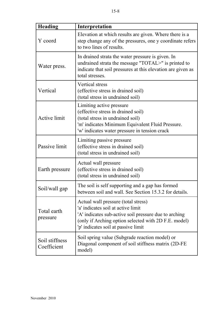| <b>Heading</b>                | Interpretation                                                                                                                                                                                                                    |
|-------------------------------|-----------------------------------------------------------------------------------------------------------------------------------------------------------------------------------------------------------------------------------|
| Y coord                       | Elevation at which results are given. Where there is a<br>step change any of the pressures, one y coordinate refers<br>to two lines of results.                                                                                   |
| Water press.                  | In drained strata the water pressure is given. In<br>undrained strata the message "TOTAL>" is printed to<br>indicate that soil pressures at this elevation are given as<br>total stresses.                                        |
| Vertical                      | <b>Vertical stress</b><br>(effective stress in drained soil)<br>(total stress in undrained soil)                                                                                                                                  |
| <b>Active limit</b>           | Limiting active pressure<br>(effective stress in drained soil)<br>(total stress in undrained soil)<br>'m' indicates Minimum Equivalent Fluid Pressure.<br>'w' indicates water pressure in tension crack                           |
| Passive limit                 | Limiting passive pressure<br>(effective stress in drained soil)<br>(total stress in undrained soil)                                                                                                                               |
| Earth pressure                | Actual wall pressure<br>(effective stress in drained soil)<br>(total stress in undrained soil)                                                                                                                                    |
| Soil/wall gap                 | The soil is self supporting and a gap has formed<br>between soil and wall. See Section 15.3.2 for details.                                                                                                                        |
| Total earth<br>pressure       | Actual wall pressure (total stress)<br>'a' indicates soil at active limit<br>'A' indicates sub-active soil pressure due to arching<br>(only if Arching option selected with 2D F.E. model)<br>'p' indicates soil at passive limit |
| Soil stiffness<br>Coefficient | Soil spring value (Subgrade reaction model) or<br>Diagonal component of soil stiffness matrix (2D-FE)<br>model)                                                                                                                   |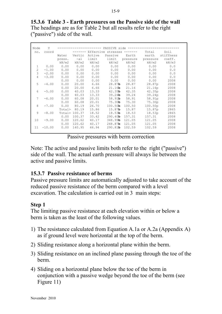**15.3.6 Table 3 - Earth pressures on the Passive side of the wall** The headings are as for Table 2 but all results refer to the right ("passive") side of the wall.

| Node            | Y        |        |               |       |                     |                                    |          |           |
|-----------------|----------|--------|---------------|-------|---------------------|------------------------------------|----------|-----------|
| no.             | coord    |        |               |       |                     | ------- Effective stresses ------- | Total    | Soil      |
|                 |          | Water  |               |       |                     | Vertic Active Passive Earth        | earth    | stiffness |
|                 |          | press. | -al           | limit | limit               | pressure                           | pressure | coeff.    |
|                 |          | kN/m2  | kN/m2         |       | kN/m2 kN/m2         | kN/m2                              | kN/m2    | kN/m3     |
| $\mathbf{1}$    | 0.00     | 0.00   | 0.00          | 0.00  | 0.00                | 0.00                               | 0.00     | 0.0       |
| 2               | $-1.00$  | 0.00   | 0.00          | 0.00  | 0.00                | 0.00                               | 0.00     | 0.0       |
| 3               | $-2.00$  | 0.00   | 0.00          | 0.00  | 0.00                | 0.00                               | 0.00     | 0.0       |
| $\overline{4}$  | $-3.00$  | 0.00   | 0.00          | 0.00  | 0.00                | 0.00                               | 0.00     | 0.0       |
|                 |          | 0.00   | 0.00          | 0.00  | 0.00                | 0.00                               | 0.00     | 2008      |
| 5               | $-4.00$  | 0.00   | 20.00         | 6.66  | 28.87 <b>b</b>      | 28.87                              | 28.87p   | 2008      |
|                 |          | 0.00   | 20.00         | 6.66  | 21.16 <b>b</b>      | 21.16                              | 21.16p   | 2008      |
| 6               | $-5.00$  | 0.00   | 40.03         | 13.33 | 42.35 <sub>b</sub>  | 42.35                              | 42.35p   | 2008      |
|                 |          | 0.00   | 40.03         | 13.33 | 39.24 <b>b</b>      | 39.24                              | 39.24p   | 2008      |
| $7\phantom{.0}$ | $-6.00$  | 0.00   | 60.08         | 20.01 | 58.91 <sub>b</sub>  | 58.91                              | 58.91p   | 2008      |
|                 |          | 0.00   | 60.08         | 20.01 |                     | $75.30b$ $75.30$                   | 75.30p   | 2008      |
| 8               | $-7.00$  | 0.00   | 80.19         | 26.70 | 100.50 <sub>b</sub> | 100.50                             | 100.50p  | 2008      |
|                 |          |        | Total> 80.19  | 15.86 |                     | 15.87 <b>b</b> 15.87               | 15.87p   | 2865      |
| 9               | $-8.00$  |        | Total> 100.37 | 18.52 |                     | 18.53 <b>b</b> 18.53               | 18.53p   | 2865      |
|                 |          | 0.00   | 100.37        | 33.42 | $290.40$ b          | 157.31                             | 157.31   | 2008      |
| 10 <sub>1</sub> | $-9.00$  | 0.00   | 120.62        | 40.17 | 348.99 <b>b</b>     | 121.05                             | 121.05   | 2008      |
|                 |          | 0.00   | 120.62        | 40.17 | 248.87 <b>b</b>     | 121.05                             | 121.05   | 2008      |
| 11              | $-10.00$ | 0.00   | 140.95        | 46.94 | 290.81 <sub>b</sub> | 102.59                             | 102.59   | 2008      |

Passive pressures with berm correction

Note: The active and passive limits both refer to the right ("passive") side of the wall. The actual earth pressure will always lie between the active and passive limits.

# **15.3.7 Passive resistance of berms**

Passive pressure limits are automatically adjusted to take account of the reduced passive resistance of the berm compared with a level excavation. The calculation is carried out in 3 main steps:

# **Step 1**

The limiting passive resistance at each elevation within or below a berm is taken as the least of the following values.

- 1) The resistance calculated from Equation A.1a or A.2a (Appendix A) as if ground level were horizontal at the top of the berm.
- 2) Sliding resistance along a horizontal plane within the berm.
- 3) Sliding resistance on an inclined plane passing through the toe of the berm.
- 4) Sliding on a horizontal plane below the toe of the berm in conjunction with a passive wedge beyond the toe of the berm (see Figure 11)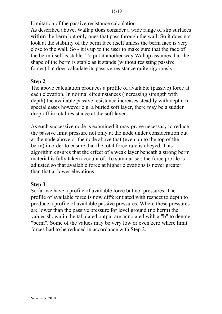Limitation of the passive resistance calculation

As described above, Wallap **does** consider a wide range of slip surfaces **within** the berm but only ones that pass through the wall. So it does not look at the stability of the berm face itself unless the berm face is very close to the wall. So - it is up to the user to make sure that the face of the berm itself is stable. To put it another way Wallap assumes that the shape of the berm is stable as it stands (without resisting passive forces) but does calculate its passive resistance quite rigorously.

# **Step 2**

The above calculation produces a profile of available (passive) force at each elevation. In normal circumstances (increasing strength with depth) the available passive resistance increases steadily with depth. In special cases however e.g. a buried soft layer, there may be a sudden drop off in total resistance at the soft layer.

As each successive node is examined it may prove necessary to reduce the passive limit pressure not only at the node under consideration but at the node above or the node above that (even up to the top of the berm) in order to ensure that the total force rule is obeyed. This algorithm ensures that the effect of a weak layer beneath a strong berm material is fully taken account of. To summarise : the force profile is adjusted so that available force at higher elevations is never greater than that at lower elevations

# **Step 3**

So far we have a profile of available force but not pressures. The profile of available force is now differentiated with respect to depth to produce a profile of available passive pressures. Where these pressures are lower than the passive pressure for level ground (no berm) the values shown in the tabulated output are annotated with a "b" to denote "berm". Some of the values may be very low or even zero where limit forces had to be reduced in accordance with Step 2.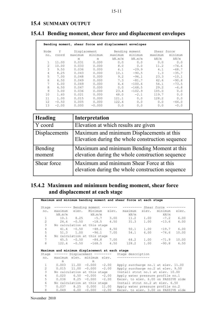# **15.4 SUMMARY OUTPUT**

|  |  | 15.4.1 Bending moment, shear force and displacement envelopes |  |
|--|--|---------------------------------------------------------------|--|
|  |  |                                                               |  |

|               |         |              |          | Bending moment, shear force and displacement envelopes |          |             |         |
|---------------|---------|--------------|----------|--------------------------------------------------------|----------|-------------|---------|
| Node          | Υ       | Displacement |          | Bending moment                                         |          | Shear force |         |
| no.           | coord   | maximum      | minimum  | maximum                                                | minimum  | maximum     | minimum |
|               |         | m            | m        | kN.m/m                                                 | kN.m/m   | kN/m        | kN/m    |
| 1             | 11.00   | 0.031        | 0.000    | 0.0                                                    | 0.0      | 0.0         | 0.0     |
| $\mathcal{L}$ | 10.00   | 0.033        | 0.000    | 8.0                                                    | 0.0      | 11.2        | $-74.6$ |
| 3             | 9.50    | 0.036        | 0.000    | 6.1                                                    | $-29.9$  | 4.1         | $-68.7$ |
| 4             | 8.25    | 0.043        | 0.000    | 10.1                                                   | $-90.5$  | 1.3         | $-35.7$ |
| 5             | 7.00    | 0.048        | 0.000    | 9.2                                                    | $-96.1$  | 23.3        | $-10.1$ |
| 6             | 6.50    | 0.049        | 0.000    | 7.3                                                    | $-81.7$  | 42.6        | $-90.8$ |
|               | 6.00    | 0.049        | 0.000    | 4.4                                                    | $-100.6$ | 54.1        | $-73.5$ |
| 8             | 4.50    | 0.047        | 0.000    | 0.0                                                    | $-168.5$ | 29.2        | $-6.8$  |
| 9             | 3.00    | 0.036        | 0.000    | 23.4                                                   | $-102.9$ | 105.0       | 0.0     |
| 10            | 1.60    | 0.021        | 0.000    | 48.0                                                   | $-2.1$   | 119.7       | 0.0     |
| 11            | 1.00    | 0.015        | 0.000    | 121.1                                                  | 0.0      | 128.2       | 0.0     |
| $12^{1}$      | $-0.50$ | 0.005        | 0.000    | 122.4                                                  | 0.0      | 0.0         | $-44.0$ |
| 13            | $-2.00$ | 0.000        | $-0.000$ | 0.0                                                    | 0.0      | 0.0         | $-0.0$  |

| <b>Heading</b>    | Interpretation                                                                                 |  |  |  |  |
|-------------------|------------------------------------------------------------------------------------------------|--|--|--|--|
| Y coord           | Elevation at which results are given                                                           |  |  |  |  |
| Displacements     | Maximum and minimum Displacements at this<br>Elevation during the whole construction sequence  |  |  |  |  |
| Bending<br>moment | Maximum and minimum Bending Moment at this<br>elevation during the whole construction sequence |  |  |  |  |
| Shear force       | Maximum and minimum Shear Force at this<br>elevation during the whole construction sequence    |  |  |  |  |

# **15.4.2 Maximum and minimum bending moment, shear force and displacement at each stage**

|                |                                                |                                                | Stage -------- Bending moment -------- ---------- Shear force --------- |           |               |               |
|----------------|------------------------------------------------|------------------------------------------------|-------------------------------------------------------------------------|-----------|---------------|---------------|
| no.            |                                                |                                                | maximum elev. Minimum elev. maximum elev. minimum elev.                 |           |               |               |
|                |                                                | $kN \cdot m/m$ $kN \cdot m/m$                  |                                                                         |           | $kN/m$ $kN/m$ |               |
| $\mathbf{1}$   |                                                |                                                | $10.1$ 8.25 -5.7 3.00 11.2 1.00 -7.2 6.00                               |           |               |               |
| 2              |                                                |                                                | $24.4$ $-0.50$ $-18.5$ $4.50$ $31.3$ $1.00$ $-13.6$ $6.00$              |           |               |               |
| 3              |                                                | No calculation at this stage                   |                                                                         |           |               |               |
| $\overline{4}$ |                                                |                                                | 41.4 $-0.50$ $-48.1$ 4.50 $50.1$ 1.00 $-19.7$ 6.00                      |           |               |               |
| 5              |                                                | $51.3$ $1.00$ $-96.1$ $7.00$                   |                                                                         | 54.1 6.00 |               | $-74.6$ 10.00 |
| 6              |                                                | No calculation at this stage                   |                                                                         |           |               |               |
| $7^{\circ}$    |                                                |                                                | $45.5$ $-0.50$ $-84.8$ $7.00$ $64.2$ $1.00$ $-71.9$ $10.00$             |           |               |               |
| 8              | $122.4$ $-0.50$ $-168.5$ $4.50$ $128.2$ $1.00$ |                                                |                                                                         |           |               | $-90.8$ 6.50  |
|                |                                                |                                                |                                                                         |           |               |               |
|                |                                                |                                                |                                                                         |           |               |               |
|                |                                                | Maximum and minimum displacement at each stage |                                                                         |           |               |               |
|                |                                                |                                                | Stage ------- Displacement --------- Stage description                  |           |               |               |
|                |                                                | no. maximum elev. minimum elev.                |                                                                         |           |               |               |
|                | m                                              | m                                              |                                                                         |           |               |               |
| 1              |                                                | $0.003$ 11.00 -0.000 -2.00                     | Apply surcharge no.1 at elev. 11.00                                     |           |               |               |
| $\overline{2}$ |                                                | $0.015$ $11.00$ $-0.000$ $-2.00$               | Apply surcharge no.2 at elev. 9.50                                      |           |               |               |
| 3              |                                                | No calculation at this stage                   | Install strut no.1 at elev. 10.00                                       |           |               |               |
| $\overline{4}$ |                                                | $0.020$ $6.50$ $-0.000$ $-2.00$                | Apply water pressure profile no.1                                       |           |               |               |
| 5              |                                                | $0.036$ $8.25$ $-0.000$ $-2.00$                | Excav. to elev. 6.00 on PASSIVE side                                    |           |               |               |
| 6              |                                                |                                                | No calculation at this stage Install strut no.2 at elev. 6.50           |           |               |               |
| 7              |                                                | $0.037$ $8.25$ $0.000$ $11.00$                 | Apply water pressure profile no.2                                       |           |               |               |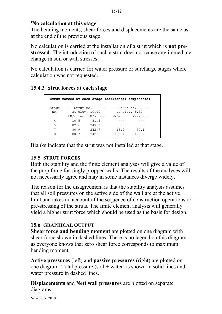# **'No calculation at this stage'**

The bending moments, shear forces and displacements are the same as at the end of the previous stage.

No calculation is carried at the installation of a strut which is **not prestressed**. The introduction of such a strut does not cause any immediate change in soil or wall stresses.

No calculation is carried for water pressure or surcharge stages where calculation was not requested.

# **15.4.3 Strut forces at each stage**

|              | Strut forces at each stage (horizontal components) |                   |                                      |       |  |
|--------------|----------------------------------------------------|-------------------|--------------------------------------|-------|--|
| Stage<br>no. | $---$ Strut no. 1 $---$<br>at elev. 10.00          |                   | --- Strut no. 2 ---<br>at elev. 6.50 |       |  |
|              |                                                    | kN/m run kN/strut | kN/m run kN/strut                    |       |  |
| 4            | 10.5                                               | 31.5              |                                      |       |  |
| 5            | 82.6                                               | 247.8             |                                      |       |  |
|              | 80.9                                               | 242.7             | 16.7                                 | 50.1  |  |
| 8            | 80.7                                               | 242.2             | 133.4                                | 400.2 |  |

Blanks indicate that the strut was not installed at that stage.

## **15.5 STRUT FORCES**

Both the stability and the finite element analyses will give a value of the prop force for singly propped walls. The results of the analyses will not necessarily agree and may in some instances diverge widely.

The reason for the disagreement is that the stability analysis assumes that all soil pressures on the active side of the wall are at the active limit and takes no account of the sequence of construction operations or pre-stressing of the struts. The finite element analysis will generally yield a higher strut force which should be used as the basis for design.

# **15.6 GRAPHICAL OUTPUT**

**Shear force and bending moment** are plotted on one diagram with shear force shown in dashed lines. There is no legend on this diagram as everyone knows that zero shear force corresponds to maximum bending moment.

**Active pressures** (left) and **passive pressures** (right) are plotted on one diagram. Total pressure (soil + water) is shown in solid lines and water pressure in dashed lines.

**Displacements** and **Nett wall pressures** are plotted on separate diagrams.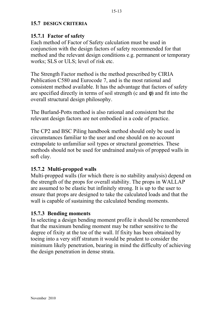### **15.7 DESIGN CRITERIA**

### **15.7.1 Factor of safety**

Each method of Factor of Safety calculation must be used in conjunction with the design factors of safety recommended for that method and the relevant design conditions e.g. permanent or temporary works; SLS or ULS; level of risk etc.

The Strength Factor method is the method prescribed by CIRIA Publication C580 and Eurocode 7, and is the most rational and consistent method available. It has the advantage that factors of safety are specified directly in terms of soil strength (c and  $\phi$ ) and fit into the overall structural design philosophy.

The Burland-Potts method is also rational and consistent but the relevant design factors are not embodied in a code of practice.

The CP2 and BSC Piling handbook method should only be used in circumstances familiar to the user and one should on no account extrapolate to unfamiliar soil types or structural geometries. These methods should not be used for undrained analysis of propped walls in soft clay.

# **15.7.2 Multi-propped walls**

Multi-propped walls (for which there is no stability analysis) depend on the strength of the props for overall stability. The props in WALLAP are assumed to be elastic but infinitely strong. It is up to the user to ensure that props are designed to take the calculated loads and that the wall is capable of sustaining the calculated bending moments.

### **15.7.3 Bending moments**

In selecting a design bending moment profile it should be remembered that the maximum bending moment may be rather sensitive to the degree of fixity at the toe of the wall. If fixity has been obtained by toeing into a very stiff stratum it would be prudent to consider the minimum likely penetration, bearing in mind the difficulty of achieving the design penetration in dense strata.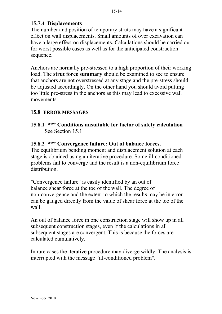# **15.7.4 Displacements**

The number and position of temporary struts may have a significant effect on wall displacements. Small amounts of over excavation can have a large effect on displacements. Calculations should be carried out for worst possible cases as well as for the anticipated construction sequence.

Anchors are normally pre-stressed to a high proportion of their working load. The **strut force summary** should be examined to see to ensure that anchors are not overstressed at any stage and the pre-stress should be adjusted accordingly. On the other hand you should avoid putting too little pre-stress in the anchors as this may lead to excessive wall movements.

# **15.8 ERROR MESSAGES**

# **15.8.1 \*\*\* Conditions unsuitable for factor of safety calculation** See Section 15.1

# **15.8.2 \*\*\* Convergence failure; Out of balance forces.**

The equilibrium bending moment and displacement solution at each stage is obtained using an iterative procedure. Some ill-conditioned problems fail to converge and the result is a non-equilibrium force distribution.

"Convergence failure" is easily identified by an out of balance shear force at the toe of the wall. The degree of non-convergence and the extent to which the results may be in error can be gauged directly from the value of shear force at the toe of the wall.

An out of balance force in one construction stage will show up in all subsequent construction stages, even if the calculations in all subsequent stages are convergent. This is because the forces are calculated cumulatively.

In rare cases the iterative procedure may diverge wildly. The analysis is interrupted with the message "ill-conditioned problem".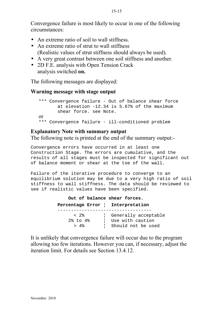Convergence failure is most likely to occur in one of the following circumstances:

- An extreme ratio of soil to wall stiffness.
- An extreme ratio of strut to wall stiffness (Realistic values of strut stiffness should always be used).
- A very great contrast between one soil stiffness and another.
- 2D F.E. analysis with Open Tension Crack analysis switched **on.**

The following messages are displayed:

# **Warning message with stage output**

```
*** Convergence failure - Out of balance shear force 
       at elevation -12.34 is 5.67% of the maximum 
       shear force. see Note.
or
*** Convergence failure - ill-conditioned problem
```
### **Explanatory Note with summary output**

The following note is printed at the end of the summary output:-

Convergence errors have occurred in at least one Construction Stage. The errors are cumulative, and the results of all stages must be inspected for significant out of balance moment or shear at the toe of the wall.

Failure of the iterative procedure to converge to an equilibrium solution may be due to a very high ratio of soil stiffness to wall stiffness. The data should be reviewed to see if realistic values have been specified.

> **Out of balance shear forces. Percentage Error** ¦ **Interpretation** ----------------------------------- < 2% ¦ Generally acceptable 2% to 4% ¦ Use with caution > 4% ¦ Should not be used

It is unlikely that convergence failure will occur due to the program allowing too few iterations. However you can, if necessary, adjust the iteration limit. For details see Section 13.4.12.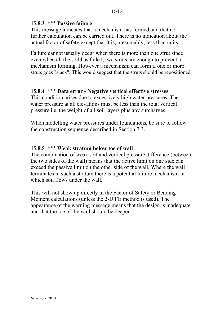## **15.8.3 \*\*\* Passive failure**

This message indicates that a mechanism has formed and that no further calculation can be carried out. There is no indication about the actual factor of safety except that it is, presumably, less than unity.

Failure cannot usually occur when there is more than one strut since even when all the soil has failed, two struts are enough to prevent a mechanism forming. However a mechanism can form if one or more struts goes "slack". This would suggest that the struts should be repositioned.

# **15.8.4 \*\*\* Data error - Negative vertical effective stresses**

This condition arises due to excessively high water pressures. The water pressure at all elevations must be less than the total vertical pressure i.e. the weight of all soil layers plus any surcharges.

When modelling water pressures under foundations, be sure to follow the construction sequence described in Section 7.3.

### **15.8.5 \*\*\* Weak stratum below toe of wall**

The combination of weak soil and vertical pressure difference (between the two sides of the wall) means that the active limit on one side can exceed the passive limit on the other side of the wall. Where the wall terminates in such a stratum there is a potential failure mechanism in which soil flows under the wall.

This will not show up directly in the Factor of Safety or Bending Moment calculations (unless the 2-D FE method is used). The appearance of the warning message means that the design is inadequate and that the toe of the wall should be deeper.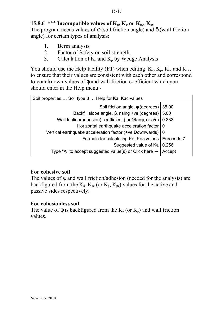# **15.8.6** \*\*\* Incompatible values of  $K_a$ ,  $K_p$  or  $K_{ac}$ ,  $K_{pc}$

The program needs values of  $\phi$  (soil friction angle) and  $\delta$  (wall friction angle) for certain types of analysis:

- 1. Berm analysis
- 2. Factor of Safety on soil strength
- 3. Calculation of  $K_a$  and  $K_p$  by Wedge Analysis

You should use the Help facility (**F1**) when editing  $K_a$ ,  $K_p$ ,  $K_{ac}$  and  $K_{pc}$ , to ensure that their values are consistent with each other and correspond to your known values of φ and wall friction coefficient which you should enter in the Help menu:-

| Soil properties  Soil type 3  Help for Ka, Kac values                         |            |
|-------------------------------------------------------------------------------|------------|
| Soil friction angle, $\phi$ (degrees)                                         | 35.00      |
| Backfill slope angle, $\beta$ , rising +ve (degrees)   5.00                   |            |
| Wall friction(adhesion) coefficient (tan $\delta$ /tan $\phi$ , or a/c) 0.333 |            |
| Horizontal earthquake acceleration factor   0                                 |            |
| Vertical earthquake acceleration factor (+ve Downwards)   0                   |            |
| Formula for calculating Ka, Kac values                                        | Eurocode 7 |
| Suggested value of Ka                                                         | 0.256      |
| Type "A" to accept suggested value(s) or Click here $\rightarrow$ Accept      |            |

# **For cohesive soil**

The values of  $\phi$  and wall friction/adhesion (needed for the analysis) are backfigured from the  $K_a$ ,  $K_{ac}$  (or  $K_p$ ,  $K_{pc}$ ) values for the active and passive sides respectively.

### **For cohesionless soil**

The value of  $\phi$  is backfigured from the K<sub>a</sub> (or K<sub>p</sub>) and wall friction values.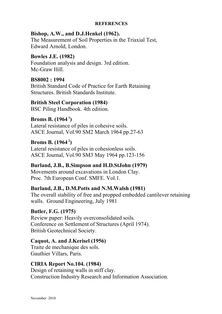### **REFERENCES**

# **Bishop, A.W., and D.J.Henkel (1962).**

The Measurement of Soil Properties in the Triaxial Test, Edward Arnold, London.

# **Bowles J.E. (1982)**

Foundation analysis and design. 3rd edition. Mc-Graw Hill

## **BS8002 : 1994**

British Standard Code of Practice for Earth Retaining Structures. British Standards Institute.

## **British Steel Corporation (1984)**

BSC Piling Handbook. 4th edition.

# **Broms B. (1964<sup>1</sup>)**

Lateral resistance of piles in cohesive soils. ASCE Journal, Vol.90 SM2 March 1964 pp.27-63

## **Broms B. (1964<sup>2</sup>)**

Lateral resistance of piles in cohesionless soils. ASCE Journal, Vol.90 SM3 May 1964 pp.123-156

# **Burland, J.B., B.Simpson and H.D.StJohn (1979)**

Movements around excavations in London Clay. Proc. 7th European Conf. SMFE. Vol.1.

# **Burland, J.B., D.M.Potts and N.M.Walsh (1981)**

The overall stability of free and propped embedded cantilever retaining walls. Ground Engineering, July 1981

# **Butler, F.G. (1975)**

Review paper: Heavily overconsolidated soils. Conference on Settlement of Structures (April 1974). British Geotechnical Society.

# **Caquot, A. and J.Kerisel (1956)**

Traite de mechanique des sols. Gauthier Villars, Paris.

# **CIRIA Report No.104. (1984)**

Design of retaining walls in stiff clay. Construction Industry Research and Information Association.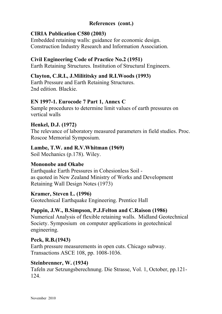# **References (cont.)**

## **CIRIA Publication C580 (2003)**

Embedded retaining walls: guidance for economic design. Construction Industry Research and Information Association.

## **Civil Engineering Code of Practice No.2 (1951)**

Earth Retaining Structures. Institution of Structural Engineers.

### **Clayton, C.R.I., J.Milititsky and R.I.Woods (1993)**

Earth Pressure and Earth Retaining Structures. 2nd edition. Blackie.

### **EN 1997-1. Eurocode 7 Part 1, Annex C**

Sample procedures to determine limit values of earth pressures on vertical walls

### **Henkel, D.J. (1972)**

The relevance of laboratory measured parameters in field studies. Proc. Roscoe Memorial Symposium.

### **Lambe, T.W. and R.V.Whitman (1969)**

Soil Mechanics (p.178). Wiley.

### **Mononobe and Okabe**

Earthquake Earth Pressures in Cohesionless Soil as quoted in New Zealand Ministry of Works and Development Retaining Wall Design Notes (1973)

#### **Kramer, Steven L. (1996)**

Geotechnical Earthquake Engineering. Prentice Hall

### **Pappin, J.W., B.Simpson, P.J.Felton and C.Raison (1986)**

Numerical Analysis of flexible retaining walls. Midland Geotechnical Society. Symposium on computer applications in geotechnical engineering.

### **Peck, R.B.(1943)**

Earth pressure measurements in open cuts. Chicago subway. Transactions ASCE 108, pp. 1008-1036.

#### **Steinbrenner, W. (1934)**

Tafeln zur Setzungsberechnung. Die Strasse, Vol. 1, October, pp.121- 124.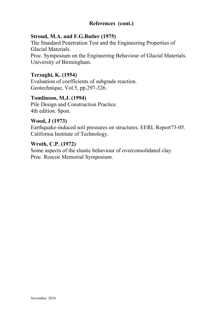# **References (cont.)**

### **Stroud, M.A. and F.G.Butler (1975)**

The Standard Penetration Test and the Engineering Properties of Glacial Materials. Proc. Symposium on the Engineering Behaviour of Glacial Materials. University of Birmingham.

### **Terzaghi, K. (1954)**

Evaluation of coefficients of subgrade reaction. Geotechnique, Vol.5, pp.297-326.

#### **Tomlinson, M.J. (1994)**

Pile Design and Construction Practice. 4th edition. Spon.

#### **Wood, J (1973)**

Earthquake-induced soil pressures on structures. EERL Report73-05. California Institute of Technology.

### **Wroth, C.P. (1972)**

Some aspects of the elastic behaviour of overconsolidated clay. Proc. Roscoe Memorial Symposium.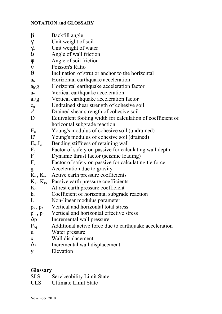## **NOTATION and GLOSSARY**

| $\beta$                                       | Backfill angle                                             |
|-----------------------------------------------|------------------------------------------------------------|
| $\gamma$                                      | Unit weight of soil                                        |
| $\gamma_{\rm w}$                              | Unit weight of water                                       |
| $\delta$                                      | Angle of wall friction                                     |
| φ                                             | Angle of soil friction                                     |
| $\mathsf{V}$                                  | Poisson's Ratio                                            |
| $\theta$                                      | Inclination of strut or anchor to the horizontal           |
| a <sub>h</sub>                                | Horizontal earthquake acceleration                         |
| $a_h/g$                                       | Horizontal earthquake acceleration factor                  |
| $a_{v}$                                       | Vertical earthquake acceleration                           |
| $a_v/g$                                       | Vertical earthquake acceleration factor                    |
| $c_{\rm u}$                                   | Undrained shear strength of cohesive soil                  |
| $\mathbf{c}^{\prime}$                         | Drained shear strength of cohesive soil                    |
| D                                             | Equivalent footing width for calculation of coefficient of |
|                                               | horizontal subgrade reaction                               |
| $E_{u}$                                       | Young's modulus of cohesive soil (undrained)               |
| E'                                            | Young's modulus of cohesive soil (drained)                 |
| $E_w.I_w$                                     | Bending stiffness of retaining wall                        |
| $F_p$                                         | Factor of safety on passive for calculating wall depth     |
| $F_p$                                         | Dynamic thrust factor (seismic loading)                    |
| $F_t$                                         | Factor of safety on passive for calculating tie force      |
| g                                             | Acceleration due to gravity                                |
|                                               | $K_a$ , $K_{ac}$ Active earth pressure coefficients        |
|                                               | $K_p$ , $K_{pc}$ Passive earth pressure coefficients       |
| $K_{o}$                                       | At rest earth pressure coefficient                         |
| $k_h$                                         | Coefficient of horizontal subgrade reaction                |
|                                               | Non-linear modulus parameter                               |
| $p_v$ , $p_h$                                 | Vertical and horizontal total stress                       |
| $p^\prime_{\,\rm v} \,,\, p^\prime_{\,\rm h}$ | Vertical and horizontal effective stress                   |
| $\Delta p$                                    | Incremental wall pressure                                  |
| $P_{eq}$                                      | Additional active force due to earthquake acceleration     |
| u                                             | Water pressure                                             |
| X                                             | Wall displacement                                          |
| $\Delta x$                                    | Incremental wall displacement                              |
| y                                             | Elevation                                                  |

# **Glossary**

| SLS | Serviceability Limit State |  |
|-----|----------------------------|--|
|-----|----------------------------|--|

ULS Ultimate Limit State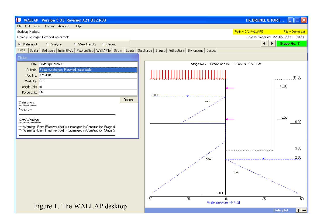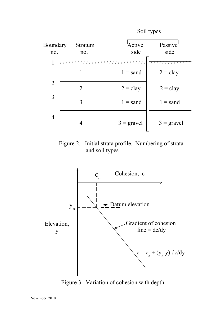Soil types

| Boundary<br>no. | <b>Stratum</b><br>no. | 'Active<br>side   | Passive<br>side   |
|-----------------|-----------------------|-------------------|-------------------|
|                 |                       |                   |                   |
|                 |                       | $1 =$ sand        | $2 = \text{clay}$ |
| 2               | $\overline{2}$        | $2 = \text{clay}$ | $2 = \text{clay}$ |
| 3               | 3                     | $1 =$ sand        | $1 =$ sand        |
| 4               |                       | $3 =$ gravel      | $3 =$ gravel      |

Figure 2. Initial strata profile. Numbering of strata and soil types



Figure 3. Variation of cohesion with depth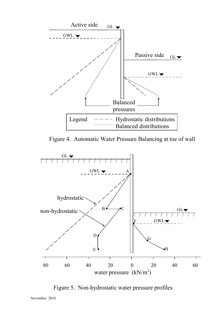

Figure 4. Automatic Water Pressure Balancing at toe of wall



Figure 5. Non-hydrostatic water pressure profiles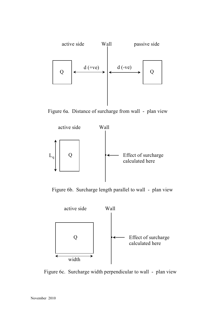

Figure 6a. Distance of surcharge from wall - plan view



Figure 6b. Surcharge length parallel to wall - plan view



Figure 6c. Surcharge width perpendicular to wall - plan view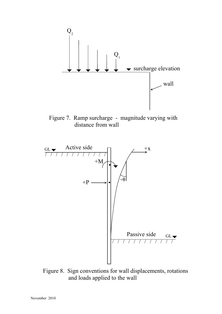

Figure 7. Ramp surcharge - magnitude varying with distance from wall



Figure 8. Sign conventions for wall displacements, rotations and loads applied to the wall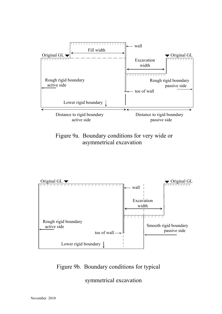

Figure 9a. Boundary conditions for very wide or asymmetrical excavation



Figure 9b. Boundary conditions for typical

symmetrical excavation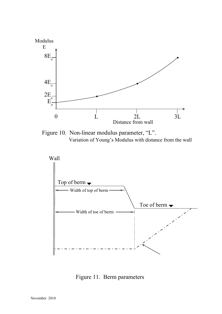

Figure 10. Non-linear modulus parameter, "L". Variation of Young's Modulus with distance from the wall



Figure 11. Berm parameters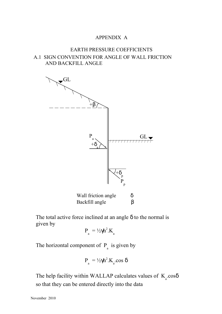#### APPENDIX A

# EARTH PRESSURE COEFFICIENTS A.1 SIGN CONVENTION FOR ANGLE OF WALL FRICTION AND BACKFILL ANGLE



The total active force inclined at an angle  $\delta$  to the normal is given by

$$
P_a = \frac{1}{2}\gamma h^2 . K_a
$$

The horizontal component of  $P_{\text{a}}$  is given by

$$
P_a = \frac{1}{2} \gamma h^2 . K_a \cos \delta
$$

The help facility within WALLAP calculates values of  $K_a$ .cos $\delta$ so that they can be entered directly into the data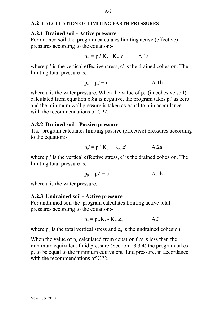#### **A.2 CALCULATION OF LIMITING EARTH PRESSURES**

#### **A.2.1 Drained soil - Active pressure**

For drained soil the program calculates limiting active (effective) pressures according to the equation:-

$$
p_a' = p_v'.K_a - K_{ac}.c'
$$
 A.1a

where  $p_v$  is the vertical effective stress, c' is the drained cohesion. The limiting total pressure is:-

$$
p_a = p_a' + u \qquad A.1b
$$

where u is the water pressure. When the value of  $p_a$ ' (in cohesive soil) calculated from equation 6.8a is negative, the program takes  $p_a$ ' as zero and the minimum wall pressure is taken as equal to u in accordance with the recommendations of CP2.

#### **A.2.2 Drained soil - Passive pressure**

The program calculates limiting passive (effective) pressures according to the equation:-

$$
p_p' = p_v'.K_p + K_{pc}.c'
$$
 A.2a

where  $p_v$  is the vertical effective stress, c' is the drained cohesion. The limiting total pressure is:-

$$
p_p = p_p' + u \qquad \qquad A.2b
$$

where u is the water pressure.

#### **A.2.3 Undrained soil - Active pressure**

For undrained soil the program calculates limiting active total pressures according to the equation:-

$$
p_a = p_v.K_a - K_{ac}.c_u
$$
 A.3

where  $p_v$  is the total vertical stress and  $c_u$  is the undrained cohesion.

When the value of  $p_a$  calculated from equation 6.9 is less than the minimum equivalent fluid pressure (Section 13.3.4) the program takes  $p_a$  to be equal to the minimum equivalent fluid pressure, in accordance with the recommendations of CP2.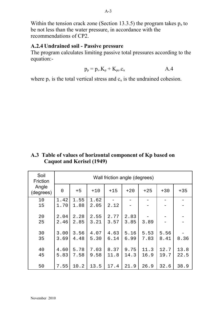Within the tension crack zone (Section 13.3.5) the program takes  $p_a$  to be not less than the water pressure, in accordance with the recommendations of CP2.

### **A.2.4 Undrained soil - Passive pressure**

The program calculates limiting passive total pressures according to the equation:-

$$
p_p = p_v.K_p + K_{pc}.c_u
$$

where  $p_v$  is the total vertical stress and  $c_u$  is the undrained cohesion.

### **A.3 Table of values of horizontal component of Kp based on Caquot and Kerisel (1949)**

| Soil<br>Friction   | Wall friction angle (degrees) |              |              |              |              |              |              |              |  |  |
|--------------------|-------------------------------|--------------|--------------|--------------|--------------|--------------|--------------|--------------|--|--|
| Angle<br>(degrees) | $\overline{0}$                | $+5$         | $+10$        | $+15$        | $+20$        | $+25$        | $+30$        | $+35$        |  |  |
| 10                 | 1.42                          | 1.55         | 1.62         |              |              |              |              |              |  |  |
| 15                 | 1.70                          | 1.88         | 2.05         | 2.12         |              |              |              |              |  |  |
| 20<br>25           | 2.04<br>2.46                  | 2.28<br>2.85 | 2.55<br>3.21 | 2.77<br>3.57 | 2.83<br>3.85 | 3.89         |              |              |  |  |
| 30<br>35           | 3.00<br>3.69                  | 3.56<br>4.48 | 4.07<br>5.30 | 4.63<br>6.14 | 5.16<br>6.99 | 5.53<br>7.83 | 5.56<br>8.41 | 8.36         |  |  |
| 40<br>45           | 4.60<br>5.83                  | 5.78<br>7.58 | 7.03<br>9.58 | 8.37<br>11.8 | 9.75<br>14.3 | 11.3<br>16.9 | 12.7<br>19.7 | 13.8<br>22.5 |  |  |
| 50                 | 7.55                          | 10.2         | 13.5         | 17.4         | 21.9         | 26.9         | 32.6         | 38.9         |  |  |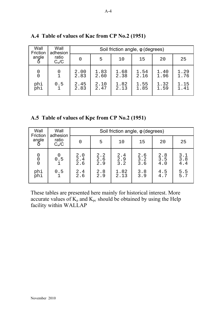| Wall<br>Friction | Wall<br>adhesion | Soil friction angle, $\phi$ (degrees) |              |              |              |              |              |
|------------------|------------------|---------------------------------------|--------------|--------------|--------------|--------------|--------------|
| angle            | ratio<br>$C_w/C$ |                                       | 5            | 10           | 15           | 20           | 25           |
|                  |                  | 2.00<br>2.83                          | 1.83<br>2.60 | 1.68<br>2.38 | 1.54<br>2.16 | 1.40<br>1.96 | 1.29<br>1.76 |
| phi<br>phi       | 0.5              | 2.45<br>2.83                          | 2.10<br>2.47 | 1.82<br>2.13 | 1.55<br>1.85 | 1.32<br>1.59 | 1.15<br>1.41 |

# **A.4 Table of values of Kac from CP No.2 (1951)**

**A.5 Table of values of Kpc from CP No.2 (1951)**

| Wall<br>Wall<br>Friction<br>adhesion      |                  | Soil friction angle, $\phi$ (degrees) |                         |                                                        |                          |                         |                                           |
|-------------------------------------------|------------------|---------------------------------------|-------------------------|--------------------------------------------------------|--------------------------|-------------------------|-------------------------------------------|
| angle                                     | ratio<br>$C_w/C$ |                                       | 5                       | 10                                                     | 15                       | 20                      | 25                                        |
| 0<br>$\begin{matrix} 0 \\ 0 \end{matrix}$ | 0.5              | $2.0$<br>$2.4$<br>$2.6$               | $2.2$<br>$2.6$<br>$2.9$ | $\frac{2.4}{2.9}$<br>$\overline{3} \cdot \overline{2}$ | $\frac{2.6}{3.2}$<br>3.6 | $2.8$<br>$3.5$<br>$4.0$ | $3 \cdot 1$<br>$3 \cdot 8$<br>$4 \cdot 4$ |
| phi<br>phi                                | 0.5              | $2.4$<br>2.6                          | $\frac{2.8}{2.9}$       | 1.82<br>2.13                                           | $3.8$<br>3.9             | $\frac{4.5}{4.7}$       | $\frac{5.5}{5.7}$                         |

These tables are presented here mainly for historical interest. More accurate values of  $K_p$  and  $K_{pc}$  should be obtained by using the Help facility within WALLAP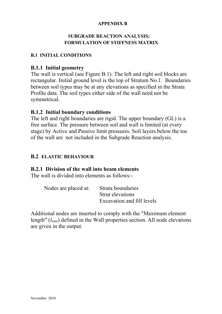#### **APPENDIX B**

### **SUBGRADE REACTION ANALYSIS; FORMULATION OF STIFFNESS MATRIX**

#### **B.1 INITIAL CONDITIONS**

### **B.1.1 Initial geometry**

The wall is vertical (see Figure B.1). The left and right soil blocks are rectangular. Initial ground level is the top of Stratum No.1. Boundaries between soil types may be at any elevations as specified in the Strata Profile data. The soil types either side of the wall need not be symmetrical.

## **B.1.2 Initial boundary conditions**

The left and right boundaries are rigid. The upper boundary (GL) is a free surface. The pressure between soil and wall is limited (at every stage) by Active and Passive limit pressures. Soil layers below the toe of the wall are not included in the Subgrade Reaction analysis.

## **B.2 ELASTIC BEHAVIOUR**

### **B.2.1 Division of the wall into beam elements**

The wall is divided into elements as follows:-

| Nodes are placed at: Strata boundaries |
|----------------------------------------|
| Strut elevations                       |
| Excavation and fill levels             |
|                                        |

Additional nodes are inserted to comply with the "Maximum element length" (*l*max) defined in the Wall properties section. All node elevations are given in the output.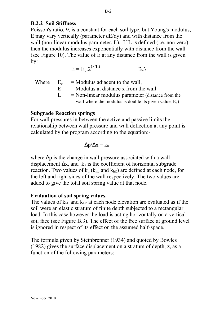# **B.2.2 Soil Stiffness**

Poisson's ratio, ν, is a constant for each soil type, but Young's modulus, E may vary vertically (parameter dE/dy) and with distance from the wall (non-linear modulus parameter, L). If L is defined (i.e. non-zero) then the modulus increases exponentially with distance from the wall (see Figure 10). The value of  $E$  at any distance from the wall is given by:

$$
E = E_o \cdot 2^{(x/L)} \tag{B.3}
$$

| Where | $E_{\alpha}$ | $=$ Modulus adjacent to the wall,                         |
|-------|--------------|-----------------------------------------------------------|
|       | $\mathbf{E}$ | $=$ Modulus at distance x from the wall                   |
|       |              | $=$ Non-linear modulus parameter (distance from the       |
|       |              | wall where the modulus is double its given value, $E_0$ ) |

# **Subgrade Reaction springs**

For wall pressures in between the active and passive limits the relationship between wall pressure and wall deflection at any point is calculated by the program according to the equation:-

$$
\Delta p/\Delta x = k_h
$$

where ∆p is the change in wall pressure associated with a wall displacement  $\Delta x$ , and  $k_h$  is the coefficient of horizontal subgrade reaction. Two values of  $k<sub>h</sub>$  ( $k<sub>h</sub>$  and  $k<sub>hR</sub>$ ) are defined at each node, for the left and right sides of the wall respectively. The two values are added to give the total soil spring value at that node.

# **Evaluation of soil spring values.**

The values of  $k_{hL}$  and  $k_{hR}$  at each node elevation are evaluated as if the soil were an elastic stratum of finite depth subjected to a rectangular load. In this case however the load is acting horizontally on a vertical soil face (see Figure B.3). The effect of the free surface at ground level is ignored in respect of its effect on the assumed half-space.

The formula given by Steinbrenner (1934) and quoted by Bowles (1982) gives the surface displacement on a stratum of depth, z, as a function of the following parameters:-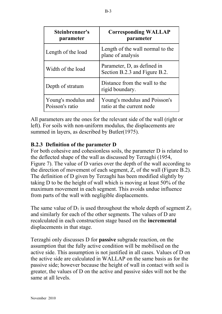| Steinbrenner's<br>parameter            | <b>Corresponding WALLAP</b><br>parameter                     |
|----------------------------------------|--------------------------------------------------------------|
| Length of the load                     | Length of the wall normal to the<br>plane of analysis        |
| Width of the load                      | Parameter, D, as defined in<br>Section B.2.3 and Figure B.2. |
| Depth of stratum                       | Distance from the wall to the<br>rigid boundary.             |
| Young's modulus and<br>Poisson's ratio | Young's modulus and Poisson's<br>ratio at the current node   |

All parameters are the ones for the relevant side of the wall (right or left). For soils with non-uniform modulus, the displacements are summed in layers, as described by Butler(1975).

# **B.2.3 Definition of the parameter D**

For both cohesive and cohesionless soils, the parameter D is related to the deflected shape of the wall as discussed by Terzaghi (1954, Figure 7). The value of D varies over the depth of the wall according to the direction of movement of each segment, Z, of the wall (Figure B.2). The definition of D given by Terzaghi has been modified slightly by taking D to be the height of wall which is moving at least 50% of the maximum movement in each segment. This avoids undue influence from parts of the wall with negligible displacements.

The same value of  $D_1$  is used throughout the whole depth of segment  $Z_1$ and similarly for each of the other segments. The values of D are recalculated in each construction stage based on the **incremental** displacements in that stage.

Terzaghi only discusses D for **passive** subgrade reaction, on the assumption that the fully active condition will be mobilised on the active side. This assumption is not justified in all cases. Values of D on the active side are calculated in WALLAP on the same basis as for the passive side; however because the height of wall in contact with soil is greater, the values of D on the active and passive sides will not be the same at all levels.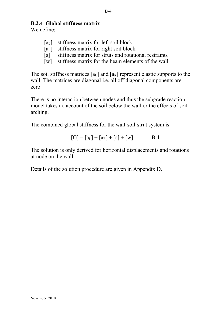# **B.2.4 Global stiffness matrix**

We define:

- $[a_L]$  stiffness matrix for left soil block
- $[a_R]$  stiffness matrix for right soil block
- [s] stiffness matrix for struts and rotational restraints
- [w] stiffness matrix for the beam elements of the wall

The soil stiffness matrices  $[a_L]$  and  $[a_R]$  represent elastic supports to the wall. The matrices are diagonal i.e. all off diagonal components are zero.

There is no interaction between nodes and thus the subgrade reaction model takes no account of the soil below the wall or the effects of soil arching.

The combined global stiffness for the wall-soil-strut system is:

$$
[G] = [a_L] + [a_R] + [s] + [w] \qquad B.4
$$

The solution is only derived for horizontal displacements and rotations at node on the wall.

Details of the solution procedure are given in Appendix D.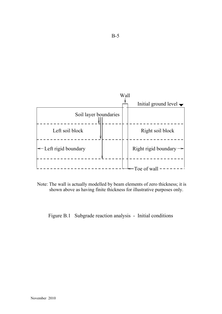

Note: The wall is actually modelled by beam elements of zero thickness; it is shown above as having finite thickness for illustrative purposes only.

Figure B.1 Subgrade reaction analysis - Initial conditions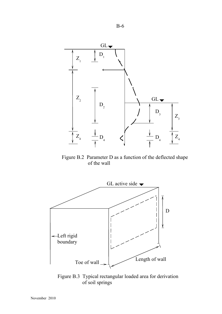

Figure B.2 Parameter D as a function of the deflected shape of the wall



Figure B.3 Typical rectangular loaded area for derivation of soil springs

B-6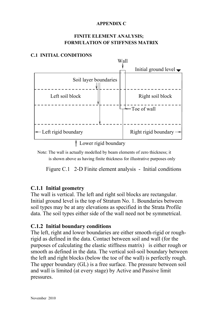#### **APPENDIX C**

### **FINITE ELEMENT ANALYSIS; FORMULATION OF STIFFNESS MATRIX**

#### **C.1 INITIAL CONDITIONS**



Lower rigid boundary

 Note: The wall is actually modelled by beam elements of zero thickness; it is shown above as having finite thickness for illustrative purposes only

Figure C.1 2-D Finite element analysis - Initial conditions

# **C.1.1 Initial geometry**

The wall is vertical. The left and right soil blocks are rectangular. Initial ground level is the top of Stratum No. 1. Boundaries between soil types may be at any elevations as specified in the Strata Profile data. The soil types either side of the wall need not be symmetrical.

# **C.1.2 Initial boundary conditions**

The left, right and lower boundaries are either smooth-rigid or roughrigid as defined in the data. Contact between soil and wall (for the purposes of calculating the elastic stiffness matrix) is either rough or smooth as defined in the data. The vertical soil-soil boundary between the left and right blocks (below the toe of the wall) is perfectly rough. The upper boundary (GL) is a free surface. The pressure between soil and wall is limited (at every stage) by Active and Passive limit pressures.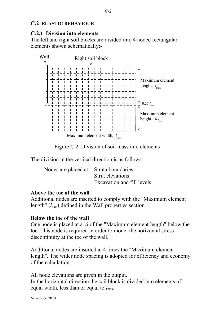### **C.2 ELASTIC BEHAVIOUR**

# **C.2.1 Division into elements**

The left and right soil blocks are divided into 4 noded rectangular elements shown schematically:-



Figure C.2 Division of soil mass into elements

The division in the vertical direction is as follows:-

| Nodes are placed at: Strata boundaries |                            |
|----------------------------------------|----------------------------|
|                                        | Strut elevations           |
|                                        | Excavation and fill levels |

# **Above the toe of the wall**

Additional nodes are inserted to comply with the "Maximum element length"  $(l_{\text{max}})$  defined in the Wall properties section.

# **Below the toe of the wall**

One node is placed at a ¼ of the "Maximum element length" below the toe. This node is required in order to model the horizontal stress discontinuity at the toe of the wall.

Additional nodes are inserted at 4 times the "Maximum element length". The wider node spacing is adopted for efficiency and economy of the calculation.

All node elevations are given in the output. In the horizontal direction the soil block is divided into elements of equal width, less than or equal to  $l_{\text{max}}$ .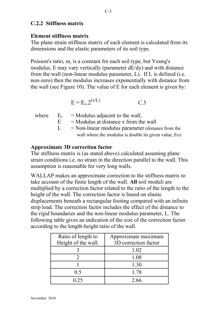## **C.2.2 Stiffness matrix**

### **Element stiffness matrix**

The plane strain stiffness matrix of each element is calculated from its dimensions and the elastic parameters of its soil type.

Poisson's ratio, m, is a constant for each soil type, but Young's modulus, E may vary vertically (parameter dE/dy) and with distance from the wall (non-linear modulus parameter, L). If L is defined (i.e. non-zero) then the modulus increases exponentially with distance from the wall (see Figure 10). The value of E for each element is given by:

$$
E = E_o.2(x/L)
$$
 C.3

| where | $E_{\alpha}$ | $=$ Modulus adjacent to the wall,                     |
|-------|--------------|-------------------------------------------------------|
|       |              | $=$ Modulus at distance x from the wall               |
|       |              | $=$ Non-linear modulus parameter (distance from the   |
|       |              | wall where the modulus is double its given value, Eo) |

# **Approximate 3D correction factor**

The stiffness matrix is (as stated above) calculated assuming plane strain conditions i.e. no strain in the direction parallel to the wall. This assumption is reasonable for very long walls.

WALLAP makes an approximate correction to the stiffness matrix to take account of the finite length of the wall. **All** soil moduli are multiplied by a correction factor related to the ratio of the length to the height of the wall. The correction factor is based on elastic displacements beneath a rectangular footing compared with an infinite strip load. The correction factor includes the effect of the distance to the rigid boundaries and the non-linear modulus parameter, L. The following table gives an indication of the size of the correction factor according to the length-height ratio of the wall.

| Ratio of length to<br>Height of the wall. | Approximate maximum<br>3D correction factor |
|-------------------------------------------|---------------------------------------------|
|                                           | 1.02                                        |
|                                           | 1.08                                        |
|                                           | 1.30                                        |
| 0.5                                       | 1.78                                        |
| - 25                                      | 2.66                                        |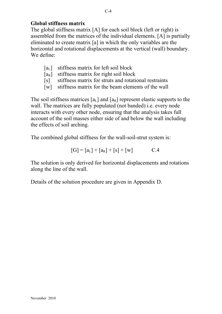# **Global stiffness matrix**

The global stiffness matrix [A] for each soil block (left or right) is assembled from the matrices of the individual elements. [A] is partially eliminated to create matrix [a] in which the only variables are the horizontal and rotational displacements at the vertical (wall) boundary. We define:

- $[a_L]$  stiffness matrix for left soil block
- $[a_R]$  stiffness matrix for right soil block
- [s] stiffness matrix for struts and rotational restraints
- [w] stiffness matrix for the beam elements of the wall

The soil stiffness matrices  $[a_L]$  and  $[a_R]$  represent elastic supports to the wall. The matrices are fully populated (not banded) i.e. every node interacts with every other node, ensuring that the analysis takes full account of the soil masses either side of and below the wall including the effects of soil arching.

The combined global stiffness for the wall-soil-strut system is:

$$
[G] = [a_L] + [a_R] + [s] + [w]
$$
 C.4

The solution is only derived for horizontal displacements and rotations along the line of the wall.

Details of the solution procedure are given in Appendix D.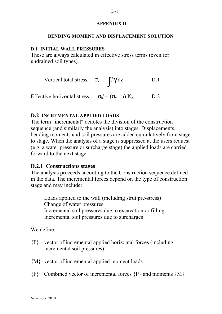#### **APPENDIX D**

#### **BENDING MOMENT AND DISPLACEMENT SOLUTION**

#### **D.1 INITIAL WALL PRESSURES**

These are always calculated in effective stress terms (even for undrained soil types).

Vertical total stress, 
$$
\sigma_v = \int_0^z \gamma \, dz
$$
 D.1

Effective horizontal stress,  $\sigma_h' = (\sigma_v - u)$ .K<sub>o</sub> D.2

### **D.2 INCREMENTAL APPLIED LOADS**

The term "incremental" denotes the division of the construction sequence (and similarly the analysis) into stages. Displacements, bending moments and soil pressures are added cumulatively from stage to stage. When the analysis of a stage is suppressed at the users request (e.g. a water pressure or surcharge stage) the applied loads are carried forward to the next stage.

### **D.2.1 Constructions stages**

The analysis proceeds according to the Construction sequence defined in the data. The incremental forces depend on the type of construction stage and may include:

Loads applied to the wall (including strut pre-stress) Change of water pressures Incremental soil pressures due to excavation or filling Incremental soil pressures due to surcharges

We define:

- {P} vector of incremental applied horizontal forces (including incremental soil pressures)
- {M} vector of incremental applied moment loads
- ${F}$  Combined vector of incremental forces  ${P}$  and moments  ${M}$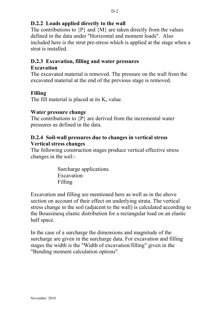# **D.2.2 Loads applied directly to the wall**

The contributions to  $\{P\}$  and  $\{M\}$  are taken directly from the values defined in the data under "Horizontal and moment loads". Also included here is the strut pre-stress which is applied at the stage when a strut is installed.

## **D.2.3 Excavation, filling and water pressures Excavation**

The excavated material is removed. The pressure on the wall from the excavated material at the end of the previous stage is removed.

# **Filling**

The fill material is placed at its  $K_0$  value.

## **Water pressure change**

The contributions to  $\{P\}$  are derived from the incremental water pressures as defined in the data.

## **D.2.4 Soil-wall pressures due to changes in vertical stress Vertical stress changes**

The following construction stages produce vertical effective stress changes in the soil:-

> Surcharge applications **Excavation** Filling

Excavation and filling are mentioned here as well as in the above section on account of their effect on underlying strata. The vertical stress change in the soil (adjacent to the wall) is calculated according to the Boussinesq elastic distribution for a rectangular load on an elastic half space.

In the case of a surcharge the dimensions and magnitude of the surcharge are given in the surcharge data. For excavation and filling stages the width is the "Width of excavation/filling" given in the "Bending moment calculation options".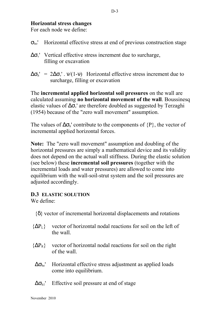# **Horizontal stress changes**

For each node we define:

- $\sigma_{ho}$ ' Horizontal effective stress at end of previous construction stage
- $\Delta \sigma_{v}$ ' Vertical effective stress increment due to surcharge, filling or excavation
- $\Delta \sigma_{h}$ ' =  $2\Delta \sigma_{v}$ '.  $v/(1-v)$  Horizontal effective stress increment due to surcharge, filling or excavation

The **incremental applied horizontal soil pressures** on the wall are calculated assuming **no horizontal movement of the wall**. Boussinesq elastic values of  $\Delta \sigma_{v}$ ' are therefore doubled as suggested by Terzaghi (1954) because of the "zero wall movement" assumption.

The values of  $\Delta \sigma_h$ ' contribute to the components of  $\{P\}$ , the vector of incremental applied horizontal forces.

**Note:** The "zero wall movement" assumption and doubling of the horizontal pressures are simply a mathematical device and its validity does not depend on the actual wall stiffness. During the elastic solution (see below) these **incremental soil pressures** (together with the incremental loads and water pressures) are allowed to come into equilibrium with the wall-soil-strut system and the soil pressures are adjusted accordingly.

# **D.3 ELASTIC SOLUTION**

We define:

- {δ} vector of incremental horizontal displacements and rotations
- ${ΔP_L}$  vector of horizontal nodal reactions for soil on the left of the wall.
- ${ \langle \Delta P_R \rangle \quad}$  vector of horizontal nodal reactions for soil on the right of the wall.
- $\Delta \sigma_{he}$ <sup>'</sup> Horizontal effective stress adjustment as applied loads come into equilibrium.
- $\Delta \sigma_{\text{hl}}'$  Effective soil pressure at end of stage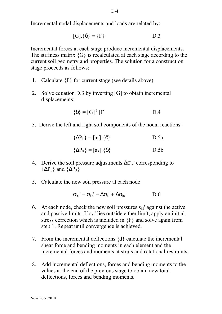D-4

Incremental nodal displacements and loads are related by:

$$
[G].\{\delta\} = \{F\}
$$
 D.3

Incremental forces at each stage produce incremental displacements. The stiffness matrix  $\{G\}$  is recalculated at each stage according to the current soil geometry and properties. The solution for a construction stage proceeds as follows:

- 1. Calculate  ${F}$  for current stage (see details above)
- 2. Solve equation D.3 by inverting [G] to obtain incremental displacements:

$$
\{\delta\} = [G]^{-1}[F]
$$
 D.4

3. Derive the left and right soil components of the nodal reactions:

$$
\{\Delta P_{L}\} = [a_{L}].\{\delta\}
$$
 D.5a  

$$
\{\Delta P_{R}\} = [a_{R}].\{\delta\}
$$
 D.5b

- 4. Derive the soil pressure adjustments  $\Delta \sigma_{he}$ ' corresponding to  $\{\Delta P_L\}$  and  $\{\Delta P_R\}$
- 5. Calculate the new soil pressure at each node

$$
\sigma_{\rm h1}{}' = \sigma_{\rm ho}{}' + \Delta \sigma_{\rm h}{}' + \Delta \sigma_{\rm he}{}' \hspace{2cm} D.6
$$

- 6. At each node, check the new soil pressures  $s<sub>h1</sub>$ ' against the active and passive limits. If  $s<sub>h1</sub>$ ' lies outside either limit, apply an initial stress correction which is included in {F} and solve again from step 1. Repeat until convergence is achieved.
- 7. From the incremental deflections {d} calculate the incremental shear force and bending moments in each element and the incremental forces and moments at struts and rotational restraints.
- 8. Add incremental deflections, forces and bending moments to the values at the end of the previous stage to obtain new total deflections, forces and bending moments.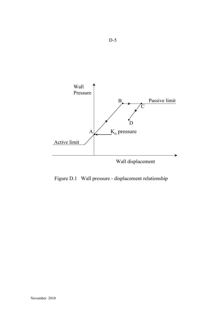

Figure D.1 Wall pressure - displacement relationship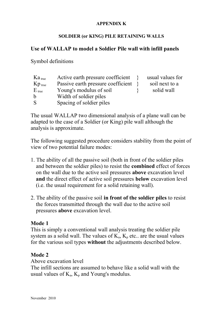## **APPENDIX K**

## **SOLDIER (or KING) PILE RETAINING WALLS**

## **Use of WALLAP to model a Soldier Pile wall with infill panels**

Symbol definitions

| Ka <sub>true</sub> | Active earth pressure coefficient  | usual values for |
|--------------------|------------------------------------|------------------|
| $Kp$ true          | Passive earth pressure coefficient | soil next to a   |
| $E_{true}$         | Young's modulus of soil            | solid wall       |
| h                  | Width of soldier piles             |                  |
|                    | Spacing of soldier piles           |                  |

The usual WALLAP two dimensional analysis of a plane wall can be adapted to the case of a Soldier (or King) pile wall although the analysis is approximate.

The following suggested procedure considers stability from the point of view of two potential failure modes:

- 1. The ability of all the passive soil (both in front of the soldier piles and between the soldier piles) to resist the **combined** effect of forces on the wall due to the active soil pressures **above** excavation level **and** the direct effect of active soil pressures **below** excavation level (i.e. the usual requirement for a solid retaining wall).
- 2. The ability of the passive soil **in front of the soldier piles** to resist the forces transmitted through the wall due to the active soil pressures **above** excavation level.

## **Mode 1**

This is simply a conventional wall analysis treating the soldier pile system as a solid wall. The values of  $K_a$ ,  $K_p$  etc.. are the usual values for the various soil types **without** the adjustments described below.

# **Mode 2**

Above excavation level

The infill sections are assumed to behave like a solid wall with the usual values of  $K_a$ ,  $K_p$  and Young's modulus.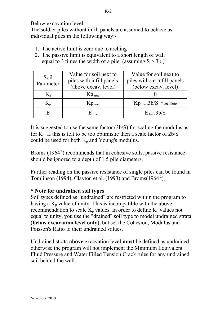Below excavation level

The soldier piles without infill panels are assumed to behave as individual piles in the following way:-

- 1. The active limit is zero due to arching
- 2. The passive limit is equivalent to a short length of wall equal to 3 times the width of a pile. (assuming  $S > 3b$ )

| Soil<br>Parameter | Value for soil next to<br>piles with infill panels<br>(above excav. level) | Value for soil next to<br>piles without infill panels<br>(below excav. level) |
|-------------------|----------------------------------------------------------------------------|-------------------------------------------------------------------------------|
| $K_{a}$           | Ka <sub>true</sub>                                                         |                                                                               |
| $K_{p}$           | $Kp$ <sub>true</sub>                                                       | $Kp_{true}.3b/S$ * see Note                                                   |
| E                 | $\rm{E}$ true                                                              | $E_{true}.3b/S$                                                               |

It is suggested to use the same factor (3b/S) for scaling the modulus as for  $K_p$ . If this is felt to be too optimistic then a scale factor of  $2b/S$ could be used for both  $K_p$  and Young's modulus.

Broms  $(1964<sup>1</sup>)$  recommends that in cohesive soils, passive resistance should be ignored to a depth of 1.5 pile diameters.

Further reading on the passive resistance of single piles can be found in Tomlinson (1994), Clayton et al. (1993) and Broms(1964<sup>2</sup>),

# **\* Note for undrained soil types**

Soil types defined as "undrained" are restricted within the program to having a  $K_p$  value of unity. This is incompatible with the above recommendation to scale  $K_p$  values. In order to define  $K_p$  values not equal to unity, you use the "drained" soil type to model undrained strata (**below excavation level only**), but set the Cohesion, Modulus and Poisson's Ratio to their undrained values.

Undrained strata **above** excavation level **must** be defined as undrained otherwise the program will not implement the Minimum Equivalent Fluid Pressure and Water Filled Tension Crack rules for any undrained soil behind the wall.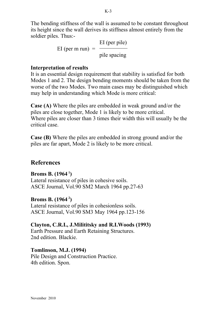The bending stiffness of the wall is assumed to be constant throughout its height since the wall derives its stiffness almost entirely from the soldier piles. Thus:-

> EI (per pile) EI (per m run)  $=$ pile spacing

## **Interpretation of results**

It is an essential design requirement that stability is satisfied for both Modes 1 and 2. The design bending moments should be taken from the worse of the two Modes. Two main cases may be distinguished which may help in understanding which Mode is more critical:

**Case (A)** Where the piles are embedded in weak ground and/or the piles are close together, Mode 1 is likely to be more critical. Where piles are closer than 3 times their width this will usually be the critical case.

**Case (B)** Where the piles are embedded in strong ground and/or the piles are far apart, Mode 2 is likely to be more critical.

# **References**

# **Broms B. (1964<sup>1</sup>)**

Lateral resistance of piles in cohesive soils. ASCE Journal, Vol.90 SM2 March 1964 pp.27-63

# **Broms B. (1964<sup>2</sup>)**

Lateral resistance of piles in cohesionless soils. ASCE Journal, Vol.90 SM3 May 1964 pp.123-156

**Clayton, C.R.I., J.Milititsky and R.I.Woods (1993)** Earth Pressure and Earth Retaining Structures. 2nd edition. Blackie.

# **Tomlinson, M.J. (1994)**

Pile Design and Construction Practice. 4th edition. Spon.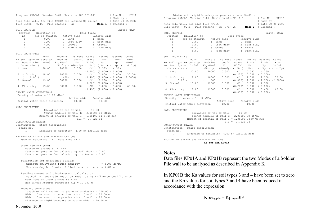|                                                                                                                                                                                                                                   |                                   |                                                       |  |                     |                               | Program: WALLAP Version 5.01 Revision A06.B23.R11   Run No. KP01A                                                                                                                                                                      |
|-----------------------------------------------------------------------------------------------------------------------------------------------------------------------------------------------------------------------------------|-----------------------------------|-------------------------------------------------------|--|---------------------|-------------------------------|----------------------------------------------------------------------------------------------------------------------------------------------------------------------------------------------------------------------------------------|
|                                                                                                                                                                                                                                   |                                   |                                                       |  |                     |                               | King Pile wall. See file KP01B for reduced Kp values $\vert$ Made by :<br>Pile width = 0.4m pile results and contact and pile width = 0.4m pile results and contact and contact and provide provide provide provide provide provide    |
| SOIL PROFILE                                                                                                                                                                                                                      |                                   |                                                       |  |                     |                               | Units: kN, m                                                                                                                                                                                                                           |
| OIL PROFILE<br>Stratum Elevation of ---------- Soil types ---------<br>no. top of stratum Active side Passive side<br>1 0.00 1 Sand 1 Sand<br>2 -1.00 2 Soft clay 2 Soft clay<br>3 -4.00 3 Gravel 3 Gravel<br>4 -8.00 4 Firm clay |                                   |                                                       |  |                     |                               |                                                                                                                                                                                                                                        |
|                                                                                                                                                                                                                                   |                                   |                                                       |  |                     |                               |                                                                                                                                                                                                                                        |
|                                                                                                                                                                                                                                   |                                   |                                                       |  |                     |                               |                                                                                                                                                                                                                                        |
|                                                                                                                                                                                                                                   |                                   |                                                       |  |                     |                               |                                                                                                                                                                                                                                        |
|                                                                                                                                                                                                                                   |                                   |                                                       |  |                     |                               |                                                                                                                                                                                                                                        |
|                                                                                                                                                                                                                                   |                                   |                                                       |  |                     |                               |                                                                                                                                                                                                                                        |
| SOIL PROPERTIES                                                                                                                                                                                                                   |                                   |                                                       |  |                     |                               |                                                                                                                                                                                                                                        |
|                                                                                                                                                                                                                                   |                                   |                                                       |  |                     |                               | Bulk Young's At rest Consol Active Passive Cohes                                                                                                                                                                                       |
|                                                                                                                                                                                                                                   |                                   |                                                       |  |                     |                               | 50.1 type -- axis Bulk Young's At rest Consol Active Passive Cones<br>No. Description kN/m3 Eh, kN/m2 Ko NC/OC Ka Kp kN/m2<br>(Datum elev.) (dEh/dy) (dKo/dy) (Nu) (Kac) (Kpc) (dc/dy)<br>1 Sand 20.00 20000 0.500 OC 0.333 4.369<br>2 |
|                                                                                                                                                                                                                                   |                                   |                                                       |  |                     |                               |                                                                                                                                                                                                                                        |
|                                                                                                                                                                                                                                   |                                   |                                                       |  |                     |                               |                                                                                                                                                                                                                                        |
|                                                                                                                                                                                                                                   |                                   |                                                       |  |                     |                               |                                                                                                                                                                                                                                        |
|                                                                                                                                                                                                                                   |                                   |                                                       |  |                     |                               |                                                                                                                                                                                                                                        |
|                                                                                                                                                                                                                                   |                                   |                                                       |  |                     |                               |                                                                                                                                                                                                                                        |
|                                                                                                                                                                                                                                   |                                   |                                                       |  |                     |                               |                                                                                                                                                                                                                                        |
|                                                                                                                                                                                                                                   |                                   |                                                       |  |                     |                               |                                                                                                                                                                                                                                        |
|                                                                                                                                                                                                                                   |                                   |                                                       |  |                     |                               |                                                                                                                                                                                                                                        |
|                                                                                                                                                                                                                                   |                                   |                                                       |  |                     |                               | 4 Firm clay 19.00 30000 0.500 OC 1.000 1.000 60.00u                                                                                                                                                                                    |
|                                                                                                                                                                                                                                   |                                   |                                                       |  |                     | $(0.490)$ $(2.000)$ $(2.000)$ |                                                                                                                                                                                                                                        |
| GROUND WATER CONDITIONS                                                                                                                                                                                                           |                                   |                                                       |  |                     |                               |                                                                                                                                                                                                                                        |
| Density of water = $10.00$ kN/m3                                                                                                                                                                                                  |                                   |                                                       |  |                     |                               |                                                                                                                                                                                                                                        |
| Active side Passive side<br>Initial water table elevation -10.00 -10.00                                                                                                                                                           |                                   |                                                       |  |                     |                               |                                                                                                                                                                                                                                        |
| WALL PROPERTIES                                                                                                                                                                                                                   |                                   |                                                       |  |                     |                               |                                                                                                                                                                                                                                        |
|                                                                                                                                                                                                                                   |                                   | Elevation of toe of wall = $-10.00$                   |  |                     |                               |                                                                                                                                                                                                                                        |
|                                                                                                                                                                                                                                   |                                   | Youngs modulus of wall $E = 2.0000E+08$ kN/m2         |  |                     |                               |                                                                                                                                                                                                                                        |
|                                                                                                                                                                                                                                   |                                   | Moment of inertia of wall $I = 1.3510E-04$ m4/m run   |  |                     |                               |                                                                                                                                                                                                                                        |
|                                                                                                                                                                                                                                   |                                   |                                                       |  | $E.I = 2.702E + 04$ |                               |                                                                                                                                                                                                                                        |
| CONSTRUCTION STAGES                                                                                                                                                                                                               |                                   |                                                       |  |                     |                               |                                                                                                                                                                                                                                        |
|                                                                                                                                                                                                                                   |                                   |                                                       |  |                     |                               |                                                                                                                                                                                                                                        |
|                                                                                                                                                                                                                                   |                                   |                                                       |  |                     |                               |                                                                                                                                                                                                                                        |
| $1 \qquad \qquad$                                                                                                                                                                                                                 |                                   | Excavate to elevation -4.00 on PASSIVE side           |  |                     |                               |                                                                                                                                                                                                                                        |
| FACTORS OF SAFETY and ANALYSIS OPTIONS                                                                                                                                                                                            |                                   |                                                       |  |                     |                               |                                                                                                                                                                                                                                        |
| Type of structure - Retaining wall                                                                                                                                                                                                |                                   |                                                       |  |                     |                               |                                                                                                                                                                                                                                        |
| Stability analysis:                                                                                                                                                                                                               |                                   |                                                       |  |                     |                               |                                                                                                                                                                                                                                        |
| Method of analysis - CP2                                                                                                                                                                                                          |                                   |                                                       |  |                     |                               |                                                                                                                                                                                                                                        |
|                                                                                                                                                                                                                                   |                                   | Factor on passive for calculating wall depth = $2.00$ |  |                     |                               |                                                                                                                                                                                                                                        |
|                                                                                                                                                                                                                                   |                                   | Factor on passive for calculating tie force = $1.00$  |  |                     |                               |                                                                                                                                                                                                                                        |
|                                                                                                                                                                                                                                   |                                   |                                                       |  |                     |                               |                                                                                                                                                                                                                                        |
| Parameters for undrained strata:                                                                                                                                                                                                  |                                   |                                                       |  |                     |                               |                                                                                                                                                                                                                                        |
|                                                                                                                                                                                                                                   |                                   | Minimum equivalent fluid density = 5.00 kN/m3         |  |                     |                               |                                                                                                                                                                                                                                        |
|                                                                                                                                                                                                                                   |                                   | Maximum depth of water filled tension crack = 2.00 m  |  |                     |                               |                                                                                                                                                                                                                                        |
|                                                                                                                                                                                                                                   |                                   |                                                       |  |                     |                               |                                                                                                                                                                                                                                        |
| Bending moment and displacement calculation:                                                                                                                                                                                      |                                   |                                                       |  |                     |                               |                                                                                                                                                                                                                                        |
|                                                                                                                                                                                                                                   |                                   |                                                       |  |                     |                               | Method - Subgrade reaction model using Influence Coefficients                                                                                                                                                                          |
|                                                                                                                                                                                                                                   | Open Tension Crack analysis? - No |                                                       |  |                     |                               |                                                                                                                                                                                                                                        |
|                                                                                                                                                                                                                                   |                                   | Non-linear Modulus Parameter (L) = $10.000$ m         |  |                     |                               |                                                                                                                                                                                                                                        |
|                                                                                                                                                                                                                                   |                                   |                                                       |  |                     |                               |                                                                                                                                                                                                                                        |
| Boundary conditions:                                                                                                                                                                                                              |                                   |                                                       |  |                     |                               |                                                                                                                                                                                                                                        |
| Length of wall (normal to plane of analysis) = 100.00 m                                                                                                                                                                           |                                   |                                                       |  |                     |                               |                                                                                                                                                                                                                                        |
| Width of excavation on active side of wall = $20.00$ m<br>Width of excavation on passive side of wall = $20.00$ m                                                                                                                 |                                   |                                                       |  |                     |                               |                                                                                                                                                                                                                                        |
|                                                                                                                                                                                                                                   |                                   |                                                       |  |                     |                               |                                                                                                                                                                                                                                        |
|                                                                                                                                                                                                                                   |                                   | Distance to rigid boundary on active side = $20.00$ m |  |                     |                               |                                                                                                                                                                                                                                        |
| 0.010<br>$\blacksquare$                                                                                                                                                                                                           |                                   |                                                       |  |                     |                               |                                                                                                                                                                                                                                        |

 Distance to rigid boundary on passive side = 20.00 m Program: WALLAP Version 5.01 Revision A06.B23.R11 | Run No. KP01B | Made by : King Pile wall. See also file KP01A | Date:20-05-2002 Pile width = 0.4m Pile spacing = 3m S/b=7.5 **Mode 2** | Checked : ----------------------------------------------------------------------------- SOIL PROFILE **Units:** kN, m Stratum Elevation of ---------- Soil types --------- no. top of stratum Active side Passive side 1 0.00 1 Sand 1 Sand 2 -1.00 2 Soft clay 2 Soft clay 3 -4.00 3 Gravel 3 Gravel 4 -8.00 4 Firm clay 4 Firm clay SOIL PROPERTIES Bulk Young's At rest Consol Active Passive Cohes -- Soil type -- density Modulus coeff. state. limit limit -ion No. Description kN/m3 Eh,kN/m2 Ko NC/OC Ka Kp kN/m2 (Datum elev.) (dEh/dy ) (dKo/dy) ( Nu ) ( Kac ) ( Kpc ) ( dc/dy) 1 Sand 20.00 20000 0.500 OC 0.333 4.369 (0.200) (0.000) ( 0.000) 2 Soft clay 18.00 10000 0.500 OC 1.000 1.000 30.00u ( 0.00 ) ( 600) (0.490) (2.000) ( 2.000) (2.0000) 3 Gravel 19.00 12000 0.500 OC 0.000 2.320 (0.200) (0.000) ( 0.000) 4 Firm clay 19.00 12000 0.500 OC 0.000 0.400 60.00d (0.490) (0.000) ( 0.800) GROUND WATER CONDITIONS Density of water = 10.00 kN/m3 Active side Passive side Initial water table elevation -10.00 -10.00 WALL PROPERTIES Elevation of toe of wall =  $-10.00$ Youngs modulus of wall  $E = 2.0000E+08$  kN/m2 Moment of inertia of wall  $I = 1.3510E-04$  m4/m run  $E.I = 2.702E+04$ CONSTRUCTION STAGES Construction Stage description stage no. -------------------------------------------------------- 1 Excavate to elevation -4.00 on PASSIVE side FACTORS OF SAFETY and ANALYSIS OPTIONS

**As for Run KP01A**

#### **Notes**

Data files KP01A and KP01B represent the two Modes of a Soldier Pile wall to be analysed as described in Appendix K

In KP01B the Ka values for soil types 3 and 4 have been set to zero and the Kp values for soil types 3 and 4 have been reduced in accordance with the expression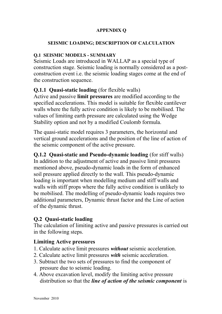#### **APPENDIX Q**

#### **SEISMIC LOADING; DESCRIPTION OF CALCULATION**

#### **Q.1 SEISMIC MODELS - SUMMARY**

Seismic Loads are introduced in WALLAP as a special type of construction stage. Seismic loading is normally considered as a postconstruction event i.e. the seismic loading stages come at the end of the construction sequence.

# **Q.1.1 Quasi-static loading** (for flexible walls)

Active and passive **limit pressures** are modified according to the specified accelerations. This model is suitable for flexible cantilever walls where the fully active condition is likely to be mobilised. The values of limiting earth pressure are calculated using the Wedge Stability option and not by a modified Coulomb formula.

The quasi-static model requires 3 parameters, the horizontal and vertical ground accelerations and the position of the line of action of the seismic component of the active pressure.

**Q.1.2 Quasi-static and Pseudo-dynamic loading** (for stiff walls) In addition to the adjustment of active and passive limit pressures mentioned above, pseudo-dynamic loads in the form of enhanced soil pressure applied directly to the wall. This pseudo-dynamic loading is important when modelling medium and stiff walls and walls with stiff props where the fully active condition is unlikely to be mobilised. The modelling of pseudo-dynamic loads requires two additional parameters, Dynamic thrust factor and the Line of action of the dynamic thrust.

# **Q.2 Quasi-static loading**

The calculation of limiting active and passive pressures is carried out in the following steps.

# **Limiting Active pressures**

- 1. Calculate active limit pressures *without* seismic acceleration.
- 2. Calculate active limit pressures *with* seismic acceleration.
- 3. Subtract the two sets of pressures to find the component of pressure due to seismic loading.
- 4. Above excavation level, modify the limiting active pressure distribution so that the *line of action of the seismic component* is